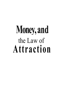## **Money, and** the Law of **Attraction**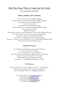## Other Hay House Titles by Esther and Jerry Hicks (The Teachings of Abraham® )

#### **Books, Calendar, and Card Decks**

*The Law of Attraction* (also available in Spanish) *The Amazing Power of Deliberate Intent* (also available in Spanish) *Ask and It Is Given* (also available in Spanish) *Ask and It Is Given Cards Ask and It Is Given Perpetual Flip Calendar The Astonishing Power of Emotions* (available in Spanish in 2009) *The Law of Attraction Cards Manifest Your Desires Relationships, and the Law of Attraction* (book; 5-CD set—both available June 2009) *Sara, Book 1: Sara Learns the Secret about the Law of Attraction Sara, Book 2: Solomon's Fine Featherless Friends Sara, Book 3: A Talking Owl Is Worth a Thousand Words! Spirituality, and the Law of Attraction* (book; 5-CD set—both available September 2010) *The Teachings of Abraham Well-Being Cards*

#### **Additional CD Programs**

*The Teachings of Abraham Master Course Audio* (11-CD set) *The Law of Attraction* (4-CD set) *The Law of Attraction in Action* (2-DVD set) *The Amazing Power of Deliberate Intent* (Parts I and II: two 4-CD sets) *Ask and It Is Given* (Parts I and II: two 4-CD sets) *The Astonishing Power of Emotions* (8-CD set) *Sara, Books 1, 2, 3* (unabridged audio books; 3-CD sets)

#### **DVD Programs**

*The Law of Attraction in Action, Episodes I, II, III, I V, V, VI* (2-DVD sets) *The Teachings of Abraham Master Course Video* (5-DVD set) *The Secret Behind "The Secret"?* (Abraham) (2-DVD set)

> Please visit Hay House USA: **[www.hayhouse.com](http://www.hayhouse.com�/)®** Hay House Australia: **www.hayhouse.com.au** Hay House UK: **[www.hayhouse.co.uk](http://www.hayhouse.com.au/)** Hay House South Africa: **[www.hayhouse.co.za](http://www.hayhouse.co.za/)** Hay House India: **[www.hayhouse.co.in](http://www.hayhouse.co.in/)**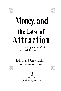



# **Money, and the Law of Attraction**

## Learning to attract Wealth, Health, and Happiness

## Esther and Jerry Hicks

(The Teachings of Abraham®)







**HAY HOUSE, INC.** Carlsbad, California • New York City London • Sydney • Johannesburg Vancouver • Hong Kong • New Delhi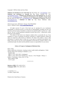Copyright © 2008 by Esther and Jerry Hicks

*Published and distributed in the United States by:* Hay House, Inc.: [www.hayhouse.](http://www.hayhouse/) com • *Published and distributed in Australia by:* Hay House Australia Pty. Ltd.: www.hayhouse.com.au • *Published and distributed in the United Kingdom by:* Hay House UK, Ltd.: [www.hayhou](http://www.hayhouse.com.au/)se.co.uk • *Published and distributed in the Republic of South Africa by:* Hay [House SA \(Pty\), Ltd.:](http://www.hayhouse.co.uk/) www.hayhouse.co.za • *Distributed in Canada by:* Raincoast: www.raincoast.com • *Publi[shed in India b](http://www.hayhouse.co.za/)y:* Hay House Publishers India: [www.hayhouse.co.i](http://www.raincoast.com/)[n](http://www.hayhouse.co.in/)

*Editorial supervision:* Jill Kramer • *Design:* Tricia Breidenthal *Indexer:* Richard Comfort: **[www.comfortindexing.com](http://www.comfortindexing.com/)**

All rights reserved. No part of this book may be reproduced by any mechanical, photographic, or electronic process, or in the form of a phonographic recording; nor may it be stored in a retrieval system, transmitted, or otherwise be copied for public or private use—other than for "fair use" as brief quotations embodied in articles and reviews—without prior written permission of the publisher.

The authors of this book do not dispense medical advice or prescribe the use of any technique as a form of treatment for physical, emotional, or medical problems without the advice of a physician, either directly or indirectly. The intent of the authors is only to offer information of a general nature to help you in your quest for emotional and spiritual wellbeing. In the event you use any of the information in this book for yourself, which is your constitutional right, the authors and the publisher assume no responsibility for your actions.

#### **Library of Congress Cataloging-in-Publication Data**

Hicks, Esther.

Money, and the law of attraction : learning to attract wealth, health, and happiness / Esther and Jerry Hicks (The Teachings of Abraham ). p. cm. Includes index. ISBN-13: 978-1-4019-1881-1 (tradepaper) ISBN-13: 978-1-4019-1874-3 (hardcover) 1. Success. 2. New Thought. 3. Money. 4. Health. 5. Well-being. I. Hicks, Jerry. II. Title. BF637.S8H475 2008 133.9'3--dc22

2008003081

**Hardcover ISBN:** 978-1-4019-1874-3 **Tradepaper ISBN:** 978-1-4019-1881-1

11 10 09 08 4 3 2 1 1st edition, August 2008

Printed in the United States of America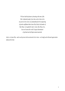*We have had the pleasure of meeting with some of the Most infuential people of our time, and we know of no one person who is more of a fountainhead for the outpouring of positive upliftment than Louise Hay (Lulu), the founder of Hay House—for guided by Lulu's vision, Hay House, Inc., has now become the world's largest disseminator of spiritual and self-improvement materials.*

*And so, to Louise Hay—and to each person she has attracted to her vision—we lovingly and with much appreciation dedicate this book.*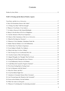## Contents

|--|

## **[PART I: Pivoting and the Book of Positive Aspects](#page-16-0)**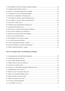## **Part II: Attracting Money And Manifesting Abundance**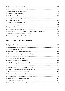## **Part III: Maintaining My Physical Well-Being**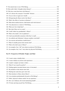### **Part IV: Perspectives Of Health, Weight, And Mind**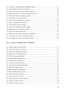### Part V: Careers, As Profitable Sources Of Pleasure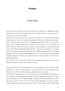## **Preface**

## <span id="page-11-0"></span>by Jerry Hicks

What do you believe attracted you to this book? Why do you suppose you're reading these words? Which part of the title got your attention? Was it *Money? Health? Happiness? Learning to Attract?* Or was it the *Law of Attraction* perhaps?

Whatever the obvious reason may have been for your attention to this book, the information contained here has come to you in answer to something for which you have been somehow asking.

What is this book about? It teaches that life is supposed to feel good and that our overall Well-Being is what is natural. It teaches that no matter how good your life is now, it can always get better, and that the choice and the power to improve your life experience is within your personal control. And it offers practical philosophical tools that—when put into consistent use—will enable you to allow yourself to experience more of the wealth, health, and happiness that is your natural birthright. (And I know, because it keeps happening to me. As I move forward from each desireclarifying experience of contrast to a new desire and then to a new manifestation —my life overall gets better and better.)

Life is good! It is New Year's Day of 2008, and I'm beginning this Preface while seated at the dining-room table of our new Del Mar, California, "haven."

From the time Esther and I were married (1980), we've been making it a point to visit this "Garden of Eden" area as often as has been practical. And now, after all those years as appreciative San Diego visitors, we will be actually living here as appreciative part-time residents.

And what's not to appreciate? There was our friend who led us to fnd the property. (We told him we were looking for a piece of property near Del Mar where we could park our 45-foot tour bus.) There were the landscape architects, engineers, designers, carpenters, electricians, plumbers, tile roofers, and copper gut-terers. There were those talented, skilled tradespeople: tile layers; stuccoers; painters; and fence, gate, and ironworks creators. There were foor installers and custom-lift, slide-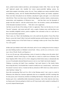doors, arched-wooden-windows-and-doors, and stained-glass-window folks. There were the "high end" high-tech people who installed the Lutron master-controlled lighting system, the audio/video/computer networking system, the new Trane multiple-zone master-controlled (silent) air-conditioning system, and the Snaidero/Miele/Bosch/Viking kitchen and laundry equipment. There were those who placed our new furniture, and placed it again, and again—as we discovered what felt best. There were those teams of hardworking diggers, trenchers, haulers, cement pourers, stoneworkers, and transplanters of full-grown trees. . . . And then there were the thousands of people who had a hand in—and also earned money from—the invention, creation, and distribution of the thousands of products involved. . . . Well, that's a lot to appreciate.

And that was just the tip of the iceberg of what's to appreciate. There was the discovery of a new "favorite" restaurant—and owners and staff—only a couple of minutes away, and then there were those incredibly delightful eclectic, positive neighbors who welcomed us here in a style that we have never previously experienced.

There's more, too. There's the breathtaking view to the south into the primitive Torrey Pines State Reserve, across the Carmel Valley Creek and waterbird sanctuary and the lagoon, and down into the crashing, foaming waves of the Pacifc Ocean as it untiringly washes up onto Torrey Pines Beach. Yes. Life is good!

(Esther and I just fnished a brief walk on the beach, and we're now settling down for the evening to put some fnishing touches on Abraham's newest book—*Money, and the Law of Attraction: Learning to Attract Wealth, Health, and Happiness.*)

It was over 40 years ago, while performing a series of concerts in colleges across the nation, that I "accidentally" noticed a book lying on a coffee table in a motel in a small town in Montana. That book, Napoleon Hill's *Think and Grow Rich,* changed my beliefs about money so dramatically that my use of its principles attracted fnancial success to me in a way I hadn't previously imagined.

Thinking or growing rich hadn't been something I had much interest in. But shortly before discovering that book, I *had* decided that I wanted to modify the way I earned money—and increase the amount I received. And so, it turned out that my attraction to Hill's book was a direct answer to what I had been "asking" for.

Soon after encountering *Think and Grow Rich* in that Montana motel, I met a man in a motel in Minnesota who offered me a business opportunity that was so compatible with Hill's teachings that for nine joyous years I focused my attention on building that business. During those nine years, the business grew into a multimillion-dollar international enterprise. And in that relatively short time, my fnances grew from just getting by (which was all I'd previously really wanted) to reaching all of my newly inspired fnancial goals.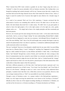What I learned from Hill's book worked so grandly for me that I began using that work as a "textbook" to share his success principles with my business associates. But, looking back, even though the teachings had worked extremely well for me, I became aware that only a couple of my associates had received the huge fnancial success that I had wanted all of them to have. And so, I began to search for another level of answers that might be more effective for a broader range of people.

As a result of my personal *Think and Grow Rich* experience, I became convinced that the achievement of success was something that could be *learned.* We didn't have to be born into a family who had already discovered how to make money. We didn't have to get good grades in school or know the right people or live in the right country or be the right size, color, gender, religion, and so on. . . . We simply had to learn a few simple principles and then consistently put them into practice.

However, not everyone gets the same message from the same words—or the same results from the same books. And so, as soon as I began "asking" for more understanding, Richard Bach's enlightening book *Illusions* happened to come into my awareness. And although *Illusions* brought me to one of the most thrilling "Aha!" days of my life and brought some concepts that began to open my mind for the phenomenon that I was about to experience, it contained no additional principles that I could consciously utilize in my business.

The next "accidental" discovery of an ultimately valuable book for me came while I was just killing some time in a Phoenix library. I wasn't "looking for" anything, but I happened to notice a book, high on a shelf, entitled *Seth Speaks,* by Jane Roberts and Robert F. Butts. Seth, "a Non-Physical Entity," had "dictated" through Jane a series of books, and I read them all. And as strange as that form of communication may have seemed to most (Esther was extremely uncomfortable with it at frst), I had always tended to judge the trees by their fruits. And so, I looked beyond the "strange" aspects and focused on what to me were the positive, practical parts of the Seth material that I felt I could utilize to help others improve their life experience.

Seth had a different perspective on life than what I had heard previously expressed, and I was particularly interested in two of Seth's terms: "You Create Your Own Reality" and "Your Point of Power Is in the Present." Although as much as I read, I never felt that I truly understood those principles, I somehow knew that there were, within them, answers to my questions. However, Jane was no longer in physical form, so "Seth" was unavailable for any further clarifcation.

Through a series of fortuitous events—in a manner similar to the Seth-and-Jane experiences— Esther, my wife, began receiving the material that is now known as the *Teachings of Abraham*® . (Should you like to hear one of the original recordings detailing our introduction to Abraham, you can fnd our free *Introduction to Abraham* recording as a 70-minute download at our Website: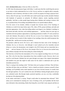#### **www. abraham-hicks.com**, or from our offce as a free CD.)

In 1985 when this phenomenon began with Esther, I could sense that this would bring the answers to my desire to better understand the *Laws of the Universe* and how we might be able to naturally, deliberately work in harmony with them in order to ful-fll our purpose for being in physical form. And so, about 20 years ago, I sat with Esther and a small cassette tape recorder and plied Abraham with hundreds of questions on primarily 20 different subjects, mostly regarding practical spirituality. And then, as other people began hearing about Abraham and wanting to interact with us, we produced those 20 recordings and published them as two special-subjects albums.

Over the course of two decades, millions of people have become aware of the Teachings of Abraham as a result of our many books, tapes, CDs, videos, DVDs, group workshops, and radio and television appearances. Also, other best-selling authors soon began to use Abraham's teachings in their books and radio, television, and workshop appearances . . . and then, about two years ago, an Australian television producer approached us requesting permission to build a TV series around our work with Abraham. She joined us with her flm crew on one of our Alaskan cruises, flmed the show, and then went in search of other students of our teachings whom she could incorporate into the (pilot) flm—and the rest is (as they say) history.

The producer called her movie *The Secret,* and it featured the basic tenet of the Teachings of Abraham: the *Law of Attraction.* And although it wasn't picked up by the Australian network (Nine) as a series, the documentary went straight to the DVD format and was transcribed into a book . . . and now because of *The Secret,* the concept of the *Law of Attraction* has reached many more millions of people who have been asking for a better-feeling life.

This book has evolved from the transcription of fve of our original recordings from over 20 years ago. This is the frst time these transcriptions have been available in print. However, they're not word for word because Abraham has now gone through every page of the original transcriptions and modifed every part that might be made easier for the reader to understand and to put into immediate practical use.

There's a saying in the teaching world: "Tell them what you're going to tell them. Then tell them. And then tell them what you told them." And so, should you decide to immerse yourself in these teachings, you'll probably notice much repetition as you move forward, because we usually learn best through repetition. You can't continue the same old habitual, limiting thought patterns and get new, unlimited results. But through simple, practiced repetition, you can, over time, comfortably develop new life-enhancing habits.

In the media world there's a saying: "People would rather be entertained than informed." Well, unless you're entertained by learning new ways of looking at life, you'll probably fnd this book more informative than entertaining. Rather than being like a novel that's read, enjoyed, and then set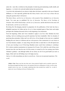aside, this—more like a textbook on the principles of achieving and maintaining wealth, health, and happiness—is a book to be read and studied and put into practiced use.

I was led to this information by my desire to help others feel better, especially in the area of fnancial fulfllment, so I feel especially gratifed that this *Money* book is now on its way to those who are asking the questions that it will answer.

This book, *Money, and the Law of Attraction,* is the second of four scheduled *Law of Attraction* books. Two years ago we published *The Law of Attraction: The Basics of the Teachings of Abraham.* Next will be *Relationships, and the Law of Attraction;* and the fnal book in the series will be *Spirituality, and the Law of Attraction.*

Revisiting this life-changing material in preparation for the publication of this book has been a delightful experience for Esther and me, for we've been reminded again of these basic and simple principles that Abraham discussed with us in the beginning of our interaction.

From the beginning. Esther and I have intended to apply to our lives what Abraham has been teaching. And our resulting joyous growth experience has been remarkable: After two decades of practicing these principles, Esther and I are still in love. (Even though we have just now completed building this new home in California and are in the process of the construction of a new home on our Texas business complex, we enjoy being with each other so much that we will still spend most of next year traveling in our 45-foot-long Marathon motor coach from workshop to workshop.) We've had no medical examinations (or insurance) for 20 years. We're debt free, and will pay more income taxes this year than the sum of all the money we earned in all of our earning years before Abraham's guidance—and although neither all our money nor all of our good health can *make* us happy, Esther and I are still fnding ways to be happy anyway.

And so, it is with extraordinary joy that we can tell you—from our own personal experience: *This works!*

 (**Editor's Note:** Please note that since there aren't always physical English words to perfectly express the Non-Physical thoughts that Esther receives, she sometimes forms new combinations of words, as well as using standard words in new ways—for example, capitalizing them when normally they wouldn't be—in order to express new ways of looking at old ways of looking at life.)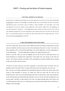## <span id="page-16-0"></span>PART I. Pivoting and the Book of Positive Aspects

#### <span id="page-16-1"></span>**Your Story, and the** *Law of Attraction*

*Each and every component that makes up your life experience is drawn to you by the powerful Law of Attraction's response to the thoughts you think and the story you tell about your life. Your money and fnancial assets; your body's state of wellness, clarity, fexibility, size, and shape; your work environment, how you are treated, work satisfaction, and rewards—indeed, the very happiness of your life experience in general— is all happening because of the story that you tell. If you will let your dominant intention be to revise and improve the content of the story you tell every day of your life, it is our absolute promise to you that your life will become that ever-improving story. For by the powerful Law of Attraction, it must be!*

#### <span id="page-16-2"></span>**4. Does Life Sometimes Seem to Be Unfair?**

You have wanted more success and you have applied yourself well, doing everything that everyone said you should do, but the success you have been seeking has been slow to come. You tried very hard, especially at frst, to learn all the right things, to be in the right places, to do the right things, to say the right things . . . but often things did not appear to be improving much at all.

Earlier in your life, when you were frst dipping your toe into the idea of achieving success, you found satisfaction in satisfying the expectations of the others who were laying out the rules for success. The teachers, parents, and mentors who surrounded you seemed confdent and convincing as they laid out their rules for success:

"Always be on time; always do your best; remember to work hard; always be honest; strive for greatness; go the extra mile; there's no gain without pain; and, most important, never give up. . . ." But, over time, your fnding satisfaction from gaining the approval of those who laid out those rules waned as their principles of success—no matter how hard you tried—did not yield you the promised results. And it was more disheartening still when you stood back to gain some perspective on the whole picture and realized that their principles were not, for the most part, bringing *them* real success either. And then, to make matters even worse, you began meeting others (who clearly were *not* following those rules) who *were* achieving success apart from the formula that you had been so diligent to learn and apply.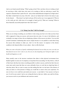And so you found yourself asking: "What's going on here? How can those who are working so hard be receiving so little, while those who seem to be working so little are achieving so much? My expensive education hasn't paid off at all—and yet that multimillionaire dropped out of high school. My father worked hard every day of his life—and yet our family had to borrow the money to pay for his funeral. . . . Why doesn't my hard work pay off for me the way it was supposed to? Why do so few really get rich, while most of us struggle to barely get by? What am I missing? What do those fnancially successful people know that I don't know?"

#### <span id="page-17-0"></span>**5. Is "Doing Your Best" Still Not Enough?**

When you are doing everything you can think of, truly trying your best to do what you have been told is supposed to bring you success, and success does not come, it is easy to feel defensive, and eventually even angry at those who are displaying evidence of the success you desire. You even fnd yourself sometimes condemning their success simply because it is too painful to watch them living the success that continues to elude you. And it is for this reason—in response to this chronic condition in the fnancial affairs of your culture—that we offer this book.

*When you come to the place of openly condemning the fnancial success that you crave, not only can that fnancial success never come to you, but you are also forgeiting your God-given rights to your health and happiness as well.*

Many actually come to the incorrect conclusion that others in their physical environment have banded together in some sort of conspiracy to keep them from succeeding. For they believe, with all of their heart, that they have done everything possible to achieve success, and the fact that it has not come must surely mean that there are some unfriendly forces at work that are depriving them of what they desire. But we want to assure you that nothing like that is at the heart of the absence of what you desire or of the presence of things you would like to remove from your experience. No one ever has or ever could have prevented your success—or provided it. Your success is all up to you. It is all in your control. And we are writing this book so that now, fnally, once and for all time, your success can be in your deliberate and conscious control.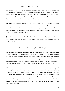<span id="page-18-0"></span>It is time for you to return to the true nature of your Being and to consciously live the success that the experiencing of your own life has helped you determine that you desire. And so, as you deliberately relax right now, breathing deeply and reading steadily, you will begin to gradually but surely remember how all success comes, for you already inherently understand it, and so you will certainly feel resonance with these absolute truths as you read about them here.

The Eternal *Laws of the Universe* are consistent and reliable and steadily hold, always, the promise of expansion and joy. They are being presented to you here in a powerful rhythm of understanding that will start small within you and then expand with each page you read, until you reawaken into the knowledge of your purpose and your own personal power as you remember how to access the power of the Universe that creates worlds.

*If this time-space reality has within it the ability to inspire a desire within you, it is absolute that this time-space reality has the ability to yield you a full and satisfying manifestation of that same desire. It is Law.*

#### <span id="page-18-1"></span>**7. To Achieve Success Is My Natural Birthright**

Most people naturally assume that if their life is not going the way they want it to go, something outside of themselves must be preventing the improvement, for no one would deliberately hold their own success away. But while pointing the blame at others may feel better than assuming responsibility for unwanted conditions, there is a very big negative repercussion to believing that something outside of you is the reason for your own lack of success: *When you give the credit or the blame to another for your success or lack of it—you are powerless to make any change.*

When you desire success, but—from your perspective—you are not currently experiencing it, at many deep levels of your Being you recognize that something is wrong. And as this strong feeling of personal discord magnifes your awareness that you are not getting what you want, it often sets into motion other counterproductive assumptions that evoke jealousy toward those who *are* having more success; resentment at a myriad of people you would like to blame for your lack of success; or even self-denigration, which is the most painful and counterproductive assumption of all. And we submit that this uncomfortable upheaval is not only normal, but it is the perfect response to your feeling a lack of success.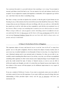*Your emotional discomfort is a powerful indicator that something is very wrong.* You are meant to succeed, and failure *should* feel bad to you. You are meant to be well, and sickness *should not* be accepted. You are supposed to expand, and stagnation *is* intolerable. Life is supposed to go well for you—and when it does not, there *is* something wrong.

But what is wrong is not that an injustice has occurred, or that the gods of good fortune are not focusing on you, or that someone else has received the success that should have been yours. What is wrong is that you are out of harmony with your own Being, with *who-you-really-are,* with what life has caused you to ask for, with what you have expanded to, and with the ever-consistent *Laws of the Universe. What is wrong is not something that is outside of you over which you have no control. What is wrong is within you—and you do have control. And taking control is not diffcult to do once you understand the basis of who-you-are and the basics of the Law of Attraction and the value of your personal Emotional Guidance System that you were born with, which is always active, ever present, and easy to understand.*

#### <span id="page-19-0"></span>**8. Money Is Not the Root of Evil or of Happiness**

This important subject of *money* and *fnancial success* is not the "root of all evil" as many have quoted—nor is it the path to happiness. However, because the subject of money touches most of you in one way or another hundreds or even thousands of times in every day, it is a large factor in your vibrational makeup and in your personal point of attraction. So when you are able to successfully control something that affects most of you all day, every day, you will have accomplished something rather signifcant. In other words, because such a high percentage of your thoughts in any given day reside around the topic of money or fnancial success, as soon as you are able to *deliberately* guide your thoughts, not only is it certain that your fnancial success must improve, but the evidence of *that* success will then prepare you for deliberate improvement in *every* aspect of your life experience.

If you are a student of *Deliberate Creation,* if you want to consciously create your own reality, if you desire control of your own life experience, if you want to fulfll your reason for being, then your understanding of these prevalent topics—*money and the Law of Attraction*—will serve you enormously well.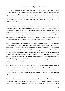<span id="page-20-0"></span>You are meant to live an expansive, exhilarating, good-feeling experience. It was your plan when you made the decision to become focused in your physical body in this time-space reality. You expected this physical life to be exciting and rewarding. In other words, you knew that the variety and contrast would stimulate you to expanded desires, and you also knew that any and all of those desires could be fully and easily realized by you. You knew, also, that there would be no end to the expansion of new desires.

You came into your body full of excitement about the possibilities that this life experience would inspire, and that desire that you held in the beginning was not muted at all by trepidation or doubt, for you knew your power and you knew that this life experience and all of its contrast would be the fertile ground for wonderful expansion. *Most of all, you knew that you were coming into this life experience with a Guidance System to help you remain true to your original intent as well as to your never-ending amended intentions that would be born out of this very life experience. In short, you felt an eagerness for this time-space reality that nearly defes physical description.*

You were not a beginner—even though you were newly beginning in your wee, small physical body—but instead you were a powerful creative genius, newly focusing in a new, Leading Edge environment. You knew that there would be a time of adjustment while redefning a new platform from which you would begin your process of deliberate creating, and you were not the least bit worried about that time of adjustment. In fact, you rather enjoyed the nest into which you were born and those who were there to greet you into your new physical environment. And while you could not yet speak the language of their words—and although you were perceived by those who greeted you as new and unknowing and in need of their guidance—you possessed a stability and a knowing that most of them had long left behind.

You were born knowing that you are a powerful Being, that you are good, that you are the creator of your experience, and that the *Law of Attraction* is the basis of all creation here in your new environment. You remembered then that the *Law of Attraction* (the essence of that which is like unto itself, is drawn) is the basis of the Universe, and you knew it would serve you well. And so it has.

You were still remembering then that you are the creator of your own experience. But even more important, you remembered that you do it through your *thought, not your action.* You were not uncomfortable being a small infant who offered no action or words, for you remembered the Well-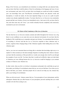Being of the Universe; you remembered your intentions in coming forth into your physical body, and you knew that there would be plenty of time for acclimating to the language and ways of your new environment; and, most of all, you knew that even though you would not be able to translate your vast knowledge from your Non-Physical environment directly into physical words and descriptions, it would not matter, for the most important things to set you on a path of joyful creation were already emphatically in place: You knew that the *Law of Attraction* was consistently present and that your *Guidance System* was immediately active. And, most of all, you knew that by trial, and what some may call "error," you would eventually become completely and consciously reoriented in your new environment.

#### <span id="page-21-0"></span>**10. I Knew of the Consistency of the** *Law of Attraction*

The fact that the *Law of Attraction* remains constant and stable throughout the Universe was a big factor in your confdence as you came into your new physical environment, for you knew that the feedback of life would help you to remember and gain your footing. You remembered that the basis of everything is *vibration* and that the *Law of Attraction* responds to those vibrations and, in essence, organizes them, bringing things of like vibrations together while holding those not of like vibrations apart.

And so, you were not concerned about not being able to articulate that knowledge right away or to explain it to those around you who had seemingly forgotten everything they knew about it, because you knew that the consistency of this powerful *Law* would, soon enough, show itself to you through the examples of your own life. You knew then that it would not be diffcult to fgure out what kinds of vibrations you were offering because the *Law of Attraction* would be bringing to you constant evidence of whatever your vibration was.

In other words, when you feel *overwhelmed,* circumstances and people who could help you get out from under your feeling of overwhelment cannot fnd you, nor can you fnd them. Even when you try hard to fnd them, you cannot. And those people who *do* come do not help you, but, instead, they add to your feeling of overwhelment.

When you feel *mistreated*—fairness cannot fnd you. Your perception of your mistreatment, and the subsequent vibration that you offer because of your perception, prevents anything that you would consider to be fair from coming to you.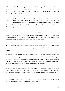When you are buried in the *disappointment* or *fear* of not having the fnancial resources that you believe you need, the dollars—or the opportunities that would bring the dollars—continue to elude you . . . not because you are bad or unworthy, but because the *Law of Attraction* matches things that are like, not things that are *un*like.

When you feel *poor*—only things that feel like *poverty* can come to you. When you feel *prosperous*—only things that feel like *prosperity* can come to you. This *Law* is consistent; and if you will pay attention, it will teach you, through life experience, how it works. *When you remember that you get the essence of what you think about—and then you notice what you are getting—you have the keys for Deliberate Creation.*

#### <span id="page-22-0"></span>**11. What Do We Mean by** *Vibration?*

When we speak of *vibration,* we are actually calling your attention to the basis of your experience, for everything is actually *vibrationally* based. We could use the word *Energy* interchangeably, and there are many other synonyms in your vocabulary that accurately apply.

Most understand the vibrational characteristics of sound. Sometimes when the deep, rich bass notes of your musical instrumentation are played loudly, you can even *feel* the vibrational nature of sound.

We want you to understand that whenever you "hear" something, you are interpreting vibration into the sound you are hearing. What you hear is *your* interpretation of vibration; what you hear is your *unique* interpretation of vibration. Each of your physical senses of seeing, hearing, tasting, smelling, and touching exist because everything in the Universe is vibrating and your physical senses are reading the vibrations and giving you sensory perception of the vibrations.

So as you come to understand that you live in a pulsating, vibrating Universe of advanced harmonics, and that at the very core of your Being you are vibrating at what could only be described as perfection in vibrational balance and harmony, then you begin to understand *vibration* in the way we are projecting it.

*Everything that exists, in your air, in your dirt, in your water, and in your bodies, is vibration in motion—and all of it is managed by the powerful Law of Attraction.*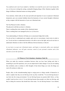You could not sort it out if you wanted to. And there is no need for you to sort it out, because the *Law of Attraction* is doing the sorting, continually bringing things of like vibrations together while things of different vibrational natures are being repelled.

Your emotions, which really are the most powerful and important of your six physical vibrational interpreters, give you constant feedback about the harmonics of your current thoughts (vibrations) as they compare with the harmonics of your core vibrational state.

The Non-Physical world is vibration. The physical world that you know is vibration. There is nothing that exists outside of this vibrational nature. There is nothing that is not managed by the *Law of Attraction.*

Your understanding of vibration will help you to consciously bridge both worlds.

You do not have to understand your complex optic nerve or your primary visual cortex in order to see. You do not have to understand electricity to be able to turn on the light, and you do not have to understand vibrations in order to feel the difference between harmony or discord.

*As you learn to accept your vibrational nature, and begin to consciously utilize your emotional vibrational indicators, you will gain conscious control of your personal creations and of the outcomes of your life experience.*

#### <span id="page-23-0"></span>**12. Whenever I Feel Abundant, Abundance Finds Me**

When you make the conscious correlation between what you have been feeling and what is actualizing in your life experience, now you are empowered to make changes. If you are not making that correlation, and so continue to offer thoughts of lack about things you want, the things you want will continue to elude you.

People, often, in this misunderstanding begin to assign power to things outside of themselves in order to explain why they are not thriving in the way they would like: "I'm not thriving because I was born into the wrong environment. I'm not thriving because my parents didn't thrive, so they couldn't teach me how to do it. I'm not thriving because those people over there are thriving, and they're taking the resources that should have been mine. I'm not thriving because I was cheated,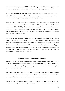because I'm not worthy, because I didn't live the right way in a past life, because my government ignores my rights, because my husband doesn't do his part . . . because, because, because."

And we want to remind you, your "not thriving" is only because you are offering a vibration that is different from the vibration of thriving. *You cannot feel poor (and vibrate poor) and thrive. Abundance cannot fnd you unless you offer a vibration of abundance.*

Many ask, "But if I'm not thriving, then how in the world can I offer a vibration of thriving? Don't I have to thrive before I can offer the vibration of thriving?" We agree that it is certainly easy to maintain a condition of thriving when it is already in your experience, because then all you have to do is notice the good that is coming and your observation of it will keep it coming. But if you are standing in the absence of something you want, you must fnd a way to feel the essence of it—even before it comes—or it cannot come.

You cannot let your vibrational offering come only in response to *what-is* and then ever change *what-is.* You must fnd a way of *feeling* the excitement or satisfaction of your currently unrealized dreams before those dreams can become your reality. Find a way to deliberately imagine a scenario for the purpose of offering a vibration and for the purpose of the *Law of Attraction* matching your vibration with a real-life manifestation. . . . *When you ask for the manifestation prior to the vibration, you ask the impossible. When you are willing to offer the vibration before the manifestation—all things are possible. It is Law.*

#### <span id="page-24-0"></span>**13. Rather Than by Default, Live Life Deliberately**

We are giving this book to you to remind you of things you already know at some level, so as to reactivate that vibrational knowledge within you. It is not possible for you to read these words, which represent the knowledge that you hold from your Broader Perspective, without a recognition of this knowledge beginning to surface from within.

This really is the time of awakening—the time of remembering your personal power and your reason for being. So take a deep breath, make an effort to get comfortable, and slowly read the contents of this book to restore yourself to your original vibrational essence. . . .

So here you are, in a wonderful state of being: no longer an infant under the control of others, somewhat acclimated into your physical environment, and now—by reading this book—returning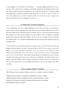to the recognition of the full power of your Being . . . no longer buffeted around by the *Law of Attraction* like a small cork on a raging sea, but fnally remembering and gaining control of your own destiny, fnally and *deliberately* guiding your life within the powerful *Law of Attraction* rather than responding in an attitude of default and just taking life as it comes. *In order to do that, you have to tell a different story. You have to begin to tell the story of your life as you now want it to be and discontinue the tales of how it has been or of how* it *is.*

#### <span id="page-25-0"></span>**14. Tell the Story You Want to Experience**

To live deliberately, you have to think deliberately; and in order to do that, you must have a reference point in order to determine the correct direction of your thought. Right now, just as at the time of your birth, the two necessary factors are in place. The *Law of Attraction* (the most powerful and consistent *Law* in the Universe) abounds. And your *Guidance System* is within you, all queued up and ready to give you directional feedback. *You have only one seemingly small but potentially life-changing thing to do: You have to begin telling your story in a new way. You have to tell it as you want it to be.*

As you tell the story of your life (and you do it nearly all day, every day with your words, your thoughts, and your actions), you have to feel good while you tell it. *In every moment, about every subject, you can focus positively or negatively, for in every particle of the Universe—in every moment in time and beyond—there is that which is wanted and the lack of what is wanted pulsing there for you to choose between.* And as these constant choices reveal themselves to you, you have the option of focusing upon what you want or the lack of it regarding every subject, because every subject is really two subjects: what you want or the absence of what you want. You can tell, by the way you feel, which choice you are currently focused upon—and you can change your choice constantly.

#### <span id="page-25-1"></span>**15. Every Subject Is Really Two Subjects**

The following are some examples to help you see how every subject is really two subjects:

Abundance/Poverty (absence of abundance) Health/Illness (absence of health) Happiness/Sadness (absence of happiness) Clarity/Confusion (absence of clarity) Energetic/Tired (absence of Energy) Knowledge/Doubt (absence of knowledge) Interested/Bored (absence of interest)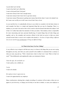I can do that/I can't do that I want to buy that/I can't afford that I want to feel good/I don't feel good I want more money/I don't have enough money I want more money/I don't know how to get more money I want more money/That person is getting more money than his/her share I want to be slender/I am fat I want a new car/My car is old I want a lover/I don't have a lover

As you read this list, it is undoubtedly obvious to you which we consider to be the better choice in each example, but there is a simple and important thing that you may be forgetting. There is a tendency as you read a list such as this to feel a need to state the factual truth about the subject ("tell it like it is") rather than make the statement of what you desire. That tendency alone is responsible for more miscreating and more personal disallowing of wanted things than all other things put together, and so, the examples and exercises offered in this book are given to help you orient yourself toward what is *wanted,* not to explain what already *is. You have to begin telling a different story if you want the Law of Attraction to bring you different things.*

#### <span id="page-26-0"></span>**16. What Is the Story I'm Now Telling?**

A very effective way to begin to tell that new story is to listen to the things that you are now saying throughout your day, and when you catch yourself in the middle of a statement that is contrary to what you want, stop and say, "Well, I clearly know what it is that I *don't* want. What is it that I *do* want?" Then deliberately and emphatically make your statement of desire.

*I hate this ugly, old, unreliable car.* I want a pretty, new, reliable car.

*I'm fat.* I want to be slender.

*My employer doesn't appreciate me.* I want to be appreciated by my employer.

Many would protest, claiming that a simple rewording of a sentence will not make a shiny new car appear in your driveway, or change your fat body to one that is slender, or cause your employer to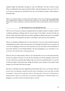suddenly change her personality and begin to treat you differently—but they would be wrong. When you deliberately focus upon any desired subject, often proclaiming it to be as you *want* it to be, in time you experience an actual shift in the way you feel about the subject, which indicates a vibrational shift.

*When your vibration shifts, your point of attraction shifts, and, by the powerful Law of Attraction, your manifestational evidence or indicator must shift, also. You cannot talk consistently of the things you do want to experience in your life without the Universe delivering the essence of them to you.*

#### <span id="page-27-0"></span>**17. The** *Pivoting Process* **Can Reorient My Life**

The *Process of Pivoting* is a conscious recognition that every subject is really two subjects, and then a deliberate speaking or thinking about the *desired* aspect of the subject. *Pivoting* will help you activate within yourself the aspects that you desire regarding all subjects; and once you accomplish that, the essence of the things that you desire, on all subjects, must come into your experience.

There is an important clarifcation that we must make here: If you are using words that speak of something that you desire while at the same time you are feeling *doubt* about your own words, your *words* are not bringing you what you want, because the way you are *feeling* is the true indication of the creative direction of your thought-vibration. *The Law of Attraction is not responding to your words but to the vibration that is emanating from you.*

However, since you cannot speak of what you *do* want and what you *do not* want at the same time, the more you speak of what you *do* want, the less frequently you will be speaking of what you *do not* want. And if you are serious about telling it like you want it to be rather than like it is, you will, in time (and usually a rather short time), change the balance of your vibration. If you speak it often enough, you will come to feel what you speak.

But there is something even more signifcantly powerful about this *Process of Pivoting: When life seems to have you negatively oriented toward the lack of something you want, and when you make the statement "I know what I do not want; what is it that I do want?" the answer to that question is summoned from within you, and in that very moment the beginning of a vibrational shift occurs. Pivoting is a powerful tool that will instantly improve your life.*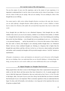<span id="page-28-0"></span>You are the creator of your own life experience, and as the creator of your experience, it is important to understand that it is not by virtue of your action, not by virtue of your doing—it is not even by virtue of what you are saying—that you are creating. You are creating by virtue of the thought that you are offering.

*You cannot speak or offer action without thought-vibration occurring at the same time; however, you are often offering a thought-vibration without offering words or action. Children or babies learn to mimic the vibration of the adults who surround them long before they learn to mimic their words.*

Every thought that you think has its own vibrational frequency. Each thought that you offer, whether it has come to you out of your memory, whether it is an infuence from another, or whether it is a thought that has become the combination of something *you* have been thinking and something that *another* has been thinking— every thought that you are pondering in your *now*—is vibrating at a very personal frequency . . . and by the powerful *Law of Attraction* (the essence of that which is like unto itself, is drawn), that thought is now attracting another thought that is its Vibrational Match. And now, those combined thoughts are vibrating at a frequency that is higher than the thought that came before; and they will now, by the *Law of Attraction,* attract another and another and another, until eventually the thoughts will be powerful enough to attract a "real life" situation or manifestation.

*All people, circumstances, events, and situations are attracted to you by the power of the thoughts that you are thinking. Once you understand that you are literally thinking or vibrating things into being, you may discover a new resolve within you to more deliberately direct your own thoughts.*

#### <span id="page-28-1"></span>**19. Aligned Thoughts Are Thoughts That Feel Good**

Many people believe that there is more to their Beingness than what is represented in their physical reality as the fesh, blood, and bone person they know themselves to be. As people grapple with ways to label this larger part of themselves, they use words such as *Soul, Source,* or *God.* We refer to that larger, older, wiser part of you as your *Inner Being,* but the label that you choose to describe this Eternal part of you is not important. What is extremely signifcant is that you understand that the larger *You* does, and will eternally, exist and plays a very large part in the experience that you are living here on planet Earth.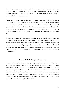Every thought, word, or deed that you offer is played against the backdrop of that Broader Perspective. Indeed, the reason that in any moment of clearly knowing what you *do not* want, you emphatically then realize what it is that you *do* want is because that larger part of you is giving its undivided attention to what you *do* want.

As you make a conscious effort to guide your thoughts, day by day, more in the direction of what you *do* want, you will begin to feel better and better because the vibration that is activated by your improved-feeling thought will be a closer match to the vibration of the larger Non-Physical part of you. Your desire to think thoughts that feel good will guide you into alignment with the Broader Perspective of your *Inner Being.* In fact, it is not possible for you to really feel good in any moment unless the thoughts you are thinking right now are a Vibrational Match to the thoughts of your *Inner Being.*

For example, your *Inner Being* focuses upon your value—when you identify some faw in yourself, the negative emotion that you feel is about that vibrational discord or resistance. Your *Inner Being* chooses to focus only upon things about which it can feel love—when you are focusing upon some aspect of someone or something that you abhor, you have focused yourself out of vibra-tional alignment with your *Inner Being.* Your *Inner Being* focuses only upon your success—when you choose to see something you are doing as failure, you are out of alignment with the perspective of your *Inner Being.*

#### <span id="page-29-0"></span>**20. Seeing My World Through the Eyes of Source**

By choosing better-feeling thoughts and by speaking more of what you *do* want and less of what you *do not* want, you will gently tune yourself to the vibrational frequency of your broader, wiser *Inner Being.* To be in vibrational alignment with that Broader Perspective while living your own physical life experience is truly the best of all worlds because as you achieve vibrational alignment with that Broader Perspective, you then see your world from that Broader Perspective. *To see your world through the eyes of Source is truly the most spectacular view of life, for from that vibrational vantage point, you are in alignment with—and therefore in the process of attracting— only what you would consider to be the very best of your world.*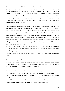Esther, the woman who translates the vibration of Abraham into the spoken or written word, does so by relaxing and deliberately allowing the vibration of her own Being to raise until it harmonizes with the Non-Physical vibration of Abraham. She has been doing this for many years now, and it has become a very natural thing for her to do. She has long understood the advantage of aligning her vibration so that she could effectively translate our knowledge for other physical friends, but she had not really understood another wonderful beneft of that alignment until one beautiful spring morning when she walked down the driveway by herself to open the gate for her mate, who would eventually follow in the automobile.

As she stood there waiting, she gazed up into the sky and found it to be more beautiful than it had ever appeared before: It was rich in color, and the contrast of the brilliant blue sky and the strikingly white clouds was amazing to her. She could hear the sweet songs of birds that were so far away she could not see them, but their beautiful sound made her shiver with excitement as she heard them. They sounded as if they were right above her head or sitting on her shoulder. And then she became aware of many different delicious fragrances fowing from plants and fowers and earth, moving in the wind and enveloping her. She felt alive and happy and in love with her beautiful world. And she said right out loud, "There can never have been, in all of the Universe, a more beautiful moment in time than this, right here, right now!"

And then she said, "Abraham, it is *you,* isn't it?" And we smiled a very broad smile through her lips, for she had caught us peeping through her eyes, hearing through her ears, smelling through her nose, feeling through her skin.

"Indeed," we said, "we are enjoying the deliciousness of your physical world through your physical body."

Those moments in your life when you feel absolute exhilaration are moments of complete alignment with the Source within you. Those moments when you feel powerful attraction to an idea, or keen interest, are also moments of complete alignment. In fact, the better you feel, the more in alignment you are with your Source— with *who-you-really-are.*

This alignment with your Broader Perspective will not only allow you faster achievement of the big things that you want in life—like wonderful relationships, satisfying careers, and the resources to do the things you really want to do—but this conscious alignment will enhance every moment of your day. *As you tune yourself to the perspective of your Inner Being, your days will be flled with wonderful moments of clarity, satisfaction, and love. And that is truly the way you intended to live while here in this wonderful place, this wonderful time, and this wonderful body.*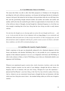#### <span id="page-31-0"></span>**21. I Can Deliberately Choose to Feel Better**

The reason that Esther was able to allow that fuller perspective of Abraham to fow through her, providing her with such a delicious experience, was because she had begun that day by looking for reasons to feel good. She looked for the frst thing to feel good about while she was still lying in her bed, and that good-feeling thought attracted another and another and another and another and another, until by the time she reached the gate (which was approximately two hours later), by virtue of her *deliberate* choice of thoughts, she had brought her vibrational frequency to a level that was close enough to matching that of her *Inner Being* that her *Inner Being* was able to easily interact with her.

*Not only does the thought you are choosing right now attract the next thought and the next . . . and so on—it also provides the basis of your alignment with your Inner Being. As you consistently and deliberately think and speak more of what you do want and less of what you do not want, you will fnd yourself more often in alignment with the pure, positive essence of your own Source; and under those conditions, your life will be extremely pleasing to you.*

#### <span id="page-31-1"></span>**22. Could Illness Be Caused by Negative Emotion?**

Esther's experience at the gate was dramatically enhanced by her vibrational alignment with her Source and therefore with absolute Well-Being. But it is also possible for you to experience the opposite of that enhanced experience if you are *out* of alignment with Source and Well-Being. In other words, sickness or illness, or lack of Well-Being, occurs when you vibrationally disallow your alignment with Well-Being.

Whenever you experienced *negative emotion* (*fear, doubt, frustration, loneliness,* and so on), that feeling of negative emotion was the result of your thinking a thought that did not vibrate at a frequency that was in harmony with your *Inner Being.* Through all of your life experiences physical and Non-Physical—your *Inner Being,* or the *Total You,* has evolved to a place of *knowing.* And so, whenever you are consciously focused upon a thought that does not harmonize with that which your *Inner Being* has come to know—the resultant feeling within you will be one of negative emotion.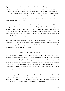If you were to sit on your foot and cut off the circulation of the fow of blood, or if you were to put a tourniquet around your neck and restrict the fow of oxygen, you would feel immediate evidence of the restriction. And, in like manner, when you think thoughts that are not in harmony with the thoughts of your *Inner Being,* the fow of *Life Force,* or *Energy,* that comes into your physical body is stifed or restricted—and the result of that restriction is that you feel negative emotion. *When you allow that negative emotion to continue over a long period of time, you often experience deterioration of your physical body.*

Remember, every subject is really two subjects: *what is wanted* or *lack of what is wanted.* It is like picking up a stick with two ends: One end represents what you *do* want; the other end represents what you *do not* want. So the stick called "Physical Well-Being" has "wellness" on one end and "illness" on the other. However, people do not experience "illness" only because they are looking at the negative end of the "Physical Well-Being" stick, but because they have been looking at the "I know what I *don't* want" end of many, *many* sticks.

When *your* chronic attention is upon things that you *do not* want—while the chronic attention of your *Inner Being* is upon the things that you *do* want—over time, you cause a vibrational separation between you and your *Inner Being,* and that is what all illness is: separation (caused by your choice of thoughts) between *you* and your *Inner Being.*

#### <span id="page-32-0"></span>**23. Pivot from Feeling Bad to Feeling Good**

Everyone wants to feel good, but most people believe that everything around them needs to be pleasing to them *before* they can feel good. In fact, most people feel the way they do in any moment in time because of something they are observing. If what they are observing pleases them, they feel good, but if what they are observing does not please them, they feel bad. Most people feel quite powerless about consistently feeling good because they believe that in order to feel good, the conditions around them must change, but they also believe that they do not have the power to change many of the conditions.

However, once you understand that every subject really is two subjects—what is wanted and lack of it—you can learn to see more of the positive aspects of whatever you are giving your attention to. *That really is all that the Process of Pivoting is: deliberately looking for a more positive way—a better-feeling way—to approach whatever you are giving your attention to.*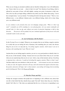When you are facing an unwanted condition and are therefore feeling bad, if you will deliberately say, "I know what I *do not* want . . . what is it that I *do* want?" the vibration of your Being, which is affected by your point of focus, will shift slightly, causing your point of attraction to shift, also. This is the way that you begin telling a different story about your life. Rather than saying, "I never have enough money," you say instead, "I'm looking forward to having more money." That is a very different story—a very different vibration and a very different feeling, which will, in time, bring you a very different result.

*As you continue to ask yourself, from your ever-changing vantage point, "What is it that I do want?" eventually you will be standing in a very pleasing place—for you cannot continually ask yourself what it is that you do want without your point of attraction beginning to shift in that direction. . . . The process will be gradual, but your continued application of the process will yield wonderful results in only a few days.*

#### <span id="page-33-0"></span>**24. Am I in Harmony with My Desire?**

So the *Pivoting Process* is simply: Whenever you recognize that you are feeling a negative emotion (it is really that you are feeling the lack of harmony with something that you want), the obvious thing for you to do is to stop and say, *I'm feeling negative emotion, which means I am not in harmony with something that I want. What do I want?*

Anytime that you are feeling negative emotion, you are in a very good position to identify what it is that you are, in that moment, wanting—because never are you clearer about what you *do want* than when you are experiencing what you *do not want.* And so, stop, in that moment, and say: *Something is important here; otherwise, I would not be feeling this negative emotion. What is it that I want?* And then simply turn your attention to what you do want. *. . . In the moment you turn your attention to what you want, the negative attraction will stop; and in the moment the negative attraction stops, the positive attraction will begin. And—in that moment—your feeling will change from not feeling good to feeling good. That is the Process of Pivoting.*

#### <span id="page-33-1"></span>*25. What* **Do I Want, and** *Why?*

Perhaps the strongest resistance that people have to beginning to tell a different story about their own life is their belief that they should always speak "the truth" about where they are or that they should "tell it like it is." But when you understand that the *Law of Attraction* is responding to you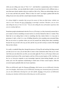while you are telling your story of "how it is"—and therefore is perpetuating more of whatever story you are telling—you may decide that it really is in your best interest to tell a different story, a story that more closely matches what you would *now* like to live. When you acknowledge what you *do not* want, and then ask yourself, "What is it that I *do* want?" you begin a gradual shift into the telling of your new story and into a much-improved point of attraction.

*It is always helpful to remember that you get the essence of what you think about—whether you want it or not—because the Law of Attraction is unerringly consistent. Therefore, you are never only telling the story of "how it is now." You are also telling the story of the future experience that you are creating right now.*

Sometimes people misunderstand what the *Process of Pivoting* is, as they incorrectly assume that *to pivot* means to look at something *unwanted* and try to convince themselves that it *is* wanted. They think that we are asking them to look at something that they clearly believe is *wrong* and to pronounce it *right,* or that it is a way of kidding themselves into accepting some unwanted thing. But you are never in a position where you can *kid* yourself into feeling better about something, because the way you feel is the way you feel, and the way you feel is always a result of the thought that you have chosen.

It is really a wonderful thing that, through the process of living life and noticing the things around you that you *do not want,* you are then able to come to clear conclusions about what you *do* want. And when you care about how you feel, you can easily apply the *Process of Pivoting* to direct your attention toward more of the *wanted* aspects, and less of the *unwanted* aspects, of life. And then, as the *Law of Attraction* responds to your increasingly improved, better-feeling thoughts, you will notice your own life experience transforming to match more of those *wanted* aspects, while the *unwanted* aspects gradually fade out of your experience.

*When you deliberately apply the Process of Pivoting, which means you are deliberately choosing your own thoughts, which means you are deliberately choosing your vibrational point of attraction, you are also deliberately choosing how your life unfolds. Pivoting is the process of deliberately focusing your attention with the intent of directing your own life experience.*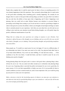<span id="page-35-0"></span>People often complain that it would be much easier for them to focus on something positive if it were already happening in their life experience. They accurately acknowledge that it is much easier to feel good about something when something good is already happening. We certainly do not disagree that it is easier to feel good while noticing things you believe are good. But if you believe that you only have the ability to focus upon what *is* happening, and if what *is* happening is not pleasing, then you could wait an entire lifetime because your attention to *unwanted* things is preventing *wanted* things from coming to you.You do not have to wait for a good thing to happen in order to feel good, for you have the ability to direct your thoughts toward improved things no matter what is currently present in your experience. And when you care about how you feel and you are willing to pivot and turn your attention toward better-feeling thoughts, you will quickly begin the positive, deliberate transformation of your life.

*Things that are coming into your experience are coming in response to your vibration. Your vibration is offered because of the thoughts you are thinking, and you can tell by the way you feel what kinds of thoughts you are thinking. Find good-feeling thoughts and good-feeling manifestations must follow.*

Many people say, "It would be so much easier for me to be happy if I were in a different place: if my relationship were better, if my mate were easier to live with, if my physical body didn't hurt or if my body looked different, if my work was more fulflling, if I only had more money. . . . If the conditions of my life were better, I would feel better, and then it would be easier for me to be thinking more positive thoughts."

Seeing pleasing things does feel good, and it is easier to feel good when a pleasing thing is there, obvious for you to see—but you cannot ask others around you to orchestrate only pleasing things for you to see. Expecting others to provide the perfect environment for you is not a good idea, for many reasons: (1) It is not their responsibility to feather your nest; (2) it is not possible for them to control conditions you have created around you; and (3) most important of all, you would be giving up your power to create your own experience.

*Make a decision to look for the best-feeling aspects of whatever you must give your attention to, and otherwise look only for good-feeling things to give your attention to—and your life will become one of increasingly good-feeling aspects.*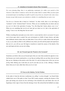*For every pleasing thing, there is an unpleasing counterpart, for within every particle of the Universe is that which is wanted as well as the lack of that which is wanted. When you focus upon an unwanted aspect of something in an effort to push it away from you, instead it only comes closer, because you get what you give your attention to whether it is something that you want or not.*

You live in a Universe that is based on "inclusion." In other words, there is no such thing as "exclusion" in this "inclusion-based" Universe. When you see something that you desire and you say yes to it, that is the equivalent of saying, "Yes, this thing that I desire, please *come to me.*" When you see something that you do not want and you shout no at it, that is the equivalent of saying, "*Come to me,* this thing that I do not want!"

Within everything that surrounds you is *that which is wanted* and *that which is unwanted.* It is up to you to focus upon what is wanted. See your environment as a buffet of many choices, and make more deliberate choices about what you think about. If you will try to make choices that feel good to you, as you make an effort to tell a different story about your life and the people and experiences that are in it, you will see your life begin to transform to match the essence of the details of the new-and-improved story you are now telling.

# **28. Am I Focused upon the Wanted or the Unwanted?**

Sometimes you believe that you are focused upon what you want when actually the opposite is true. Just because your words sound positive, or your lips are smiling while you say them, does not mean that you are vibrating on the positive end of the stick. It is only by being aware of the way you are *feeling* while offering your words that you can be sure that you are, in fact, offering a vibration about what you *do* want, rather than what you *do not* want.

#### **29. Focus on the Solution, Not the Problem**

In the midst of what the television weatherman was calling "a serious drought," our friend Esther walked down one of the paths on their Texas Hill Country property, noticing the dryness of the grass and feeling real concern for the well-being of the beautiful trees and bushes that were all beginning to show signs of stress from the shortage of rain. She noticed that the birdbath was empty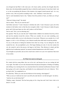even though she had flled it with water just a few hours earlier, and then she thought about the thirsty deer who had probably jumped the fence to drink the small amount of water that it held. And so, as she was pondering the direness of the situation, she stopped, looked upward, and—in a very positive voice, with very positive-sounding words—said, "Abraham, I want some rain."

And we said immediately back to her, "Indeed, from this position of lack, you think you will get rain?"

"What am I doing wrong?" she asked.

And we asked, *"Why* do you want the rain?"

And Esther answered, "I want it because it refreshes the earth. I want it because it gives all of the creatures in the bushes water so that they have enough to drink. I want it because it makes the grass green, and it feels good upon my skin, and it makes us all feel better."

And we said, "Now, you are attracting rain."

Our question "*Why* do you want the rain?" helped Esther withdraw her attention from the *problem* and turn her attention toward the *solution.* When you consider *why* you want something, your vibration usually shifts or *pivots* in the direction of your desire. Whenever you consider *how* it will happen, or *when,* or *who* will bring it, your vibration usually then shifts back toward the problem.

You see, in the process of taking her attention from what was wrong—by our asking her *why* she wanted the rain—she accomplished a *pivot.* She began thinking not only of *what* she wanted, but *why* she wanted it; and in the process, she began to feel better. That afternoon it rained, and that night the local weatherman reported "an unusual isolated thunderstorm in the Hill Country."

Your thoughts are powerful, and you have much more control over your own experience than most of you realize.

#### **30. What I do want is to feel good**

We visited with the young father who was at his wits' end because his son was wetting the bed every night. This father was not only frustrated about the physical disruption of finding wet bedding and clothing every morning but he was concerned about the emotional ramifications because it had been going on for such a long time, and frankly he was embarrassed by his son's behavior. "He's too big for this", he complained to us.

We asked him, "When you come into the bedroom in the morning, what happens?"

"Well, as soon as I walk into his room I can tell by the odor that he's wet the bed again", he told us. "And how do you feel about that?"

"Helpless, angry, frustrated. This has been going on for a long time and I don't know what to do about it", he said.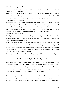"What do you say to your son?"

"I tell him to get out of those wet clothes and get into the bathtub. I tell him, he's too big for this and that we've talked about this before".

We told this father that he was actually perpetuating bed wetting. We explained to him, when the way you feel is controlled by a condition, you can never influence a change in the condition. But when you're able to control the way you feel within a condition, then you have the power to influence change in the condition.

For example, when you enter your son's bedroom, and become aware that something that you do not want has happened, if you would stop for a moment to think about that thing that has happened that you do not want, asking yourself what it is that you do want, and then further enforcing that side of the pivotal equation by asking yourself *why* you want it, not only would you immediately feel better, but you would soon begin to see the results of your positive influence.

"What *do* you want?" we asked.

He said, "I want my little one to wake up happy and dry and proud of himself and to not be embarrassed". This father felt relief as he focused upon what he wanted, because in making that effort he found harmony with his desire.

We told him, "As you're thinking those sorts of thoughts, then what will be oozing out of you will be harmony with what you do want rather than harmony with what you do not want. And you will be more positively influencing your son. Then words will come out of you such as, "Oh, this is all part of growing up. And all of us have been through this. And you're growing up very fast. Now get out of those wet clothes and get into the bathtub"".

This young father called very soon after that and happily reported that the bed wetting had stopped.

#### **31. Whenever I'm feeling bad, I'm attracting unwanted**

While almost everyone is aware of how they feel in varying degrees, there are few who understand the important guidance that their feelings, or emotions, provide. In the most simple of terms, whenever you feel bad, you're in the process of attracting something that will not please you. Without exception, the reason for negative emotion is because you're focused upon something you do not want, or upon the lack or absence of something that you do want.

Many regard negative emotion as something unwanted, but we prefer to see it as important guidance to help you understand the direction of your focus, therefore the direction of your vibration, therefore the direction of what you're attracting. You could call it a 'warning bell'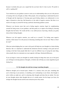because it certainly does give you a signal that lets you know that it's time to pivot. We prefer to call it a 'guiding bell'.

Your emotions are your guidance system to assist you in understanding what you are in the process of creating with every thought you think. Often people, who are beginning to understand the power of thought and the importance of focusing upon good feeling subjects, are embarrassed or even angry at themselves when they find themselves in the midst of negative emotion. But there is no reason to be angry at yourself for having a perfectly functioning guidance system.

Whenever you become aware that you're feeling negative emotion, begin by complimenting yourself for being aware of your guidance, and then gently try to improve the feeling by choosing thoughts that feel better. We would call this a very subtle process of pivoting, whereby you gently choose better-feeling thoughts.

Whenever you feel negative emotion, you could say to yourself, "I'm feeling some negative emotion, which means I'm in the process of attracting something that I do not want. What is it that I do want?"

Often just acknowledging that you want to feel good will help turn your thoughts in a better-feeling direction. But it is important to understand the distinction between wanting to feel good and not wanting to feel bad. Some people think that it's just two different ways of saying the same thing, when actually those two statements are exact opposite with huge vibrational differences.

If you can begin to orient your thoughts by steadily looking for things that cause you to feel good, you will begin to develop patterns of thoughts, or beliefs, that will help you create magnificent good feeling lives.

#### **32. My thoughts dovetail into stronger matching thoughts**

Whatever thought you're focused upon, whether it's a memory from your past, something that you're observing in your present, or something you're anticipating in your future, that thought is active within you right now, and it is attracting other thoughts and ideas that are similar. Not only do your thoughts attract other thoughts that are of a similar nature, but the longer you focus, the stronger the thoughts become and the more attraction power they amass.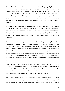Our friend Jerry likens this to the ropes he once observed while watching a large ship being docked. It was to be tied with a rope that was very large, too big and bulky to be thrown across the expansive water. And so instead, a small ball of twine was tossed across the water to the dock. That twine had been spliced into a little bigger rope, which had been spliced into a little bigger rope, which had been spliced into a little bigger rope, until eventually the very large rope could easily be pulled across the expansive water, and the ship was then secured to the dock. This is similar to the way your thoughts dovetail one to another, with one connecting to another, connecting to another.. and so on.

Upon some subjects, because you've been pulling upon the negative rope longer, it's very easy for you to get off on a negative tangent. In other words, it just takes a little negative utterance from someone, a memory of something or a suggestion that takes you into a negative tailspin right away. Your point of attraction predominantly occurs from the day to day things that you're thinking about as you're moving through your day. And you have the power to direct your thoughts positively or negatively.

For example, you're in a grocery store, and you notice that something that you regularly purchase has increased substantially in price, and you feel strong discomfort wash over you. You may very well think that you're just feeling shock over the sudden spike in the price of this item, and that since you have no say in what the grocer charges for the items, that you have no option other than to feel discomfort about it. However, we want to point out to you that your feeling of discomfort is not because of the grocer's action of raising the price of the goods for sale, but instead it's because of the direction of your own thoughts. Just like the analogy of the rope tied to the rope tied to the rope tied to the rope, your thoughts are tied to one another and travel quickly to heightened vibrational places. For example,

"Wow, the price of this is much greater than it was just last week. This price jump seems unreasonable. There's nothing reasonable about the greed in the market place. Things are getting way out of hand. I don't know where it's all headed. It doesn't seem like we can go on like this. Our economy's in trouble. I can't afford these inflated prices. I'm having a hard time making ends meet. I can't seem to earn it fast enough to keep up with the increase in the cost of living."

And of course, this negative train of thought could move in any directions: toward blame of the grocer, to the economy, to your government.. But it usually always turns back to the way you feel that the situation will negatively impact you, because everything that you observe feels personal to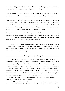you. And everything, in truth, *is* personal to you, because you're offering a vibration about it that is affecting what is now being attracted to you by your choice of thoughts.

If you are aware of how you are feeling, and you understand that your emotions are indicating the direction of your thoughts, then you can more deliberately guide your thoughts. For example,

"Wow, the price of this is much greater than it was last week. However, I'm not aware of the other things in my basket. They could be the same or maybe even a bit lower. I wasn't really paying attention. This one just got my attention because it was so much greater. Prices do fluctuate. I always manage. Things are going up a bit, but it's working out alright. It is quite an impressive system of distribution that makes this variety of goods so accessible to us."

Once you've decided that care about feeling good, you will find it easier to more consistently choose a better feeling direction in your thoughts. When a desire to feel good is effectively active within you, a consistent inspiration toward good-feeling thoughts will be present. And you'll find it easier and easier to direct your thoughts in productive directions.

Your thoughts contain enormous creative attractive power that you harness effectively only by consistently offering good-feeling thoughts. When your thoughts constantly move back and forth between wanted and unwanted, pros and cons, pluses and minuses, you lose the benefit of the momentum of your pure positive thought.

#### **33. Creating a book of positive aspects**

In the first year of Jerry and Esther's work with us they were using small hotel meeting rooms in different cities. Always wanting to provide a comfortable place where people could gather to address their personal questions with us. There was a hotel in the city of Austin that always seemed to forget they were coming, even though Esther had made arrangements with the hotel, signed contracts, even called in the days just prior to the event to confirm. The hotel was always able to accommodate them, even though when they arrived no one seemed to be expecting them. But it was very uncomfortable for Jerry and Esther to be in the position of urging the hotel to hurry to get the room ready before their guests arrived. Finally Esther said, "I think we should find a new hotel". And we said, "That might be a good idea, but remember, you will take yourselves with you".

"What do you mean", Esther asked a bit defensively.

We explained to her, "If you take action from your perspective of lack, the action is always counterproductive. In fact, it is likely that the new hotel will treat you just like the last one did".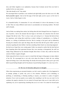Jerry and Esther laughed at our explanation, because they'd already moved from one hotel to another for the very same reason.

"But what should we do?" they asked.

We encouraged them to purchase a new notebook and right boldly across the front cover of it:  $M_V$ *book of positive aspects*. And on the first page of the book right: *positive aspects of this hotel in Austin*. And so, Esther began to write:

It's a beautiful facility. It's immaculate. It's very well situated, it's close to the interstate, it's easy to find. There are many different sized rooms to accommodate our increasing numbers. The hotel staff is friendly.

And as Esther was making those entries, her feeling about the hotel changed from one of negative to one of positive. And in the moment that she began to feel better, her attraction from the hotel changed. She did not write, "*They're always ready and waiting for us"*, because that had not been her experience, and writing that would have evoked a feeling of contradiction, or a feeling of defense, or a feeling of justification from her. But by wanting to feel good, and by deliberately focusing her attention more upon the things about the hotel that did feel good, Esther's point of attraction regarding the hotel shifted. And then something Esther found very interesting happened – the hotel never forgot they were coming again. Esther was amused to realize that the hotel had not been forgetting about their agreement because they were uncaring or disorganized, the staff was simply being influenced by her dominant thought about them. In short, they could not buck the current of Esther's negative thought.

Esther enjoyed her *Book of positive aspects* so much that she began writing pages on many subjects of her life. We encouraged her to not only write about the things in which she was seeking improved feelings, but to write about things she already felt mostly positive about, just to get in the habit of good-feeling thoughts and for the pleasure of good-feeling thoughts. It's a nice way to live.

#### **34. The Law of Attraction adds power to thoughts**

Often when experiencing an unwanted situation, you feel a need to explain why it has happened in an attempt, perhaps, to justify why you're in the situation. Whenever you're defending, or justifying, or rationalizing, or blaming anything or anyone, you remain in a place of negative attraction. Every word you speak as you explain why something is not the way you want it to be continues the negative attraction, for you cannot be focused upon what you *do* want while you're explaining *why* you're experiencing something that you *do not* want. You cannot be focused upon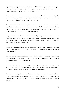negative aspects and positive aspects at the same time. Often in an attempt to determine where your trouble started, you only hold yourself in that negative attraction longer. "What's the source of my trouble? What's the reason that I am not where I want to be?"

It's natural that you want improvement in your experience, and therefore it's logical that you're solution oriented. But there is a big difference between seriously looking for a solution and justifying the need for a solution by emphasizing the problem.

The realization that something is not as you want it to be is an important first step. But once you've identified that, the faster you're able to turn your attention in the direction of a solution, the better, because a continuing exploration of the problem will prevent you from finding the solution. The problem is a different vibrational frequency than the solution.

As you become aware of the value of the process of pivoting, and as you become adept at identifying what is not wanted, and then immediately turn your attention toward what *is* wanted, you will realize that you're surrounded primarily by wonderful things, for there is so much more that is going right in your world than wrong.

Also, a daily utilization of the *Book of positive aspects* will help you to become more positively oriented. It will assist you in gradually tipping the balance of your thoughts more in the direction of what you do want.

The more that you focus your attention with the intention of finding increasingly better-feeling thoughts, the more you will realize that there is a very big difference between thinking about what you want and thinking about the absence of it.

Whenever you're feeling uncomfortable as you're speaking or thinking about improving something you want, such as a better financial condition or an improved relationship or physical condition, you're in that moment preventing yourself from finding the improvement.

The process of pivoting and the process of the *Book of positive aspects* are both offered to assist you in recognizing in the early subtle stages of your creation that you are pulling on the very tips of that negative ball of twine, so that you may right away release it and reach for the positive thread of thought instead.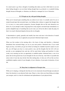It is much easier to go from a thought of something that makes you feel a little better to an even better feeling thought to an even better feeling thought than to go directly to a wonderful feeling thought, because all thoughts, or vibrations, are affected, or managed, by Law of Attraction.

## **35. I'll begin my day with good feeling thoughts**

When you're focused upon something that you really do not want, it is actually easier for you to remain focused upon that unwanted topic, even finding other evidence to support that thought, than it is to move to a more positive perspective, because thoughts that are like unto themselves are drawn. So, if you attempt to make a big jump from a truly negative unwanted topic immediately to a positive delightful topic of something that you do want, you will not be able to make the jump, for there's too much vibrational disparity between the two thoughts.

A determination to gently, generally and steadily lean more and more in the direction of wanted things is really the best way to approach your personal vibrational improvement.

When you first awaken in the morning after a few hours of sleep, and therefore a vibrational detachment from unwanted things, you are in your most positive vibrational state. If you would begin your day, even before you get out of bed, by looking for a handful of positive aspects in your life, you will begin your day in a more positive vane, and the thoughts that the LOA will now provide as your springboard into each day will be much better feeling and beneficial. In other words, every morning you have an opportunity to establish another vibrational basis, a sort of set point, that sets the general tone of your thoughts for the rest of the day. And while it is possible that some events of your day may deviate from that starting place, in time you will see that you have established complete control of your thoughts, of your vibration, of your point of attraction, of your life.

# **36. Sleep time is realignment of Energies time**

While you're sleeping, or during the time that you're not consciously focused through your physical body, the attraction to your physical body stops. Sleep is a time when your Inner-Being can realign your energies, and it is a time for refreshment and replenishment of your physical body.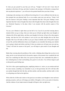If, when you put yourself in your bed, you will say, "Tonight I will rest well. I know that all attraction to this body will stop, and when I awaken in the morning I will literally re-emerge back into my physical experience ", you will receive the greatest benefit from your time of sleep.

Awakening in the morning is not so different from being born. It's not so different form the day you first emerged into your physical body. So, as you awaken, open your eyes and say, "Today I will look for reasons to feel good. Nothing is more important than that I feel good. Nothing is more important than that I choose thoughts that attract other thoughts that attract other thoughts that raise my vibrational frequency to the place where I can resonate with the positive aspects of the Universe<sup>"</sup>

You see, your vibration is right where you last left it. So, if you lie in your bed worrying about a situation before you go to sleep, when you wake up you will pick up right where your thoughts or vibration left off the night before, and then your thoughts for the day will get off on that negative footing. And then the LOA will continue to serve up for you other thoughts that are like those thoughts. But if you will make an effort as you go to sleep to identify some of the positive aspects of your life, and then deliberately release your thoughts as you remember that during your slumber you're going to detach and refresh, and then if when you awaken you will open your eyes and say, "Today I will look for reasons to feel good", you will begin to gain control of your thoughts and life.

Rather than worrying about the problems of the world, or thinking about things that you have to do today, just lie in your bed and look for the positive aspects of the moment: how wonderful this bed feels, how comforting the fabric feels, how good my body feels, how comfortable this pillow is, how refreshing the air is that I am breathing, how good it is to be alive. You will have begun to pull on that positive good feeling rope.

The LOA is like a giant magnifying glass, amplifying whatever is. And so, as you awaken and look for some reasons, something very immediate to you, to feel good about, the LOA will then offer you another thought that feels like that, and then another, and then another, and that really is what we call getting out of bed on the right foot.

With a little bit of effort and a desire to feel good you can redirect your thoughts to more and more pleasing scenarios, until you will change your habits of thought as well as your point of attraction. And the evidence of your improvement in thought will begin to show up right away.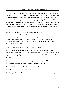#### **37. An example of a positive aspects bedtime process**

Your action orientation in life causes you to believe that it takes hard work to make things happen. But as you learn to deliberately direct your thoughts, you will discover that there is tremendous leverage and power in thought. As you focus more consistently only in the direction of what you desire, rather than diluting the power of your thought by thinking of the wanted and then the unwanted, you will understand from your personal experience what we mean. Because of your action orientation you often try too hard and work too hard, and as a result of that most of you bring yourselves more to the attention of what is wrong, or more to the attention of what needs to be fixed, than you do to the attention of what you desire.

Here is a good way to apply the process of positive aspects at bedtime:

Once you're in your bed, try to recall some of the most pleasant things that happened during the day. Since many things have undoubtedly happened during this day, you may have to ponder for a little while, and you may remember some of the less than pleasant things that happened. But stick to your intention of finding something pleasing. And when you find it, ponder it. Prime your positive pomp by saying things such as,

"The thing I liked about that was,,", or "My favorite part of that was.."

And then follow any positive thread that you find, thinking about the best parts of your day. And then, once you're feeling the effect of your positive thoughts, focus on your dominant intention right now, which is getting a good night sleep and awakening refreshed in the morning. Say to yourself,

"I am going to sleep now, and while I am sleeping, because my thoughts will be inactive, attraction will stop and my physical body will be completely refreshed at every level."

Turn your attention to the immediate things around you, like the comfort of your bed or the softness of your pillow – the Well-Being of your moment. And then softly set forth the intention,

"I will sleep well, and I will awaken refreshed with another new good feeling positive point of attraction"

And then off to sleep you go.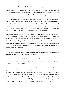As you awaken the next morning, you will be in that positive good feeling place, and your first thoughts will be something like, "Ah, I'm awake! I've re-emerged back into the physical." Lie there for a little while and bask in the comfort of your bed, and then offer a thought such as,

"Today, no matter where I'm going and no matter what I'm doing, no matter who I'm doing it with, it is my dominant intent to look for things that feel good. When I feel good, I'm vibrating with my Higher Power. When I feel good, I'm in harmony with that which I consider to be good. When I feel good, I'm in the mode of attracting that which will please me once it gets here. And when I feel good, I feel good. It's just good to feel good. If the only thing it ever brought you is the way you feel in the moment. Ah, but feeling good brings ever so much more beyond that."

We would lie in the bed for 2 or 3 minutes. That is enough. And we would look for positive aspects of our surroundings. And then, as we move into the day, we would begin to acknowledge more positive aspects, looking for more reasons to feel good, no matter what the object of our attention is. In the first moment of any negative emotion, which will very likely occur, even though you've begun your day looking for reasons to feel good, because there is upon some subjects some negative momentum already in motion, so don't worry about it, but upon the first inclination of any negative emotion, we would stop and say,

"I want to feel good. I'm feeling some negative emotion, which means that I'm focusing upon something that I do not want. Now, what is it that I want?"

And then we would turn our attention immediately to that which we want. Staying focused upon the new thought or the positive thought long enough that we could feel the positive energy again beginning to flow through our body.

As you move through your day, look for more reasons to laugh and more reasons to have fun. When you want to feel good and you do not take things so seriously, and when you are not taking things so seriously, you're not as likely to notice the lack of things wanted, and when you're not focused upon the lack of what you desire, you just feel better. And when you feel better, you attract more of what you do want., and your life just gets better and better and better. And then that night as you lie in your bed, you'll have many wonderful things to ponder as you drift off into your restful refreshing sleep. And then you'll awaken into an even better feeling new day tomorrow.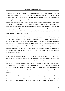#### **39. I know how I want to feel**

Sometimes, when you're in the midst of an uncomfortable situation, you struggle to find any positive aspects within it. Some things are intolerable. Some things are so big and so bad, that it does not seem possible for you to find anything positive about it. But that is because you're attempting to take too large of a jump from the awfulness of what you're focused upon to the solution that you desire. In other words, if you want to find an action solution right now that will fix this, but you find yourself in a situation where no action that you can take seems appropriate, always remember that while there may not be a positive aspect to your action in this moment, and while you may not be able to figure out what to do that would make you feel better, you always do know how you want to feel. It's a bit like someone saying, "I've just jumped out of an airplane and I have no parachute. What shout I do now?"

There are situations where, given the current circumstances, there is no action or thought that at this point will make a significant enough difference to change the outcome that's barreling in upon you. And in the same way that sometimes you cannot find any action that will fix things, there's no thought that will immediately change it either. But if you understand the power of your thought, and the incredible leverage that consistently good feeling thoughts provide, and you begin deliberately choosing your thoughts by utilizing the guidance that your feelings or emotions are indicating to you, you can easily transform your life into predominantly good feeling experiences by focusing upon the improved feeling.

If you're able to find even the smallest feeling of relief in a deliberately chosen thought, your gentle path toward your solution will begin. What to do in certain situations may not by clear to you, and you may at times not even be able to identify what it is that you want to have, but there's never a time that you are unable to identify to some extent how you want to feel. In other words, you know that you would rather feel happy than sad, you know you'd rather be refreshed than tired, or invigorated rather than enervated. You know that you would rather feel productive than unproductive. You know that you would rather feel free than confined, and growing rather than stagnant.

There is not enough action available to compensate for misaligned thought. But when you begin to gain control of the way you feel, by more deliberately choosing the direction of your thought, you will discover the powerful leverage in thought. If you will bring yourself to a more deliberate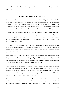control of your own thought, you will bring yourself to a more deliberate control of your own life experience.

## **40. Nothing is more important than feeling good**

Becoming more deliberate about the things you think is not a difficult thing. You're often particular about what you eat, or the vehicle you drive, or the clothes you wear, and being a deliberate thinker does not require much more deliberate discrimination than that. But learning to deliberately direct your thoughts toward the aspect of the subject that feels best to you will have a much greater impact on the improvement of your life than the choosing of a meal or of a vehicle or of clothing.

Once you read these words and feel your own personal resonance with their meaning and power, you'll never again feel negative emotion without realizing that you're receiving important guidance to assist you in guiding your thoughts in a more productive and beneficial direction. In other words, you will never again feel negative emotion and not understand that it means you're in the process of attracting something unwanted.

A significant thing is happening with you as you're coming into conscious awareness of your emotions and the guidance that they provide. Because even in your ignorance of what negative emotion meant, you were still negatively attracting. And so, understanding your emotion now gives you control of your life experience.

When you're feeling less than good, if you'll stop and say, "Nothing is more important than that I feel good. I want to find a reason now to feel good", you will find an improved thought, which will lead to another and another. And as you develop the habit of looking for good feeling thoughts, the circumstances that surround you must improve, the LOA demands it.

When you feel good, you experience a sensation of doors opening as the Universe is cooperating with you. And when you feel bad, it feels as if doors are closing, and the cooperation stops. Anytime you feel negative emotion, you're in the mode of resisting something that you want, and that resistance takes its toll on you. It takes its toll on your physical body, and it takes its toll on the wonderful things that you are allowing to come into your experience.

Through your process of living life and noticing things wanted and unwanted, you've created a sort of vibrational escrow, which in a sense holds for you those wanted things you've identified, until you become a close enough vibrational match to them that you allow yourself a fully manifested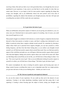receiving of them. But until you find a way to feel good about them, even though they have not yet manifested in your experience, it may seem to you that they're on the outside of a door that you cannot open. However, as you begin to look for more positive aspects regarding the things that occupy your thoughts, and as you deliberately choose the more positive end of the stick of possibilities, regarding the subjects that dominate your thought processes, that door will open and everything that you desire will flow easily into your experience.

#### **41. It gets better the better it gets**

When you deliberately seek positive aspects of whatever you are giving your attention to, you, in a sense, tune your vibrational tuner to more positive aspects of everything. And, of course, you could tune yourself negatively as well.

Many people struggle in an attitude of self-criticism as a result of negative comparison that has been directed to them from parents or teachers or peers, and there's nothing more detrimental to your ability to positively attract than a negative attitude toward yourself. So, sometimes by choosing a subject about which you've practiced fewer negative thoughts, you can tune yourself to a better feeling frequency, and then from that better feeling place, as you redirect your thoughts toward yourself, you will find more positive aspects about yourself than usual. Once you find more positive aspects of the world that surrounds you, you will begin to find more positive aspects about yourself. And when that happens, finding more positive aspects about your world will be easier still. When you find things about yourself that you do not like, you will find more of those things in others. You say, "The worse it gets the worse it gets". But as you are deliberately looking for positive aspects in yourself or in others, you will find more of those things: "The better it gets, the better it gets".

We cannot overemphasize the value in looking for positive aspects and focusing upon more of things wanted, because everything that comes to you is dependant upon that very simple premise: you get more and more of what you are thinking about—whether you want it or not.

#### **42. My Universe is positively and negatively balanced**

So, you are the creator of your experience. Or you could say that you're the attractor of your experience. Creating is not about identifying something wanted and then going after it and capturing it. Creating is about focusing upon the subject of desire, tuning your thoughts more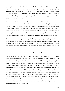precisely to the aspects of the subject that you would like to experience, and therefore allowing the LOA to bring it to you. Whether you're remembering something from the past, imagining something about the future, or observing something from your now, you're offering thought vibrations that the LOA is responding to. You may refer to your thoughts as desires or beliefs (a belief is only a thought that you keep thinking), but whatever you're giving your attention to is establishing your point of attraction.

Because every subject is actually two subjects – what is wanted and the lack of what is wanted – it's possible to believe that you're positively focused, when in fact you're negatively focused. A person may say, "I want more money", but what they're actually focused upon is the fact that they don't have as much money as they need. Most people talk most often about their desire to be healthy when they're feeling sick. In other words, their attention to what they do not want is what is prompting their remarks about what they do want. But in the majority of cases, even though they may be speaking words that seem to indicate that they're focused upon their desire, they are not.

It's only by consciously recognizing how you're feeling while you're speaking that you really know if you're positively or negatively attracting. And while you may not see immediate evidence of what you're in the process of attracting, whatever you're thinking about is amassing matching thoughts and vibrations and energies. And eventually the evidence of your attraction will be obvious.

## **43. My Universe responds to my attention to..**

Most people believe, or would like to believe, that everything in the Universe responds to their words in the same way that other people around them can sometimes be trained to behave. When you tell someone, "Yes, come to me", you expect them to come. When you say, "No, go away from me", you expect them to go. But you live in an attraction based Universe, an inclusion based Universe, which simply means, there's no such thing as "No". When you give your attention to something wanted and you say, "Yes, come to me", you include it in your vibration, and the LOA begins the process of bringing it. But when you look at something unwanted and you say, "No, I do not want you. Go away!", the Universe brings that also. Your attention to it, and therefore your vibrational alignment with it is what's causing the response, not your words. And so, as you say, "Perfect health, I seek you, I want you. I bask in the idea of perfect health", you're attracting health. But as you say, "Sickness, I do not want you", you're attracting sickness. As you say, "No, no, no!", it's coming closer closer closer, because the more you struggle against something that you do not want, the more engulfed in it you become.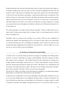People often believe that once they find their perfect mate or achieve their perfect body weight, or accumulate enough money, then once and for all they will find the happiness that they seek. But nowhere is there a little corner of something where only positive aspects exist. The perfect balance of the Universe says that positive and negative, wanted and unwanted exists in all particles of the Universe. When you as the creator, the chooser, the definer, the decider, when you look for positive aspects, that becomes what you live in all aspects of your life. You don't have to wait around for that perfect thing to show itself to you so that you can then have a positive response to it, instead you can positively train your thoughts and vibrations. And then you will become the attractor of it, or the creator of it.

We would encourage you to begin each day with the statement: "Today, no matter where I go, no matter what I'm doing, and no matter who I'm doing it with, it is my dominant intent to look for what I'm wanting to see."

Remember, when you awaken in the morning, you are reborn. While you have slumbered, all attraction has stopped. That sequestering away for a few hours of sleep, where your consciousness is no longer attracting, gives you a refreshing new beginning. And so, unless you wake up in the morning and begin regurgitating what troubled you the day before, it will not trouble you in your new day, in your new birth, in your new beginning.

#### **44. Decisions to feel good attract good feelings**

A woman said to us, when she found out that she was going to be attending some holiday parties, she said, "As soon as I heard that I was going, I started thinking, "Oh, Mary is going to be there. She's going to look so gorgeous"". She realized that just the idea of the party was causing her to compare herself to other people. And she said to us, "I want to stop doing that. I want to feel good about me, and just enjoy the parties no matter who is there". She asked us if we could help her with the process of pivoting and positive aspects. She knew she was feeling self-conscious and didn't know what to do about it. She said, "I don't even want to go to the parties".

We said to her, "While your feeling of self-consciousness is amplified, as you think about going to these parties, it's not Mary who is the reason for your discomfort".

It often feels very complicated to sort out your relationships with other people. Sometimes you even try to trace those feelings back to your childhood. But there really is no point in doing that. You have the ability from right where you stand right now to find positive or negative aspects, to think of wanted or unwanted. And whether you begin the process now or several days before you go to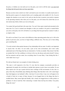the party, or whether you wait until you're at the party, your work is still the same: you must look for things that feel good when you focus upon them.

Because you have more control over what's activated in your own mind, it is usually much easier to find the positive aspects of a situation before you're standing right in the middle of it. So, if you do imagine the situation as you want it to be, and you take the time to practice your positive response to the upcoming situation, then when you're at the party, you will witness the control that you set into motion days before, before you were at the party.

You cannot feel good and bad at the same time. You can't focus upon wanted and unwanted at the same time. So, if you've trained your thoughts to what you consider to be good or wanted before you arrive at the party, the LOA will deliver to you things that feel good and are wanted. It really is as simple as that.

We said to our friend, if you want to feel different at these upcoming parties than you've felt at the parties in previous years, you have to begin telling a different story. The story you've been telling goes something like:

"I'm only invited to these parties because of my relationship with my mate. It really is not important to anyone that I be there. I'm not really a part of his work environment, and I don't really understand most of the things that they are interested in. I'm like an outsider. Mary doesn't feel like an outsider like I do. Her confidence is obvious in the way she dresses and carries herself. I always feel less attractive and less smart, less everything when I'm near Mary. I hate feeling like this. I wish I didn't have to go."

We told our friend, here's an example of a better feeling story:

"My mate is well respected at his firm. It's nice that his company occasionally provides an opportunity for people who work there to include their spouses to get to know one another. No one there expects me to be up to speed with the inner workings of that environment. In fact, this is a party where they will probably enjoy thinking about things other than their work. Life's much larger than what happens at my husband's office. And since I'm never there, I may very well appear to be a breath of fresh air to many of them, because I'm not bogged down in the things that they're troubled about. Mary seems light and friendly. She's clearly not bogged down in office politics or problems. It's fun to watch her. She's interesting. I wonder where she buys her clothes. Very pretty things she wears."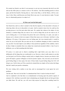We wanted our friend to see that it's not necessary to sort out every insecurity that she'd ever felt and use this office party as a means to solve it. We told her, "Just find something positive to focus upon, and feel the benefit of having done so. And in time Mary, or all the Maries, will be a nonissue. In fact, Mary could become your friend. But in any case, it's your decision to make. You just have to vibrationally practice it to make it so".

#### **45. How can I not feel their pain?**

Our friend Jerry said to us that it seemed to him that the majority of his discomfort is because of observing others who are in discomfort or in pain. And he wanted to know how he could use the pivoting process to not feel pain about their pain. We explain that whatever the subject of your attention, it contains things that you want to see as well as things that you do not want to see. If you're feeling pain, it is not because the person that you're observing is in pain, your pain is because you've chosen to look at an aspect of them that causes you to feel pain. And there's a big difference. Of course, if this person were not feeling pain, but were instead joyful, it would be easier for you to feel joyful. But you must not rely on conditions changing in order to control the way you feel. You must improve your ability to focus positively regardless of the condition. And to do that, it helps to remember that every subject has wanted and unwanted within it. And, if you're deliberate, you *can* find something that feels better.

Of course, it is easier just to observe something that's right before your eyes, than it is to deliberately sift for things that you would prefer to see. However, when it really matters to you that you feel good, you'll be less willing to merely lazily or sloppily observe, because your desire to feel good will inspire a greater willingness to look for positive aspects. Also, the more you do look for good feeling things to focus upon, the more of those kinds of good feeling things the LOA will bring to you. Until in time you'll be so positively oriented that you simply will not notice the things that don't match your positive orientation.

We were visiting with a mother at one time, and we encouraged her to just ignore her son's problems.

And she said, "But won't he feel like I've abandoned him? Don't I need to be there for him?"

And we explained to her that there is no abandonment in focusing upon the positive aspects of someone's life. And there is powerful value in abandoning any thoughts that do not feel good when you think them. We told her, you will never help anyone by being their sounding board for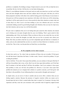problems or complaints. By holding an image of improvement in your son's life you help him move toward that. Be *there* for him. Call him *there* to *that* better feeling place.

When it's your deliberate intention to feel good, and you really care about how you feel, you'll find more and more thoughts about more and more subjects that do feel good. And then you will be better prepared to interface with others who could be feeling good or bad. Because of your desire to feel good you will have prepaved your experience with others with whom you will be interacting. And then it will be much easier for you to focus positively about their situation no matter what sort of mess they're in. But if you've not been tending to your own vibration and you've not been consistently holding yourself in good feeling thoughts and vibrations, then you may be swept away into their situation, and you may very well feel discomfort.

We just want to emphasize that you're not feeling their pain caused by their situation, but instead you're feeling your own pain, brought about by your own thinking. There's great control in that understanding, and, if fact, true freedom. When you discover that you can control the way you feel because you can control the thoughts you think, then you are free to joyously move about your Planet. But when you believe that the way you feel is dependant upon the behavior or situations of others, and you also understand that you have no control over those behaviors or situations, you do not feel free. That, in fact, was the pain that our friend Jerry was describing.

## **46. My sympathy is of no value to anyone**

So then Jerry said to us, "So, when I take my attention off those who are in trouble, I'll feel good, but still that doesn't help them feel better. In other words, I haven't solved the problem, I'm just avoiding the problem".

And we told him, "If you don't focus upon their problem, you can continue to feel good. But they'll still have the problem, that is true, at first. But if you do focus upon their problem, you'll feel bad, they'll continue to feel bad, and they'll still have the problem. And if you continue to focus upon their problem, in time you will have the problem too. However, if you don't focus upon their problem but instead you try to imagine their solution or a positive outcome, you'll feel good. And then there is the possibility of your influencing them to more positive thoughts and outcomes".

In simple terms, you are never of value to another and you never offer a solution when you are feeling negative emotion. Because the presence of negative emotion within you means you're focused upon the lack of what is wanted rather than what is wanted. So, if someone is having a bad experience and they come into your awareness with a powerful wind of negativity rapped around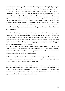them, if you have not already deliberately achieved your alignment with feeling food, you may be swept into their negativity, you may become part of their chain of pain, and you may very well then pass your discomfort onto another who will then pass it onto another, and so on. But if you have been deliberately setting the tone of your day, but putting your head on your pillow each night and saying, "Tonight, as I sleep, all attraction will stop, which means tomorrow I will have a new beginning, and tomorrow I will look for what I'm wanting to see, because I want to feel good, because feeling good is the most important thing", as you awaken in the morning, you will be upon a fresh path, bringing no negativity from the day before. And then, as you walk into a room and you see someone with pain coming toward you, as this person comes with his pain, you don't become part of it, but instead you provide a better example of happiness. For that which you feel is that which you radiate.

Now, it's not likely that just because you remain happy, others will immediately join you in your happiness. In fact, when there's a great disparity between the way you are feeling and the way others are feeling, you will have a difficult time relating to one another. But in time, if you maintain your positive vibrational stance, they will either join you in your positive place, or they will vibrate right out of your experience. The only way unhappy people can stay in your experience is by your continuing attention to them and their unhappiness.

If you and two other people were walking along a mountain ledge, and you were not watching where you were going and you stumbled and fell over the edge, and you were hanging by a very flimsy vine, and one of your friends was very strong and surefooted, and the other was very clumsy and not focused, which one would you be glad was there?

Looking for the positive aspects is the way you find your surefooting. It is who-you-are from an Inner perspective. And as you consistently align with increasingly better feeling thoughts, the powerful resources of the Universe become available to you.

To sympathize with another means to focus upon their situation until you feel as they feel. And since everyone has the potential of feeling wonderful or feeling awful, of succeeding at their desires or of failing at their desires, you have options abut which aspects of them you sympathize with. We encourage you to sympathize with the best feeling aspects of others that you can find. And in doing so, you may influence them to an improved condition also.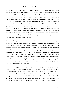A man once asked us, "How do you end a relationship without being hurt by the other person being hurt? If you decide that it's time to move on, and the other person is not ready to move on, so he or she is distraught, how can you keep your balance in a situation like that?"

And we said to him, when you attempt to guide your behavior by paying attention to how someone else feels about your behavior, you're powerless. Because you cannot control their perspective, and therefore you cannot achieve any consistent improvement in your own vibration or point of attraction or how you feel. If you've decided to take the action of leaving a relationship before you've done the vibrational work of focusing upon what you want and why you want it, any action that you take can only bring you more of the same discomfort that you've been experiencing. And even once the relationship is ended and you're alone or beginning another relationship with another person, those old lingering negative vibrations will not allow a pleasant unfolding. In other words, it's so much better to find your vibrational balance before you take the action of separation, or you may experience a rather long time of discomfort.

We told our friend, let's examine the components of the situation and bring some clarity to your options. You've come to the conclusion, as a result of being unhappy in this relationship for a while, that it would be better to end it. In other words, you believe that your chance of happiness is greater outside of the relationship than inside it. But when you announce that to your partner, your partner becomes even more unhappy. And now because your partner is more unhappy, you are more unhappy. One option is to stay. To say, "Never, mind, don't be unhappy. I've changed my mind. I'll stay". But all that has happened is that you were both feeling unhappy, you made a decision to leave, which made your partner even more unhappy, and now you've pulled back from that decision, so your partner is not quite as unhappy as before, but still neither of you are happy. So nothing has changed except that things got a bit more intense for a while. But basically, you're still unsatisfied and unhappy in this relationship.

Another option is to just leave. You could focus upon all of the things that have caused you to feel uncomfortable in the relationship and use those things as your justification for leaving, and while that negative focus upon negative things will give you the conviction to take the action of leaving, you will really not feel that much better. While you may feel some relief from the intensity of your unhappiness once you're on the outside of the relationship, you'll continue to feel a need to justify your action of leaving, which will continue to hold you in an unpleasant state. So, even though you've walked away from the things that were really bothering you, you'll still feel bothered.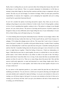Really, there is nothing that you can do to prevent others from feeling bad, because they don't feel bad because of your behavior. There is no greater entrapment in relationship or in life than an attempt to keep others happy by observing their emotions and then trying to compensate with your actions. The only way you can be happy is to decide to be happy. When you take upon yourself the responsibility of someone else's happiness, you're attempting the impossible and you're setting yourself up for a great deal of personal discord.

So now let's consider the options of pivoting and positive aspects. Stay where you are for now, making no big change in your action or behavior. In other words, if you're living together, continue to do so; if you're spending time together, continue to do so. This option is a change in your thought process, not your action process. The process of pivoting and the process of positive aspects are designed to help you focus differently and to begin telling the story of your relationship or of your life in a better feeling, more self-empowering way. For example,

"I've been thinking about leaving this relationship because I find that I am not happy within it. But as I think about leaving I realize that when I go I'll take myself with me, and if I leave because I'm unhappy, I'll be taking that unhappy person with me. The reason that I want to leave is because I want to feel good. I wonder if it's possible to feel good without leaving. I wonder if there's anything about our relationship that I could focus upon that does feel good. I remember meeting this person and how that felt. I remember feeling drawn by this person and eager to move forward to see what more we might discover together. I liked the feeling of discovery, I liked our relationship as it began. I think that the more time we spent together, the more we realized that we were not really a perfect match. I don't believe that there is any failure on either of our parts in that. Not being a perfect match doesn't mean that either of us is wrong. It only means that there are potentially better partners out there for each of us. There are so many things about this person that I like and that anyone would easily appreciate: so smart and interested in so many things, laughs easily, likes to have fun. I'm glad that we've come together. And I believe that our time together will prove to be of value to both of us".

So, our answer to this important question is, you cannot control the pain that any other feels by modifying your behavior. You can, however, control your own pain by directing your thoughts until your pain subsides and is replaced by improved feelings. As you give your attention to what you're wanting, you will always begin to feel good. As you give your attention to the lack of what you're wanting, you will always feel bad. And if you give your attention to the lack of what someone else is wanting, you will feel bad also.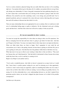You're so action oriented as physical beings that you really think that you have to fix everything right now. Your partner did not get to this place all of a sudden, your partner did not even get there only during your relationship. It's been a long path, momentum has been gathering along the way. So, don't expect that a conversation that you're having in this moment is going to make all of the difference. See yourself as one who is planting a seed, a very strong, sure, powerful seed. You've planted it perfectly, and you've nurtured it for a time with your words so that long after you're gone that seed will continue to blossom into that which it is to be.

There are many relationships that are not appropriate for you to continue. But we would never walk out of a relationship feeling angry or guilty or defensive. Do the vibrational work, get to feeling good, and then leave. And then what comes next will not be a replay of what you just left.

## **48. I am not responsible for others' creations**

You must not accept the responsibility for what others are doing in their own life experience. See them as emerging from the lack and know that it's going to get better for them later. And then you'll begin to feel better. You may even inspire them in their sleep state to an improved direction. When you think about them, see them as happy. Don't regurgitate in your mind the sad conversations you've had, or the parting. Instead, envision them as getting on with their life, just as you're getting on with yours. Trust that they have the guidance within them to find their own way. What trips most of you up so often in your wanting to help others is that you believe, "They need me, because they can't help themselves". But that belief is detrimental to them, because down deep inside they know they *can* do it, and they're wanting to do it. Begin to say things to your partner such as,

"You're such a wonderful person. And while we haven't connected on as many levels as I would like, I know there's a perfect partner waiting for you, and I'm releasing you to that opportunity. Look for it. I don't want to keep you caged here, captive to something that neither one of us wants. I want to free us both to that which we both are wanting. I am not telling you goodbye forever, I'm saying, let's let this relationship have a new understanding between us, one that's inspired from passionate positive desire, not one that's whipped into place because we're afraid of the possible consequences".

And then say to the person,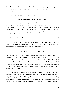"When I think of you, I will always know that while you're sad now, you're gonna be happy later. I'm gonna choose to see you as happy because that's the way I like you best. And that's what you like best too".

This may sound tough or cold. But nothing else makes sense.

# **49. Listen for guidance or reach for good feelings?**

You have the ability to pivot under any and all conditions. It does not matter how negative something seems, you have the ability to give your attention to the positive aspects of it. The only things that get in your way are some old habits or maybe some strong influence from others. Most people are habitual in nature. And your patterns are so well entrenched that at times the fastest path to the joy you seek is for you to take your pivot as you sleep, and then awaken in the new day already in the direction of what you're wanting.

By reaching for good feeling thoughts before you go to sleep, and then experiencing the benefit of the quite mind that occurs while you sleep, and then upon awakening immediately turning to good feeling thoughts, you can accomplish the ultimate pivoting experience. A few days of following that pattern will provide a big change in your habit of thought and your point of attraction. And you'll discover immediate improvement in virtually every aspect of your life.

# **50. What if I played the What if..? game?**

As we encourage that you do your best to find positive aspects upon whatever subject is before you, there are often those who ask, "But what about the man who just lost his job and has a wife and five children and his rent is due in two days and he doesn't have the money to pay it?" or, "What about the woman who has the Gestapo army at her door about to take her to be killed in a gas chamber? How could these people pivot?" And to those extreme questions we often reply, it's as if you've jumped out of an airplane at an altitude of 20.000 feet and you have no parachute and so you're saying, "Now what do I do?"

You're usually not faced with such extreme circumstances from which it seems there is no possible comfortable escape. However, these extreme situations, with all of the drama and trauma that they bring, also bring a power that, with the right focus, can provide resolutions that someone watching from the outside would find astonishing or even miraculous. In other words, there is no situation from which you cannot find a positive resolution, but you have to be able to focus powerfully in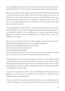order to accomplish such a solution. And most people, who are in those kinds of situations, are not adept at that kind of focus, which is why they're experiencing the negative situation to begin with.

When you're involved in extreme situations, a power comes forth from within, and so the intensity of your desire will put you upon a plateau where if you can just get focused you can have your greater elevation. In other words, those who are very sick, are in a better position to be even more well than most others, because their desire for Wellness is amplified. But unless they're able to pivot or to turn their attention to their desire for Wellness and away from their concern about illness, they cannot become well.

We would encourage you to play the What if..? game, looking for positive aspects. In other words, rather than looking into your society for examples of disempowered people, having no control over the circumstances of their lives, tell a story that gives you a feeling of empowerment. Instead of telling stories of powerless victims, and amplifying your own feeling of being a victim, tell a different story. For example,

What if this woman before the Gestapo army came pounding on her door had recognized the rumblings of the looming holocaust that were in the community weeks before?

What if she'd left the community when many others had left?

What if she had not been afraid of the unknown?

What if she had not held to the familiar?

What if she'd made the decision to start a new life in a new country with her sister and her aunt and uncle two weeks ago so that she was not at home when the Gestapo came calling?

When you play the What if..? game, look for things you *do* want to see. Look for things that make you feel better. There is never a situation in which there is not a way out. In fact, there are hundreds and thousands of practical choices along the way. But out of habit most people continue to choose the lack perspective in situations, until they eventually find themselves in an unwanted place where it seems that there are no more choices.

As you hold to your intention to look for evidence of Well-Being and thriving and success and happiness, you will tune yourself to the vibrations of those things. And so, those kinds of good feeling experiences will dominate your life.

"Today, no matter where I am going, no matter what I am doing, it is my dominant intent to look for what I'm wanting to see". As you make the decision that you are not a mere observer of your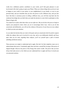world, but a deliberate positive contributor to your world, you'll find great pleasure in your involvement with what's going on upon your Planet. When you witness things that you do not want to happen in your world, in your nation, in your neighborhood, in your family, or even in your personal body, and you remember that you have the power to tell a different story, and you also know that there is enormous power in telling a different story, you will then step back into the exuberant knowledge that you held when you made the decision to come forth to participate on this Planet to begin with.

You cannot be in a place other than where you are right now. But you do have the power to begin to express your perspective about where you are in increasingly better ways. And as you do that consciously and deliberately, you will see the evidence of the power of your focus on every subject to which you turn your attention.

As you make the decision that you want to feel good, and you consciously look for positive aspects within the subjects that you're involved in every day, and as you deliberately identify and focus upon what you do want, regarding these subjects, you'll set yourself upon a path of eternal unfolding satisfaction and joy.

These processes are simple to understand and to apply. But don't let their simplicity cause you to underestimate their power. Consistently apply them and show yourself the leverage of the power of aligned thought. Discover the power of the Energy that creates worlds. The power that you have always had ready access to, but which you now understand how to apply and focus it toward your own personal creations.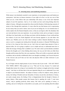# Part II. Attracting Money And Manifesting Abundance

## **51. Attracting money and manifesting abundance**

While money is not absolutely essential to your experience, to most people money and freedom are synonymous. And since an intense awareness of your right to be free is at the very core of that which you are, it then follows that your relationship with money is one of the most important subjects of your life experience. And so, it's no wonder you have such strong feelings about the subject of money. Although some people have discovered the freedom of allowing large amounts of money to flow through their experience, it's more often the case that because you're experiencing far less money than you need or desire, most of you are not feeling free. It is our intention here to clearly explain why this financial disparity exists, so that you can begin to allow the abundance that you want and deserve into your experience. As you read these words, and as you begin to resonate with these Law based truths, you will align your desire with the abundance of your world and then the evidence of your new found alignment will soon become apparent to you and others who observe you. Whether you're one who's been working to achieve financial abundance for many years or you're a youngster just starting down that path, the journey to financial Well-Being does not have to be a long one from where you are. And it does not require large amounts of time or physical effort, for we're going to explain to you in simple and easy to understand terms how to utilize the leverage of Energy that's available to you. We want to show you the absolute correlation between the thoughts you've been thinking about money, the way you feel when you think those thoughts and the money that flows into your experience. When you're able to consciously make that correlation, and you decide to deliberately direct your thoughts accordingly, you'll access the power of the Universe and you'll then see how time and physical effort are rather irrelevant to your financial success.

So, we'll begin with the simple premise of your Universe and of your world – YOU GET WHAT YOU THINK ABOUT. Often people say to us, "That can't be true, because I've wanted and thought about money for as long as I can remember, but I continue to struggle and not have enough money". And what we tell them then is the most important thing for you to understand if you want to improve your financial situation - the subject of money is really two subjects: money, plenty of money, the feeling of freedom and ease that plenty of money can provide, and absence of money, not nearly enough money, the feeling of fear or disappointment that the thought of absence of money induces. Often people assume that because they're speaking the words "I want more money", they're speaking positively about money. But when you're speaking of money, or anything, and you're feeling fear or discomfort as you speak, you're not speaking about the subject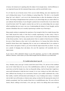of money, but instead you're speaking about the subject of not enough money. And the difference is very important because the first statement brings money, and the second holds it away.

It is of value for you to become aware of how you are really thinking, and, more important, how you're feeling about money. If you're thinking or saying things like, "Oh, that's a very beautiful thing, but I can't afford it", you're not in the vibrational place to allow the abundance in that you desire. The feeling of disappointment that is present as you acknowledge that you cannot afford it is your indicator that the balance of your thought is pointed more toward the lack of your desire than toward the desire itself. The negative emotion that you feel as you acknowledge that you cannot afford something that you want is one way of understanding the balance of your thoughts, and the amount of abundance that you're actually experiencing is another way of knowing it.

Many people continue to perpetuate the experience of not enough in their lives simply because they don't think beyond the reality of what they're actually experiencing. In other words, if they're experiencing the shortage of money, and are aware of it and speak of it often, they hold themselves in that chronic position. And so, many people protest when we explain to them the power of telling the story of their finances as they want it to be rather than as it is, because they believe that they should be factual about what's happening. But we want you to understand that if you continue to look at what-is and speak of what-is, you will not find the improvement that you desire. You may see a parade of changing faces and places, but your life experience will essentially show no improvement.

If you want to effect substantial change in your life experience, you have to offer substantially different vibrations, which means you must think thoughts that feel different as you think them.

## **52. Lackful action doesn't pay off**

Jerry: Abraham, many years ago I owned a motel down near El Paso, TX, and one of the wealthiest men in the United States (he was one of the multibillionaires) called me. He purchased a small resort down on the Rio Grande river, that was financially failing. And he'd heard that I might have some useful information to help him turn it around. As we were visiting in my little coffee shop, I had a difficult time focusing on our conversation, because I just couldn't understand why a man, that wealthy, would be still discontent and looking for a way of making more money. I wondered why he didn't just sell the place at whatever price and go on about his life enjoying the money he'd already accumulated. And I have another friend who is in multibillionaire class. We were in Rio de Janeiro, Brazil, walking on the beach, a few years ago. And he was talking about some business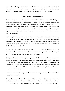problems he was having. And it really struck me that that man, so wealthy, would have any kinds of troubles. But what I've learned from you, Abraham, and I've learned a lot from you, is that our true success in life is not about how much money we have, or about having the things, right?

# **53. First I'll find vibrational balance**

The things that you have and the things that you do are all meant to enhance your state of being. In other words, it's all about how you feel, and how you feel is all about coming into alignment with who-you-really-are. When you tend to your alignment first, then the things you gather and the actions you perform only enhance your good feeling state of being. But if you do not find that vibrational balance first, and attempt to make yourself feel better by bringing more things into your experience, or participating in more activities, in order to try to make yourself feel better, you just get further out of balance.

We're not guiding you away from accumulating things or from taking action, because all of that is an essential part of your physical experience. In other words, you intended the wonderful experience of exploring the details of your physical world in order to help you personally determine your own joyous growth and expansion. But when you try to move forward form an imbalanced footing, it's always uncomfortable.

If you'll begin by identifying how you want to feel, or be, and then let your inspiration to accumulate or do come from that centered place, then not only will you maintain your balance, but you will now enjoy the things that you gather and the things that you do.

Most people do most of their wanting from a place of lack. They want things in many cases simply because they do not have them. So the having of them does not really satisfy anything deep within them because there's always something else that they do not have. And so it becomes a neverending struggle to try to bring one more thing, one more thing that still will not be satisfying, into their experience. "Because I don't have this, I want it." And then they really think that getting it will fill the void. But that defies Law.

Any action that's taken from a place of lack is always counterproductive, and it always leads to more of a feeling of lack.

The void that these people are feeling cannot be filled with things or satisfied with action, because the feeling of void is about the vibrational discord between their desires and their chronic habits of thought. Offering better feeling thoughts, telling a different story, looking for positive aspects,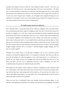pivoting to the subject of what you really do want, looking for positive what-ifs – that's how you fill that void. And when you do, a most interesting thing will occur in your experience – the things you've wanted will begin to flood into your experience. But these things that you've been wanting will flood into your experience not to fill your void, because that void no longer exists, they flow in *because* your void no longer exists. Certainly, you will gather many magnificent things into your experience. Our message is not for you to stop wanting, having or doing. Our message is for you to want and accumulate and do from your place of feeling good.

#### **54. Neither money nor poverty makes joy**

Jerry: Abraham, there's a saying that money doesn't make for a happiness. But on the other hand, I have noticed that poverty doesn't make for a happiness either. But still it's obvious that money isn't the path to a happiness. So, if the idea of achieving something does bring us happiness, does that mean that the achievement is an appropriate goal for us to set? And how does a person maintain his or her feeling of happiness when reaching one's goal is taking a lot of their time and energy? In other words, it often seems that it's a sort of uphill climb to reach the goal, and then there is a short plateau of rest, but then an almost immediate tedious climb to achieve the next goal. In other words, how does a person keep all of the climbing toward their goals joyous, so there is not that struggle, struggle, struggle, and then, "Wow, I've made it!", and then struggle, struggle, struggle, and, "Oh, here, I've made it again!"?

Abraham: You're right, money is not the path to happiness, and, as you've observed, poverty certainly is not the path to happiness either. It's so important to remember, that when you offer any action for the purpose of achieving happiness, you're truly going about it in a backward way. Instead, use your ability to focus your thoughts and words toward things that cause you to feel better and better, and once you've deliberately achieved a state of happiness, not only will wonderful actions be inspired, but wonderful results must follow.

Most people give the majority of their attention to whatever is happening in their experience right now, which means, if the results please them, they feel good, but if the results do not please them, they feel bad. But that's really going about life the hard way. If you only have the ability to see what-is, then things cannot improve. You must find a way to look optimistically forward in order to achieve any improvement in your experience.

When you learn how to deliberately focus your thoughts toward good-feeling things, it's not difficult to find happiness and maintain it even before your goal has been accomplished. The feeling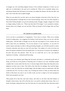of struggle you were describing happens because of the continual comparison of where you are right now in relationship to the goal you're reaching for. When you're constantly taking score, noticing the distance that still needs to be traveled, you amplify the distance, the task, the effort, and that's why it feels like such an uphill struggle.

When you care about how you feel, and so you choose thoughts on the basis of how they feel, you then develop patterns of thought that are more forward looking. And as the LOA then responds to those better-feeling thoughts, you get more pleasing results. Struggle, struggle, struggle never leads to a happy ending. It defies Law. "When I get there then I'll be happy" is not a productive mindset, because unless you're happy, you can't get there. When you decide to first be happy, then you'll get there.

#### **55. I am here as a joyful creator**

You're not here as accumulators or regurgitators. You're here as creators. When you're looking toward an ending place, you exaggerate the feeling of lack between where you are now and that ending place. And that habit of thought can not only slow the progress of your creation, but can hold it apart from you indefinitely. You are the attractor of your experience. As you look for positive aspects and make an effort to find good-feeling thoughts, you will hold yourself in a place of positive attraction, and what you want will come faster. The sculptor of a work of art does not derive his greatest satisfaction from the finished piece. It is the process of creation, the sculpting of the piece that gives him pleasure. That's the way we would like you to view your physical experience of creating – continual joyful becoming.

As you focus your attention upon things that feel good, and achieve a consistently joyful state of being, you'll then be in the position of attracting more of whatever you want. Sometimes people complain that it seems unfair that they have to become happy before things that bring them more happiness can then come to them. They believe that when they are unhappy, they need the happy events to come, but when they are already happy, then the happy events are unnecessary. But that would defy the LOA. You have to find a way of feeling the essence of what you desire before the details of that desire can come to you. In other words, you have to begin to *feel* more prosperous before more prosperity can come.

Often people tell us that they want more money, and when we ask them what their balance of thought is about money, they tell us that they have very positive attitude about money. But as we probe a bit deeper, asking them how they feel when they sit to pay their bills, they often then realize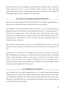that while they may have been attempting to sound positive about the subject, they've actually been feeling a great deal of worry or even fear around the subject of money. In other words, often without realizing it the majority of their thoughts about money have been on the "not enough" side of the subject rather than on the "abundance" side of the subject.

## **56. The power of vibrationally spending vibrational money**

Here's a process that can quickly help you shift the balance of your thoughts regarding money to a place where you can begin to let more money flow easily into your experience:

Put 100 dollars in your pocket and keep it with you at all times. As you move through your day, deliberately notice how many things you could exchange this money for: "I could purchase that", "I could do that". Someone said to us that a 100 dollars doesn't really buy that much in today's economy. But we explain that if you mentally spend that 100 dollars 1000 times today, you've vibrationally spent 100.000 dollars. That sort of positive focus will dramatically change your vibrational balance about money.

This vibrational spending process will cause you to feel differently about money, and when that happens, your point of attraction will shift, and more money must flow into your experience. It is Law.

Someone said to us, "I didn't have a 100 dollars, but I put an IOU in my pocket". And we said, that's defeating the process, because you're walking around with the feeling of debt in your pocket, which is exactly the opposite of what you want to do. You want to feel your prosperity. And so, even if it's only 20 or 50 or if it's a 1000 or 10.000 that you have in your pocket, utilize it effectively to help you notice how good things are now. Because in your acknowledgement of your prosperous now your prosperity must become more.

#### **57. Needing money won't attract it**

Jerry: Abraham, one of my greatest disappointments, as I've worked to help people find greater financial success, is that those who needed the money the most, had the least success with what I was teaching them, while those who needed it the least, seemed to have the most success with it. That always seemed backward to me. It seemed like those who needed it more would try harder and eventually they should have succeeded.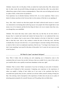Abraham: Anyone who is in the place of lack, no matter how much action they offer, attracts more lack. In other words, the powerful feeling outweighs any action that they offer. Any action that's offered from a place of lack is always counterproductive. Those who were not feeling need were not in a place of lack, so their action was productive.

Your experience was in absolute harmony with the LOA. As is every experience. There is not a shred of evidence anywhere in the Universe that is to the contrary of this that we are speaking of.

Jerry: Also, what I noticed was that those people who hadn't achieved much success or weren't very interested in even hearing about achieving success were people who'd been taught that to want money was evil or immoral, and that the best thing for them to do was to remain where they were, even though they were unfulfilled.

Abraham: The reason that many reach a place where they say that they do not have desire is because they've wanted and wanted and wanted, but because they've not understood that every subject is two subjects, they've given more of their attention to the lack of what they've wanted than to what they want. And so, they continue to attract the lack of what they want. And then eventually they were just worn down by it. As a person begins to associate wanting with not having so much so that to want is an unpleasant experience, then he says, "I no longer want, because every time I want something, I get myself in this place of discomfort. So it's easier for me to just not want in the first place".

## **58. What if a "poor" one doesn't feel poor?**

Jerry: Well, if others who are noticing you and comparing you to themselves come to the conclusion that you're poor, but you don't feel poor, then you wouldn't be in a state of lack, and so you would be able to move quickly toward more abundance in that case, right?

Abraham: That is correct. Others' assessment of you has no bearing on your point of attraction. Unless you're bothered by their assessment. Comparing your experience to the experiences of others can amplify a feeling of lack within you if you come to the conclusion that they've succeeded more greatly than you have, and then you activate within yourself a feeling of being less than. Also noticing a lack of prosperity in the experiences of others does not put you in a place of attracting greater prosperity for yourself, because you'll be getting what you think about.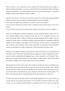What you draw to you or keep from you has nothing to do with what anyone else is doing. An improved feeling of prosperity, even if your current reality does not justify the feeling, will always bring more prosperity to you. Paying attention to the way you feel about money is a much more productive activity than noticing how others are doing.

Allowing more money to flow into your experience requires far less than most people understand. All that's required is that you achieve a vibrational balance in your own thoughts:

if you want more money but you doubt you can achieve it, you're not in balance;

if you want more money but you believe there's something wrong in having money, you're not in balance;

if you want more money and you're angry at those who have more money, you're not in balance.

When you're feeling those emotions of inadequacy, insecurity, jealousy, injustice, anger, and so on, your emotional guidance system is letting you know that you're out of alignment with your own desire. Most people make no effort in coming into personal alignment with the subject of money. Instead, they spend years, even lifetimes, pointing out perceived injustices, attempting to define the rightness or the wrongness of the subject, and even trying to put laws in place to orchestrate the flow of money in the civilization. When a rather small effort, in comparison with the impossible attempt at controlling those outside circumstances, would yield them an enormous return.

Nothing is more important than that you feel good, for when you feel good, you're in harmony with your greater intent. Many believe that hard work and struggle are not only a requirement to achieve success, but that working hard and struggling long is a more honorable way of living life. Those hard times of struggle certainly do help you in the defining of what you desire. But until you release the feeling of struggle, what you desire cannot come into your experience.

Often people feel as if they need to prove their worthiness, and that once that is accomplished, then and only then will rewards be given. But we want you to know that you're already worthy. And that proving yourselves worthy is not only not possible, but not necessary. What is necessary for you to receive the rewards or benefits that you seek is alignment with the essence of those benefits. You have to first bring yourself into vibrational alignment with the experience you wish to live.

We know that words do not teach, and that our knowledge regarding the Laws of the Universe and of your value do not necessarily mean that now you've read our words that you know your value. However, as you consider the premises that we are laying out for you here, and as you begin the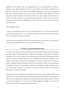application of the processes that we're suggesting here, it's our knowing that the Universe's response to your improved vibration will give you the evidence of the existence of these Laws. It will not be long and it will not require much deliberate application of what you're hearing here before you will be convinced of your own value and of your ability to create whatever you desire. The primary reason that people do not believe in their own value is because they often have not found a way to get what they want, so they incorrectly assume that someone outside of them does not approve, and that somehow withholding the reward. That is never true. You are the creator of your experience.

Make statements, such as,

"I want to be the best that I can be. I want to do and have and live in a way that's in harmony with my idea of the greatest good. I want to harmonize physically here in this body with that which I believe to be the best or the good way of life."

If you'll make those statements and then don't take action unless you feel good, you will always be moving upon the path in harmony with your idea of that which is good.

## **59. What is my financial abundance story?**

A belief in lack is the reason that more people are not allowing themselves the financial abundance they desire. When you believe that there is a finite pile of abundance, and that there's not enough to go around, and so you feel injustice when someone has more than others, believing that because they have it, others are deprived of having it, you're holding yourself apart from abundance. It's not another's achievement of success that's responsible for your lack of achievement, but rather your negative comparison and your attention to the lack of your own desire. When you feel the negative emotion that you feel as you accuse others of injustice or of squandering wealth or hording, or when you simply believe that there's not enough to go around, you hold yourself in the position of denying your own improved condition.

What anyone else has or does not have has nothing to do with you. The only thing that affects your experience is the way you utilize the Non-Physical Energy with your thought. Your abundance or lack of it in your experience has nothing to do with what anyone else is doing or having. It has only to do with your perspective. It has only to do with your offering of thought. If you want your fortune to shift, you have to begin telling a different story.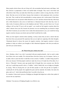Many people criticize those who are living well, who accumulate land and money and things. And that criticism is symptomatic of their own lackful habit of thought. They want to feel better and often believe that if they can make that which they are unable to achieve wrong, then they will feel better. But they never do feel better, because their attention to lack perpetuates lack everywhere they look. They would not feel uncomfortable in seeing someone else's achievement if that desire for achievement were not present within themselves as well. And that criticism that they often keep alive within themselves only serves to hold them in vibrational discord with what they want. In other words, if someone called you on the telephone and said, "Hello, you don't know me. I'm just calling to tell you that I'll never call you again", you would not feel negative emotion about the caller's absence from your life, because his presence was not something that you desired to begin with. But if someone you care about were to make that announcement to you, you would feel strong negative emotion, because your desire and your belief would then be at odds.

When you feel negative emotion about anything, it always means that you have a desire that has been born from your personal life experience that you are right now opposing with other thoughts. Vibrational discord is always the reason for negative emotion. And negative emotion is always guidance to help you redirect your thoughts to find vibrational alignment with who-you-really-are and with your current desires.

#### **60. What if the poor criticize the rich?**

Jerry: Abraham, when I was a kid, I associated with poor people primarily. And we used to make fun of those who were wealthy. We criticized those who drove luxury cars, for instance. And so, as an adult, when it came time that I would like to have owned a "Cadillac", I couldn't bring myself to drive one, because I felt that people would now make fun of me as I'd made fun of the others. So, I drove a "Mercedes", because years ago people kind of thought they were economy cars. But the only way I could bring myself to drive a "Cadillac", which I finally did, was to bridge my thoughts by saying, "Well, by buying this car I put all these people to work who put this car together. I created jobs for all the people who supplied the parts and the materials: the leather, the metal, the glass, and so on". And in that justification then I was able to buy the car.

So, somehow I discovered a process of bridging my thoughts that helped me to allow that symbol of success into my experience.

Abraham: Your process of bridging thoughts is an effective one.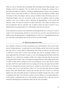When you want to feel good and you gradually find increasingly better-feeling thoughts, you're bringing yourself into alignment with your desire and you're releasing the resistance that is preventing your improved conditions. Focusing on opposing opinions of others is never productive because it always causes discord within you, which also prevents your improved condition. There will always be others who disagree with you, and your attention to them will always cause you to vibrationally disagree with your own desires. Listen to your own guidance system by paying attention to how you're feeling in order to determine the appropriateness of your desires and behaviors. There will always be someone, no matter which side of any subject you choose, who does not harmonize with you. And that's why we speak so firmly and want so much for you to understand that your greatest endeavor is to find harmony with who-you-really-are.

If you would trust in yourself, if you could believe that through all that you've lived you've come to a place of very strong knowing, and that you can trust the way you feel as your personal form of guidance about the appropriateness or inappropriateness of what you're contemplating doing, then you would utilize your guidance system in the way that it was really intended.

# **61. What if our money loses value?**

Jerry: Abraham, in the past our money was primarily coins, metal that had a value in and of itself, like the 20 dollar gold piece - the gold itself was worth 20 dollars, and the silver in the silver dollar had value. And so, it seems simple to understand the value of the coin. But now our money in and of itself has no actual value. In other words, the paper and coins are essentially valueless. I've always appreciated the convenience of money as a way of exchanging goods and talents rather than trading, let's say, a chicken for a container of milk or for a basket of potatoes. But now our money is being artificially devalued. And it's becoming increasingly difficult to really understand the value of a dollar. In other words, it reminds me of my own searching for my own value, like how much is my talent worth? How much should I ask for an exchange for the time and energy that I put forth? But now I'm learning from you that we don't have to consider our value in that way. We only have to consider what it is we want and then to allow it in. I'm aware that many people are feeling insecure about their financial future, because they feel they don't have control over what may happen to the value of the dollar, because it's typically just a handful of people who seem to control or manipulate that. Many worry that there's going to be more inflation or even another depression. I'd like people to understand what you've been teaching us about the LOA, so that they won't be concerned with things that are outside their control, like the value of the dollar.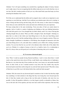Abraham: You've hit upon something very essential here, regarding the subject of money, because you're right, many of you are recognizing that the dollars today just are not worth what they were at one time. But that's another position of lack you very often stand firmly upon that keeps you from attracting the abundance that is yours.

We'd like you to understand that the dollar and its assigned value is really not as important to your experience as your believing. And that if you could put your attention upon what you're wanting, in terms of being and then having and then doing, that all of the money or other means for bringing about what you want could then flow easily and much more effortlessly into your experience.

We keep coming back to the same terminology. From your place of lack you cannot attract its opposite. And so it really is a matter of adjusting your thinking so that your thinking harmonizes with what feels good to you. Every thought that you think vibrates, and it's by virtue of having that vibrating thought that you attract. When you think a thought of lack, that thought's vibrating at a place that is so alien to that which your Inner-Being knows to be, that your Inner-Being cannot resonate with you at all. And the resulting feeling within you is one of negative emotion. When you think a thought of upliftment or abundance or Well-Being, those thoughts do harmonize with what your Inner-Being knows to be, and under those conditions you're filled with a feeling of positive emotion. You can trust that the way you feel is the indicator about which side of the subject that you're on. Whether it's a subject of money or lack of it, or health or lack of it, or relationship or lack of it, always when you feel good you're in the place of attracting what you're wanting.

# **62. To reverse a downward spiral**

Jerry: When I would see people having financial problems, I used to worry about them. I would watch as they spiral down down down till they would finally come crashing down in bankruptcy. But then in a very short time they'd have another new boat, a new luxury car, and another beautiful home. In other words, no one I watched seemed to stay down. But why couldn't they stop the downward spiral somewhere earlier along the way and start back upward sooner? Why did so many of them have to go all the way to the bottom before they could start back up again?

Abraham: Well, the reason for any downward spiral is attention to lack. In their fear that they might lose something or in their attention to the things that they were losing they were focused upon the lack of what they wanted, and as long as that was their point of attention, only more loss was possible. As they felt guarded or defensive, or as they began to justify or rationalize or blame, they were on the lack side of the equation, and only more lack could be their experience. But once they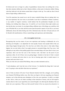hit bottom and were no longer in a place of guardedness, because there was nothing else to lose, then their attention shifted and so their vibration shifted, so their point of attraction shifted. Hitting what they believed to be the bottom caused them to begin to look up. You could say that it forced them to begin telling a different story.

Your life experience has caused you to ask for many wonderful things that are making their way into your experience, but your worry or your doubt or your fear or resentment or blame or jealousy, or any number of negative emotions, would indicate that the predominate thoughts you were thinking were holding those things away. It would be as if you'd drawn them right outside your door but the door was closed. As you begin telling a different story of the things you could buy with your 100 dollar bill, as you relax and focus more upon the positive aspects of your life, as you more deliberately choose the better-feeling end of the vibrational stick, that door will open and you will be flooded with manifestations of those wanted things and experiences and relationships.

## **63. A war against war is war**

Recognizing that you the creator of your own experience and learning to deliberately do so by directing your thoughts, is an adjustment for most people, because most people believe that you make things happen through action. Not only have you believe that action is what makes things happen, but you also believe that if you apply pressure to unwanted things, they'll go away. And although you may believe that pushing against those unwanted things will cause them to leave your experience, that's not how the Laws of the Universe work. And that's not the proof of your experience either, for all of those wars are getting bigger. Attention to the lack of what is wanted causes it to increase and come closer to you. Just as focusing upon what is wanted causes it to increase and come closer to you.

When you relax into your natural Well-Being, when you make statements such as,

"I seek abundance, and I trust the Laws of the Universe. I've identified the things that I want and now I'm going to relax and allow them into my experience",

more of what you desire will come. If your financial situation feels like a struggle, you're pushing your financial Well-Being further away. But when you begin to feel ease regarding your financial situation, you're then allowing more abundance to flow into your experience. It really is as simple as that. And so, when you see others excelling in their attraction of money, and you feel negative emotion about it, that is your signal that your current thought is not allowing the abundance that you desire into your experience. When you find yourself critical of the way anyone has attracted or is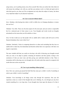using money, you're pushing money away from yourself. But when you realize that what others do with money has nothing to do with you, and that your primary work is to think and speak and do what feels good to you, then you'll be in alignment not only about the subject of money, but about every important subject in your physical experience.

# **64. Can we succeed without talent?**

Jerry: Abraham, what bearing does talent or skill or ability have on bringing abundance or money into our lives?

Abraham: Very little. Those are all action aspects for the most part, and your action is responsible but for a miniscule part of what comes to you. Your thoughts and words (words are thoughts articulated) are the reason that your life unfolds as it does.

Jerry: So then would you say that people with no salable skill or talent could still receive all the financial abundance they want in their lives?

Abraham: Absolutely. Unless in comparing themselves to others and concluding that they have no salable skill or talent they feel diminished and therefore defeat their own experience with their own negative expectation.

The most valuable skill that you could ever develop is the skill of directing your thoughts toward what you want, to be adept at quickly evaluating all situations and then quickly coming to the conclusion of what you most want, and then giving your undivided attention to that. There is tremendous skill in directing your own thoughts that will yield results that cannot be compared with results that mere action can provide.

# **65. Can we get something without giving?**

Jerry: How can a person get passed the belief that they must give a dollar's worth of something in order to get a dollar's worth of something?

Abraham: Your knowledge in all things comes only through life experience. But your life experience comes as a result of the thoughts that you're thinking. So, even though you may have wanted something for a very long time, if your thoughts have been upon the absence of it, then it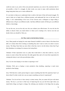could not come to you, and so from your personal experience you come to the conclusion that it's not possible, or that it's a struggle. In other words, you come to many valid conclusions about things being hard when you've lead a difficult life.

It's our desire to help you to understand what is really at the heart of that self-created struggle. We want to help you to begin from a different premise, and understand the Laws at the basis of all things. A new understanding of the Laws of the Universe and a willingness to begin telling a different story will give you different results. And those different results will then give you different beliefs, or knowledge.

You are the one, you are the only one who can evaluate your effectiveness. No one else has the ability to discern where you stand relative to where you're wanting to be. And no one else can decide where you should be. Only you.

#### **66. They want to win the lottery fortune**

Jerry: Many people are hoping for some major financial windfall to come to them to free them from debt or to release them from working at something they don't want to work at in order to receive money. The thing I hear them say most often is that they want to win the lottery where they'll get their abundance at exchange for someone else losing theirs.

Abraham: If their expectation were in a place that would allow it, then that could be a way for money to come to them. But most know the odds against that, and so for most their expectation for winning the lottery is not in the powerful place either.

Jerry: So, how does hoping to win relate to expecting to win?

Abraham: Well, just as hoping is more productive than doubting, expecting is much more productive than hoping.

Jerry: Well then how could a person begin to expect something that their life experience hasn't yet shown them? In other words, how can you expect something you haven't experienced?

Abraham: You do not have to have money to attract money. But you cannot feel poor and attract money. The key is, you have to find ways of improving the way you feel from right where you stand before things can begin to change. By softening your attention to the things that are going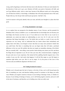wrong, and by beginning to tell stories that lean more in the direction of what you want instead of in the direction of what you've got, your vibration will shift, your point of attraction will shift, and you'll get different results. And in a short time, because of the different results you're then getting, you will then have beliefs, or knowledge, of abundance that will easily perpetuate more of the same. People often say, the rich get richer and the poor get poorer. And that's why.

Look for reasons to feel good, identify what you want, and hold your thoughts in a place that feels good.

# **67. Living abundantly is not magic**

As we explain from our perspective the abundant nature of your Universe, and the potential for abundance that's always available to you, we understand that our knowledge does not become your knowledge only because you hear us say it. If you asked you to trust what we say or just try to understand, you cannot just adopt our understanding as your own, for it's only your own life experience that brings knowledge to you. The beliefs that you hold as a result of your own life experience are very strong. And we understand that you cannot release them immediately and replace them with others, even though we know that there are many more productive beliefs that you could foster. But there is something that you can begin today that will make a profound difference in the way your life unfolds, that does not require an immediate releasing of the beliefs that you currently hold – start telling a more positive better-feeling story about your life, and about the things that are important to you. Do not write your story like a factual document, weighing all the pros and cons of your experience. But instead tell the uplifting fanciful magical story of the wonder of your own life. And watch what happens. It will feel like magic as your life begins to transform right before your eyes. But it's not by magic. It's by the power of the Laws of the Universe and your deliberate alignment with those Laws.

### **68. Trading freedom for money?**

Whether you're focused upon the lack of money or the lack of time, you're still focused upon the lack of something you want, and therefore holding yourself in resistance to the things you really want. Whether your negative emotion is because of your feeling of shortage of time, or whether it's because of your feeling of shortage of money, you're still feeling negative emotion, and you're still in the state of resistance, and therefore you're holding away what you really want.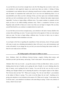As you feel that you do not have enough time to do all of the things that you need or want to do, your attention to lack negatively impacts you much more than you realize. A feeling of being overwhelmed is your indicator that you're denying yourself access to ideas, rendezvous, conditions and all manner of cooperation that could assist you if you were not disallowing them. It is an uncomfortable cycle where you feel a shortage of time, you focus upon your overloaded schedule, and then you feel overwhelmed, and in all of that you offer a vibration that makes improvement impossible. You have to begin telling a different story. You cannot continue to comment on how much you have to do without holding assistance away. There's a cooperative Universe at your fingertips ready and able to help you in more ways than you can begin to imagine. But you deny yourself that benefit as you continue to complain about too much to do.

As you feel that you do not have enough money, your attention to the lack of money disallows the avenues that could bring you more. You just cannot look at the opposite of what you want and get what you want. You have to begin telling a different story. You have to find a way to create a feeling of abundance before abundance can come.

As you begin to feel free-er regarding the expenditure of time and money, doors will open, people will come to assist you, refreshing and productive ideas will occur to you, and circumstances and events will unfold. As you change the way you feel, you access the Energy that creates worlds. It's there for your ready access at all times.

# **69. Feeling negative with respect to dollars or cancer**

Jerry: Abraham, what's the difference between having a negative feeling about money, and therefore you don't get the money, and saying, "I don't want cancer", but you do get cancer?

Abraham: Here's the way it works – you get the essence of what you think about. And so, as you're thinking about the lack of health, you're getting the lack of health. As you're thinking about the lack of money, you're getting the lack of money. You can tell by the way you feel as you're offering your thought whether you're attracting the positive or the negative aspects of the subject. The Universe does not hear "No". When you're saying, "No, I do not want illness", your attention to the subject of illness is saying, "Yes, come to me this thing I do not want". Anything you're giving your attention to is an invitation to the essence of it. When you're saying, "I want money, but it will not come", your attention to its absence is the same thing as saying, "Come to me, absence of money, which I do not want".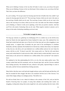When you're thinking of money in the way that will make it come to you, you always feel good. When you are thinking of money in the way that keeps it from coming to you, you always feel bad. That's how you know the difference.

So, you're asking, "If I can get cancer by focusing upon the lack of health, then why couldn't I get money by focusing upon the lack of it?" The receiving of money which you do want is the same as the receiving of health which you do want. The receiving of cancer which you do not want is the same as the receiving of no money which you do not want. Just make sure that whatever thoughts you're thinking, or whatever words you're speaking, evoke from you positive emotion. And then you'll be in the mode of attracting what you do want. When negative emotion is present, you're always in the mode of attracting something you do not want.

#### **70. He didn't struggle for money**

Not long ago someone at a gathering was challenging LOA in a similar way as she told the story about her friend who had supported her former husband for many years. She explained how her friend had worked hard and taken care of him for all of that time and was often struggling to earn enough money to support them. Eventually she grew tired of his unwillingness to contribute financially, and they separated. Her husband never showed any evidence that money was important to him, but now, she tells us, he's just inherited over a million dollars and now he won't share his money with his ex-wife. "It doesn't seem fair", this woman said to us, "that his wife cared about money and worked hard for it and received so little, while he barely worked and didn't seem to care about money at all, and now he's inherited over a million dollars. How can that be?" she wanted to know.

We explained to her that understanding the LOA as we do, this story makes perfect sense. This woman worked hard and felt resentment, and was focused upon lack, and the Universe matched those feelings precisely. Her husband felt ease, refused to feel guilty, expected things to come to him easily, and the Universe matched those feelings precisely.

Many believe that they must work hard and struggle and pay a price and feel pain and that they will then be rewarded for their struggle. But that is not consistent with the Laws of the Universe. You cannot find a happy ending to an unhappy journey. That defies Law.

We told our friend, there is not a shred of evidence to the contrary of the LOA, and you had the benefit of knowing these two people, of seeing their attitudes and watching their results: one struggling, working hard, doing what society taught her to do, and not getting what she wants; while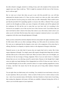the other refused to struggle, insisted on a feeling of ease, and is the recipient of the resources that support more ease. Many would say, "Well, it might be consistent with the Laws of the Universe, but it's still not right".

But we want you to know that when you get in sync with this powerful Law, you will then understand the absolute justice of it. Since you have control over what you offer, what could be more just than the Universe giving you exactly what you offer vibrationally? What could be more just than the powerful LOA responding equally to everyone who offers a vibration? Once you gain control over the thoughts you think, your sense of injustice will subside, and will be replaced with the exuberance for life and the zest to create that you were born with. Let everything in the Universe be an example to you of the way the Laws of the Universe work. If you believe that you must work hard in order to deserve the money that comes to you, then money cannot come to you unless you do work hard. But the money that comes in response to physical action is very small in comparison with what comes through alignment of thought.

Surely you have noticed the enormous disparity between some people who apply tremendous action for little return while you see others seemingly offering very little action for an enormous return. We want you to understand that the disparity exists only in the comparison of the action they're offering. But there is no disparity or injustice relative to the alignment of Energies within them.

Financial success or any other kind of success does not require hard work or action. But it does require alignment of thought. You simply cannot offer negative thought about things that you desire and then make up for it with action or hard work. When you learn to direct your own thoughts, you will discover the true leverage of Energy alignment. Most of you are much closer to a financial fortune than you are even allowing yourself to purely desire. Because in the thought that it might come you right away begin thinking of how disappointed you will be if it does not come. And so, in your lackful thought you do not allow yourself to desire or to expect anything magnificent in terms of money. And that's the reason why for the most part you're living rather mediocre financial experiences.

You are right when you think money isn't everything. You certainly do not need money to have joy in your experience. But in your society—where so much of what you live is tied to money in some way—most of you associate money with freedom. And since freedom is a basic tenet of your being, then coming into alignment with money will help you establish a balanced footing that will be of value to you in all other aspects of your experience.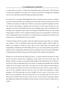A woman said to us one day, "I always feel uncomfortable when I spend money". She told us that over time she'd managed to save quite a bit of money, but whenever she thought about spending any of it, she would freeze up and feel afraid to go another step further.

We said to her, it is certainly understandable that when you believe that your money is coming to you because of the action that you're offering, and you also believe that you will not always be able to offer the action, that you would want to hold on to your money and spend it sparingly to make it last. However, that feeling of shortage slows the process of more money flowing into your experience. If you feel uncomfortable with the idea of spending money, then we absolutely do not encourage you to spend the money while you're feeling uncomfortable. Because any action taken during negative emotion is never a good idea. But the reason for your discomfort is not about the action of spending the money, but instead it's an indication that your thoughts about money in that moment are not a vibrational match to your own desire.

A belief in shortage will never resonate with your broader knowing, because there is no shortage. Any attention to lack of something wanted will always produce negative emotion within you because your guidance is letting you know that you have strayed from your broader basic understanding of abundance and of Well-Being. Find a way to ease your discomfort and eventually transform it into a feeling hope, and then into positive expectation. And then from that stable place of feeling better that feeling of freezing up will be replaced with confidence and enthusiasm.

Whether you are focused upon the shortage of money—or seeing yourself as having only so many years to live (and so each day that is expended is one day closer to the end of your years)—that feeling of decline is contrary to your broader understanding of the Eternal nature of your Being. In the same way that you understand that you do not have to attempt the impossible task of drawing enough air into your lungs to last all day or all week or all year, but instead you easily breathe in and out, always receiving what you want or need whenever you want or need it, money can flow in and out of your experience with the same ease, once you achieve that expectation of eternal abundance. All of the money that you want is available for you to receive. All you have to do is allow it into your experience. And as the money flows in, you can gently allow it to flow out. For like the air you breathe, there will always be more to flow. You do not have to guard your money, like holding your breathe and not letting it out because there will not be any more coming. More is coming.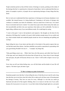People sometimes protest as they tell their stories of shortage or scarcity, pointing out the reality of the shortage that they've experienced or witnessed or heard about. And we understand that there are plenty of examples to point to, of people who are experiencing shortages of many things that they desire.

But we want you to understand that those experiences of shortage are not because abundance is not available. But instead because it is being disallowed. Continuing to tell stories of shortage only continues to contradict your desire for abundance. And you cannot have it both ways. You cannot focus on unwanted and receive wanted. You cannot focus upon stories about money that make you feel uncomfortable and allow into your experience what makes you feel comfortable. You have to begin telling a different story if you want different results. We would begin by saying,

"I want to feel good. I want to feel productive and expansive. My thoughts are the basis for the attraction of all things that I consider to be good, which includes enough money for my comfort and joy, which includes health and wonderful people around me who are stimulating and uplifting and exciting".

Begin telling the story of your desire and then add to it the details of the positive aspects that you can find that match those desires. And then embellish your positive expectation by speculating with your good-feeling Wouldn't it be nice if . . . ? examples. Say things like:

"Only good things come to me. . . While I don't have all of the answers, and while I don't know all of the steps, and I can't identify all of the doors that will open for me, I know that as I move through time and space, the path will become obvious to me. I know I will be able to figure it out as I go along."

Every time you tell your better-feeling story, you will feel better and the details of your life will improve. The better it gets, the better it gets.

# **72. How to change my point of attraction?**

Sometimes people worry that they've been telling the story of what they do not want for such a long time that they now do not have time left in their life to make up for all those years of focusing upon the shortage of money. They have no cause for worry. Although it is true that you cannot go backward and undo all of that negative thinking, there is no reason to do that even if you could, because all of your power is in your now. As you find a better-feeling thought right now, your point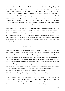of attraction shifts now. The only reason that it may seem like negative thinking that you've picked up many years ago is having an impact on your life now is because you have been continuing the negative train of thought or beliefs through all of those years. A belief is only a thought you continue to think. A belief is nothing more than a chronic pattern of thought, and you have the ability, if you try a little bit, to begin a new pattern, to tell a new story, to achieve a different vibration, to change your point of attraction. Just a simple act of noticing how many things you could purchase in this one day with a 100 dollars you're carrying with you would dramatically alter your financial point of attraction. That one simple process is enough to tip the balance of your vibrational scale, enough to show you actual tangible results in your attraction of money.

Mentally spend your money and imagine an improved lifestyle. Deliberately conjure a feeling of freedom by imagining what it would feel like to have a large amount of money at your disposal. You see, the LOA is responding to your vibration, not to the reality you're currently living. But if your vibration continues to be only about the reality you are living, nothing can change. You can easily change your point of attraction by visualizing the lifestyle you desire and holding your attention upon those images until you begin to feel relief, which is an indicator that a true vibrational shift has occurred.

# **73. My standards are mine to set**

Sometimes from an awareness of shortage of money you think that you want everything that you see. A sort of uncontrollable craving rises within you, which tortures you when you do not have the money to spend, or causes even more distress when you give into the cravings and spend money you do not have, going deeper into debt. But that craving to spend money under those conditions is really a false signal. For it's not coming from a real desire to have those things. Buying one more thing and bringing it home will not satisfy that craving. For what you're really feeling is a void that can only be filled by coming into vibrational alignment with who-you-really-are.

You're currently feeling insecure, when who-you-really-are is someone who is absolutely secure. You're currently feeling inadequate, when who-you-really-are is someone who is adequate.

You're feeling lack, when who-you-really-are is someone who is abundant.

It is a vibrational shift that you're craving, not the ability to purchase something.

Once you're able to achieve and consistently maintain your personal alignment, a great deal of money will flow into your experience, if that is your desire. And you will very likely spend large amounts of money on things that you desire. But your purchases will feel very different to you then. You will not feel a need or a void that you're attempting to fill with that purchase, but instead you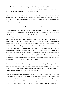will feel a satisfying interest in something, which will easily make its way into your experience. And every part of the process – from the inception of the idea to the full blown manifestation of it in your experience – will bring you a feeling of satisfaction and joy.

Do not let others set the standards about how much money you should have or about what you should do with it, for you are the only one who could ever accurately define that. Come into alignment with who-you-really-are and allow the things that life has helped you to know that you want to flow into your experience.

# **74. Does saving for security work?**

A man related to us that he once had a teacher who told him that to set money aside for security was the same as planning for a disaster. And that, I fact, the very act of trying to feel more secure would actually lead to more insecurity, because it would attract the unwanted disaster. He wanted to know if that philosophy fit in with our teachings about the LOA.

We told him that teacher was right in pointing out that attention to anything brings more of the essence of it to you. And so, if you were to focus upon the idea of possible bad things looming out there in your future, the discomfort that you would feel as you pondered those unwanted things would be your indication that you are indeed in the process of attracting them. But it is absolutely possible to briefly consider something unwanted occurring in the future, such as a financial situation that makes you feel insecure as you consider it, which could cause you to then consider the financial stability that you desire. As you focus upon the security that you desire, you may very well be inspired to an action that enhances that state of security. The action of saving money or investing in assets in and of itself is neither positive nor negative. But that teacher would be correct to say that you cannot get to a place of security from an insecure footing.

Our encouragement is to use the power of your mind to focus upon the good-feeling security you seek, and then take whatever positive action that's inspired from that place of feeling good. Anything that feels good to you is in harmony with what you want. Anything that feels bad to you, is not in harmony with what you want. It is truly as simple as that.

Some say that you should not want money at all, because the desire for money is materialistic and not spiritual. But we want you to remember that you are here in this very physical world, where spirit has materialized. You're here in your very physical bodies on this very physical planet, where that which is spirit and that which is physical, or material, blend. You cannot separate yourself from the aspect of yourself that is spiritual. And while you are here in these bodies, you cannot separate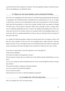yourself from that which is physical, or material. All of the magnificent things of a physical nature, that are surrounding you, are spiritual in nature.

# **75. Telling a new story about abundance, money and financial Well-Being**

The LOA is not responding to the reality that you're currently living and perpetuating. But instead it is responding to the vibrational patterns of thoughts that are emanating from you. So, as you begin to tell the story of who-you-are in relationship to money from your perspective of what you desire, rather than from the perspective of what you're actually currently living, your patterns of thought will shift, and so will your point of attraction. What-is has no bearing on what is coming, unless you're continually regurgitating the story of what-is. By thinking and speaking more of how you really want your life to be, you allow what you're currently living to be the jumping off place for so much more. But if you speak predominantly of what-is, then you still jump off, but you jump off into more of the same.

So, consider the following questions, letting your natural answers flow in response to them. And then hear some examples of what your new story regarding money might sound like. And then begin to tell your own new and improved story of your financial picture and watch how quickly and surely circumstances and events will begin to move around you to make your new story a reality.

Do you have as much money in your life experience as you want right now?

Is the Universe abundant?

Do you have the option of having plenty of money?

Was the amount of money that you would receive in this lifetime already decided before you were born?

Are you now setting into motion through the power of your current thought the amount of money that will flow?

Do you have the ability to change your financial situation?

Are you in control of your financial condition?

Do you want more money?

Knowing what you now know, is financial abundance guaranteed?

# **76. An example of my "old" story about money**

Here's an example of an "old" story about money: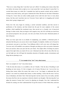"There are so many things that I want that I just can't afford. I'm making more money today than ever before, but money feels as tight as ever, it just seems like I can't get ahead. It seems like I've worried about money my whole life. I remember how hard my parents worked, and my mother's constant worry about money, and I guess I inherited all of that. But that isn't the kind of inheritance I'd hope for. I know there are really wealthy people in the world who don't have to worry about money, but they aren't anywhere near me. Everyone I know right now is struggling and worried about what's going to happen next".

Notice how this story began by noticing a current unwanted condition, and then moved to justification of the situation, and then looked into the past for more emphasis of the current problem, which amplified the resentment more, then moved on to a broader view of perceived shortage. In other words, when you begin to tell a negative story, the LOA will help you reach from your present perspective into your past, even into your future, but the same vibrational pattern of lack will persist.

When you focus upon lack in an attitude of complaining, you establish a vibrational point of attraction that then gives you access only to more thoughts of complaint, whether you're focused in your present, your past or your future. Your deliberate effort to tell a new story will change that. Your new story will establish a new pattern of thought, providing you with a new point of attraction from your present, about your past and into your future. The simple effort of looking for positive aspects from right where you stand will set a new vibrational tone that will not only effect the way you feel right now, but will begin the immediate attraction of thoughts, people, circumstances and things that are pleasing to you.

#### **77. An example of my "new" story about money**

Here's an example of a "new" story about money:

"I like the idea that money is as available as the air I breathe. I like the idea of breathing in and breathing out more money. It's fun to imagine a lot of money flowing to me. I can see how my feeling about money affects the money that comes to me. I am happy to understand that with practice I can control my attitude about money or about anything. I notice that the more I tell my story of abundance, the better I feel. I like knowing that I am the creator of my own reality, and that the money that flows into my experience is directly related to my thoughts. I like knowing that I can adjust the amount of money that I receive by adjusting my thoughts. Now that I understand the formula for creating, now that I understand that I do get the essence of what I think about, and most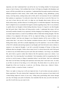important, now that I understand that I can tell by the way I'm feeling whether I'm focused upon money or lack of money, I feel confident that in time I will align my thoughts with abundance and money will flow powerfully into my experience. I understand that the people around me hold many different perspectives about money, about wealth, about spending, saving, philanthropy, giving money, receiving money, earning money and so forth, and it's not necessary for me to understand their opinions or experiences. I'm relieved to know that I do not have to sort all of that out. It is very nice to know that my only work is to align my own thoughts about money with my own desires about money, and that whenever I'm feeling good, I've found that alignment. I like knowing that it's alright for me to occasionally feel negative emotion regarding money. But it is my intention to quickly direct my thoughts in better-feeling directions, because it's logical to me that thoughts that feel good when I think them will bring positive results. I understand that money will not necessarily manifest instantly in my experience with the changing of my thinking, but I do expect to see steady improvement as a result of my deliberate effort to think better-feeling thoughts. The first evidence of my alignment with money will be my improved feeling, my improved mood, my improved attitude. And then real changes in my financial situation will be soon to follow. I'm certain about that. I am aware of the absolute correlation between what I've been thinking and feeling about money, and what is actually happening in my life experience. I can see the evidence of the LOA's absolute and unerring response to my thought, and I look forward to more evidence in response to my improved thoughts. I can feel a powerful leveraging of Energy in being more deliberate about my thoughts. I believe that at many levels I've always known this, and it feels good to return to my core beliefs about my power and value and worthiness. I am living a very abundant life, and it feels so good to realize that whatever this life experience causes me to desire, I can achieve that. I love knowing that I am unlimited. I feel tremendous relief in recognizing that I do not have to wait for money or things to materialize before I can feel better. And I now understand that when I do feel better, the things and experiences and money that I want must come. As easily as air flows in and out of my being, so it is with money. My desire draws it in, and my ease of thought lets it flow out. In and out.. in and out.. ever flowing.. always easy.. whatever I desire.. whenever I desire.. as much as I desire.. in and out.."

There is no right or wrong way to tell your improved story. It can be about your past, present or future experiences. The only criterion that's important is that you be conscious of your intent to tell a better-feeling improved version of your story. Telling many good-feeling short stories through your day will change your point of attraction. Just remember that the story you tell is the basis of your life. So tell it the way you want it to be.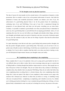# Part III. Maintaining my physical Well-Being

## **79. My thoughts create my physical experience**

The idea of success for most people revolves around money or the acquisition of property or other possessions. But we consider a state of joy as the greatest achievement of success. And while the attainment of money and wonderful possessions certainly can enhance your state of joy, the achievement of a good-feeling physical body is by far the greatest factor for maintaining a continuing state of joy and Well-Being. Every part of your life is experienced through the perspective of your physical body, and when you feel good, everything you see looks better. Certainly, it is possible to maintain a good attitude even when your physical body is diminished in some way, but a good feeling body is a powerful basis for an ongoing good attitude. And so, it's not surprising that since the way you feel affects your thoughts and attitudes about things, and since your thoughts and attitudes equal your point of attraction, and since your point of attraction equals the way your life continues to play out, there are few things of greater value than the achievement of a good feeling body.

It is quite interesting to note that not only does a good feeling body promote positive thoughts, but that also positive thoughts promote a good feeling body. That means, you do not have to be in a perfect state of health in order to find feelings of relief that can eventually lead to a wonderful mood or attitude. For if you're able to somehow find that relief, even when your body is hurting or sick, you will find physical improvement, because your thoughts create your reality.

#### **80. Complaining about complaining is also complaining**

Many complain that it's easy to be optimistic when you're young and in good health, but that it's very difficult when you're older or sicker. But we never encourage using your age or a current state of failing health as a limiting thought that disallows improvement or recovery. Most people have no idea of the power of their own thoughts. They do not realize that as they continue to find things to complain about, they disallow their own physical Well-Being. Many do not realize that before they were complaining about an aching body or a chronic disease, they were complaining about other things first. It does not matter if the object of your complaint is about someone you're angry with, someone who's betrayed you, behavior in others that you believe is wrong, or something wrong with your own physical body - complaining is complaining, and it disallows recovery. So, whether you're feeling good and are looking for a way to maintain that good feeling state of being, or if your physical body is diminished in some way and you're looking for recovery, the process is the same –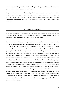learn to guide your thoughts in the direction of things that feel good, and discover the power that only comes from vibrational alignment with Source.

As you continue to read here, things that you've known long before you were born will be remembered, and you'll begin to feel a resonance with these Laws and processes that will give you a feeling of empowerment. And then all that is required for the achievement and maintenance of a healthy good feeling body is some deliberate attention to thoughts and feelings, and a sincere desire to feel good.

# **81. I can feel good in my body**

If you're not feeling good or looking the way you want to look, it has a way of reflecting out into other aspects of your life experience, and it's for that reason that we want to emphasize the value in bringing your physical body into balance and comfort and Well-Being.

There is nothing in the Universe that responds faster to your thoughts than your own physical body. And so, aligned thoughts bring a quick response and obvious results. Your physical Well-Being is really the easiest of subjects over which you have absolute control, for it is what you are doing about you. However, because you're translating everything in this world through the lens of how your physical body feels, if you do get out of balance, it can negatively affect a much larger part of your life than only your physical body. You're never more clear about wanting to be healthy and to feel good than when you are sick and feeling bad. And so, the experience of being sick is a powerful launching pad for the asking for wellness. So, if in the moment that your sickness has caused you to ask for wellness you could turn your undivided attention to the idea of being well, it would occur immediately. But for most, now that you're feeling bad, that's what has your attention. Once you're sick, it is logical that you would now notice how you feel, and in doing so you would prolong the sickness. But it was not your attention to the lack of Wellness that made you sick, instead it was your attention to the lack of many things that you desire. Chronic attention to unwanted things holds you in a place of disallowing your physical Well-Being as well as disallowing the solutions to other subjects you're focused upon. If you could focus your attention upon the idea of experiencing physical Well-Being with as much passion as you focus upon the absence of it, not only would you recover quickly, but maintaining your physical Well-Being in balance would also be easy.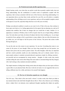Simply hearing words, even when they are perfect words that accurately explain truths, does not bring understanding. But the combination of careful words of explanation coupled with life experience, that is always consistent with the Laws of the Universe, does bring understanding. It is our expectation that as you hear these words, and then live your life, you will achieve a complete understanding of how all things occur in your experience, and you will accomplish complete control of all aspects of your life, especially things that have to do with your own body.

Perhaps your physical condition is exactly as you want it to be. If that is the case, then continue to focus upon your body as it is, feeling appreciation for the aspects that are pleasing you, and you'll maintain that condition. But if there are changes that you would like to make, whether it is in appearance or stamina or Wellness, then it will be of great value for you to begin telling a different story. Not only about your body, but about all subjects that have been troubling you. As you begin to positively focus, getting to feel so good about so many subjects, that you often feel passion rise up within you, you will begin to feel the power of the Universe. The power that creates worlds flowing through you.

You are the only one who creates in your experience. No one else. Everything that comes to you comes by the power of your thought. When you focus long enough that you feel passion, you harness more power and you achieve greater results. The other thoughts, while they are important and have creative potential, usually are only maintaining what you've already created. And so, many people continue to maintain unwanted physical experiences simply by offering consistent – not powerful and not accompanied by strong emotion – thoughts. In other words, they merely continue telling the same stories about things that seem unfair or unwanted things that they disagree with. And in doing so they maintain unwanted conditions.

The simple intention of telling better feeling stories about all subjects that you focus upon will have a great effect on your physical body. But since words do not teach, it is our suggestion that you try telling a different story for a while, and observe for yourself what happens.

# **83. The Law of Attraction expands my every thought**

The LOA says, "That which is like unto itself, is drawn". In other words, that which you think in any moment attracts unto itself other thoughts that are like it. That is why whenever you're thinking about a subject that is not pleasant, more unpleasant thoughts regarding that subject are quickly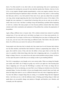drawn. You find yourself, in very short order, not only experiencing what you're experiencing in this moment, but reaching into your past for more data that matches that vibration. And now, by the LOA, as your negative thought expands proportionately, so does your negative emotion. Soon you find yourself discussing the unpleasant subject with others. And now they add to it, often reaching into their past, until in a very short period of time most of you, upon any subject that you ponder very long, attract enough supporting data that it does bring forth the essence of the subject of the thought into your experience. It is natural that by knowing what you do not want you are able to clarify what you do want. And there is nothing wrong with identifying a problem before beginning to look for a solution. But many people over time become problem oriented rather than solution oriented, and in their examination and explanation of the problem they continue the perpetuation of the problem.

Again, telling a different story is of great value. Tell a solution oriented story instead of a problem oriented story. If you wait until you're sick before you begin to try to focus more positively, it's much harder than if you begin to tell the story of Well-Being from your place of feeling good. But in any case, your new story will in time bring you different results. That which is like unto itself is drawn. So, tell the story you want to live and you will eventually live it.

Some people worry that since they're already sick, they cannot now be well, because their sickness now has their attention, and therefore their attention to sickness is perpetuating more sickness. We agree, that would be correct, if they only have the ability to focus upon what-is at this time. But since it is possible to think about things other than what is happening right now, it is possible for things to change. However, you cannot focus only upon current problems and get change. You have to focus upon the positive results that you are seeking in order to get something different.

The LOA is responding to your thought, not to your current reality. When you change the thought, your reality must follow suit. If things are going very well for you right now, then focusing upon what is happening now will cause the Well-Being to continue. But if there are things that are happening now that are not pleasing, you must find a way of taking your attention away from those unwanted things. You have the ability to focus your thoughts about yourself, about your body, and about the things that matter to you in a different direction from only what is happening right now. You have the ability to imagine things that are coming, or to remember things that have happened before. And when you do so with the deliberate intent of finding good feeling things to think and speak about, you can quickly change your patterns of thought, and therefore your vibration, and eventually your life experience.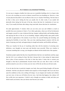It is not easy to imagine a healthy foot when your toe is painfully throbbing, but it is of great value for you to do everything you can do to distract yourself from your throbbing toe. However, a time of acute physical discomfort is not an effective time to try to visualize Well-Being. The best time to do that is when you're feeling the best you usually feel. In other words, if you usually feel physically better during the first part of the day, choose that time for visualization of your new story. If you usually feel better after taking a long warm bath, choose that time for visualization.

Set aside approximately 15 minutes where you can close your eyes and withdraw as much as possible from your awareness of what-is. Try to find a quite place, where you will not be distracted, and imagine yourself in a state of physical thriving. Imagine walking briskly and breathing deeply, and enjoying the flavor of the air you are breathing. Imagine walking briskly upon gentle incline and smile in appreciation of the stamina of your body. See yourself bending and stretching, and enjoying the flexibility of your body. Take your time exploring pleasant scenarios with the sole intent of enjoying your body, and appreciating its strength and stamina, and flexibility and beauty.

When you visualize for the joy of visualizing rather than with the intention of correcting some deficiency, your thoughts are more pure and therefore more powerful. When you visualize to overcome something that is wrong, your thoughts are diluted with the lackful side of the equation.

Sometimes people explain that they have long held desires that have not manifested, and they argue that the LOA is not working for them. But that is because they've been asking for improvement from a place of keen awareness of the lack of what they desire. It takes time to reorient your thoughts so that they're predominantly focused toward what you want. But in time it will feel perfectly natural to you to do so. In time your new story will be the one that you tell most easily.

If you do take the time to positively imagine your body, those good feeling thoughts will become dominant. And then your physical condition must acquiesce to those thoughts. But if you only focus upon the conditions as they exist, nothing will change. As you imagine and visualize and verbalize your new story, in time you will believe the new story. And when that happens, the evidence will flow swiftly into your experience. A belief is only a thought you continue to think, and when your beliefs match your desires, then your desires must become your reality.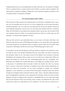Nothing stands between you and anything that you desire other than your own patterns of thought. There is no physical body, no matter what the state of decline, no matter what the conditions, that cannot achieve an improved condition. Nothing else in your experience responds as quickly as your own physical body to your patterns of thought.

# **85. I am not bound by others' beliefs**

With a little bit of effort focused in the right direction you will achieve remarkable results. And in time you will remember that you can be or do or have anything that you focus upon and achieve vibrational alignment with. You came into your physical body and into this physical world from your Nonphysical perspective, and you were very clear about your intention to be here. You did not define all of the details of your physical life experience before you got here, but you did set forth clear intentions about the vitality of your physical body from which you would create your life experience. You felt enormous eagerness to be here.

When you first arrived in your small infant body, you were closer to the Inner world than to the physical world, and your sense of Well-Being and strength was very strong. But as time passed and you became focused into your physical world, you began to observe others who'd lost their strong connection to Well-Being. And bit by bit your sense of Well-Being began to fade as well.

It is possible to be born into this physical world and continue to maintain your connection to whoyou-really-are and to your absolute Well-Being. However, most people, once they're focused into this time/space reality, do not. The primary reason for the fading of your awareness of personal Well-Being is the clamoring of those around you for you to find ways to please them. While your parents and teachers are, for the most part, well-meaning people, they are, nevertheless, more interested in your finding ways to please them than in your finding ways to please yourself. And so, in the process of socialization almost all people in almost all societies lose their way, because they're coaxed or coerced away from their own guidance system. Most societies demand that you make your action your top priority. You are rarely encouraged to consider your vibrational alignment, or your connection to your Inner World. Most people eventually become motivated by the approval or disapproval that is directed at them by others. And so, with their misplaced attention upon accomplishing the action that is most respected by the onlookers of their lives, they lose their alignment, and then everything in their experience is diminished. But you were eager about being born into this physical world of such amazing variety, because you understood the value of that contrast from which you would build your own experience. You knew that you would come to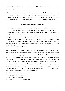understand form your own experience what you preferred from the variety of options that would be available to you.

Whenever you know what you do not want, you understand more clearly what it is that you do want. But so many people take that first step of identifying what is not wanted, and instead of then turning toward what is wanted and achieving vibrational alignment with that, they instead continue to talk about what they do not want. And in time, the vitality that they were born with, wanes.

#### **86. There is time enough to accomplish it**

When you do not understand the power of thought, and you do not take the time to align your thought to allow this power, you are then resigned to create through the power of action, which comparatively is not much. And so, if you've been working hard with your action to accomplish something, and have not managed to achieve it, often you feel overwhelmed or incapable of now making it happen. Some people simply feel that they do not have enough time left in their lives to be and do and have the things that they have dreamed of. But we want you to understand that if you will take the time to deliberately align with the Energy that creates worlds through the power of focusing your thoughts, you will discover a leverage that will help you quickly accomplish things that have formally seemed not possible.

There is nothing that you cannot be or do or have, once you accomplish the necessary alignment. And when you do, your own life experience will give you the evidence of your alignment. Before things actually manifest, your proof of alignment comes in the form of positive good feeling emotion. And if you understand that, then you will be able to hold steady to your course, while the manifestation of the things you desire are making their way to you. The LOA says, "That which is like unto itself, is drawn". Whatever your state of being, whatever the way you feel, you're attracting more of the essence of that. To want or desire something always feels good, when you believe you can achieve it. But desire in the face of doubt feels very uncomfortable. We want you to understand that wanting something and believing you can accomplish it, is a state of alignment. While wanting something and doubting it, is misalignment.

Wanting and believing is alignment.

Wanting and expecting is alignment.

Expecting something unwanted is not alignment.

You can feel your alignment or misalignment.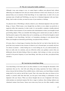Although it may seem strange to you, we cannot begin to address your physical body without addressing your nonphysical roots and your eternal connection to those roots, because you, in your physical body, are an extension of that Inner-Being. In very simple terms, in order to be at your maximum state of health and Well-Being, you must be in vibrational alignment with your Inner-Being. And in order to do that, you must be aware of your emotions, or feelings.

You physical state of Well-Being is directly related to your vibrational alignment with your Inner-Being, or Source. Which means, every thought that you think on every subject can positively or negatively affect that connection. In other words, it is not possible to maintain a healthy physical body without a keen awareness of your emotions and a determination to direct your thoughts toward good feeling subjects. When you remember that feeling good is natural and you make an effort to find the positive aspects of the subjects that you're considering, you will train the thoughts to match the thoughts of your Inner-Being. And that is of tremendous advantage to your physical body. When your thoughts are chronically good feeling, your physical body will thrive.

Of course, there is a broad range of emotions from those that feel very bad to those that feel very good. But in any moment in time, because of whatever you're focused upon, you actually only have two choices in emotion – a better feeling one or a worse feeling one. So, you could accurately say, there are really only two emotions, and you effectively utilize your guidance system when you deliberately choose the better feeling of those two options. And in doing so, in time, you can tune yourself to the precise frequency of your Inner-Being. And when you do that, your physical body will thrive.

#### **88. I can trust my eternal Inner-Being**

Your Inner-Being is the Source part of you that continues to evolve through the thousands of life experiences that you live. And with each sifting and sorting experience the Source within you always chooses the best feeling of the available choices, which means, your Inner-Being is eternally tuning itself to love and joy and all that is good. That is the reason that when you choose to love another or yourself, rather than find fault, you feel good. Good feeling is confirmation of your alignment with your Source. When you choose thoughts that are out of alignment with Source, which produces an emotional response like fear or anger or jealousy, those feelings indicate your vibrational variance from Source. Source never turns away from you, but offers steadily a steady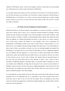vibration of Well-Being. And so, when you feel negative emotion, it means that you are preventing your vibrational access to Source and to the Stream of Well-Being.

As you begin telling stories about your body, and about your life and your work and the people in your life, that feel good as you tell them, you will achieve a steady connection with that Stream of Well-Being that is ever flowing to you. And as you focus upon the things that you desire, feeling positive emotion as you focus, you access the power that creates worlds, and you flow it toward your object of attention.

#### **89. What is the role of thought in traumatic injuries?**

Whether the trauma to your body seemed to come suddenly as a result of an accident, or whether it came from a disease such as cancer, you've created the situation through your thought. And the healing will come through your thought as well. Chronic thoughts of ease promote Wellness, while chronic stressful, or resentful, or hateful, or fearful thoughts promote disease. But whether the result shows up suddenly, as in falling and breaking your bones, or more slowly, as in cancer, whatever you're living always matches the balance of your thoughts. Once you've experienced the diminishment of Well-Being, whether it has come as broken bones or internal diseases, it is not likely that you will suddenly find good feeling thoughts that match those of your Inner-Being. In other words, if before your accident, or disease, you were not choosing thoughts that aligned with Well-Being, it's not likely that now you're faced with discomfort or pain or a frightening diagnosis you will suddenly find that alignment. It is much easier to achieve great health from moderate health, than to achieve great health from poor health. However, you can get to wherever you want to be from wherever you are, if you're able to distract your attention from the unwanted aspects of your life, and focus upon aspects that are more pleasing. It really is only a matter of focus. Sometimes a frightening diagnosis or traumatic injury is a powerful catalyst in getting you to focus your attention more deliberately on things that do feel good. In fact, some of our best students of deliberate creation are those who have been given a frightening diagnosis, where doctors have told them that there was nothing more that could be done for them. Who now, since they have no other options, deliberately begin to focus their thoughts.

It is interesting that so many people will not do what really works until all other options have been exhausted. But we do understand that you've acclimated to your action oriented world, and so action does seem to most of you to be the best first option. We're not guiding you away from action, but instead encouraging that you find better feeling thoughts first, and then follow with the action that you feel inspired to.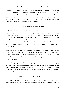From wherever you stand you can get to wherever you want to be. If you could understand that your now is only the jumping off place for that which is to come, you could move quickly, even from dramatic unwanted things, to things that please you. If this life experience contains a data that causes you to give birth to a desire, then the wherewithal to accomplish it is available to you. But you must focus upon where you want to be, not where you are, or you cannot move toward your desire. However, you cannot create outside your own beliefs.

#### **91. Major diseases come and go. But why?**

Jerry: As cures are being discovered, why don't we just finally run out of diseases to be cured?

Abraham: Because of your attention to lack. Feelings of powerlessness and vulnerability all produce more to feel powerless and vulnerable about. You cannot focus upon the conquering of a disease without giving your attention to disease. But it's also very important to understand that looking for cures for diseases, even when you find them, is a short-sided, and in a long run ineffective process, because new diseases are continually being created. When you begin to look for and understand the vibrational causes for diseases, rather than looking for cures, then you will come to the end of the pile of diseases.

When you are able to deliberately accomplish the emotion of ease, and its accompanying vibrational alignment, it is possible to live disease-free. Most people spend very little time basking in appreciation for the Wellness they are currently experiencing, but instead they wait until they are sick and then they turn their attention to recovery. Good feeling thoughts produce and sustain physical Well-Being.

You live in very busy times and you find many things to fuss and worry about. And in doing so, you hold yourself out of alignment. And disease is the result. And then you focus upon the disease and perpetuate more disease. But you can break the cycle at any time. You do not have to wait for your society to understand in order to achieve wonderful physical Wellness yourself. Your natural state is one of Wellness.

#### **92. I've witnessed my body heal itself naturally**

Your body is made up of intelligent cells that are always bringing themselves into balance. And the better you feel, the less you are vibrationally interfering with that cellular rebalancing. If you're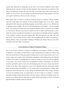focused upon things that are bothering you, the cells of your body are hindered in their natural balancing process, and once an illness has been diagnosed, and you then turn your attention to that illness, the hindering is greater still. Since the cells of your body know what to do to come into balance, if you can find a way of focusing your attention upon good feeling thoughts, you'll stop your negative interference, and your recovery will come.

Every disease (hear it: dis-ease) is caused by vibrational discord, or resistance, without exception. And since most people were unaware of their discordant thoughts prior to the illness, usually making little effort to practice good feeling thoughts, once the illness occurs, it's very difficult then to find pure positive thoughts. But if you could understand that your thoughts – and your thoughts alone – are causing the resistance that is preventing the Wellness, and you could turn your thoughts in a more positive direction, your recovery could be very fast. No matter what the disease is, and no matter how much it is progressed, the question is: can you direct your thoughts positively regardless of the condition? Usually at this point someone asks, "But what about the sick child, who's just been born?" Do not assume, because a child is not yet speaking, that the child is not thinking, or offering vibration. There are tremendous influences to Wellness and sickness that occur even when the child is still in the womb, or newly born.

### **93. By attention to Wellness I'll maintain Wellness**

Just as your wound or sickness is evidence of misalignment, your healing or Wellness is evidence of alignment. Your tendency toward Wellness is much stronger than your tendency for illness. And that is the reason that even with some negative thinking most of you do remain mostly well. You've come to expect your wounds to heal, which helps tremendously in the healing process, but when the evidence of your illness is something that you cannot see, where you must rely on the investigation of your doctor, who uses his medical tests or equipments to probe for information, you often feel powerless and fearful, which not only slows the healing process, but is also a strong reason for the creation of the illness. Many people have come to feel vulnerable about the unseen parts of their body, and that feeling of vulnerability is a very strong catalyst in the perpetuation of illness. Most people go to the doctor when they are sick, asking for information about what's wrong. And when you look for something wrong, you usually find it. The LOA insists on it, actually. A continual searching for things wrong with your body will in time produce evidence of something wrong. Not because it was lurking there all along and you finally probed long enough to find it, but because repeated thought eventually creates its equivalent.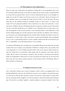There are many who would protest our perspective claming that we are irresponsible when we do not encourage regular check-ups on the quest for things that have gone wrong or could potentially go wrong with your physical body. And if we did not understand the power of your thoughts, we might even say that if it makes you feel more secure to go to the doctor, then by all means go. In fact, sometimes when you go looking for trouble and do not find it, you do feel better. But more often than not, the repeated looking for something wrong over time creates it. It really is that simple. We're not saying that medicine is bad, or that there is no value to be received by a visit to your doctor. Medicine, doctors, all healing professions in general are neither good nor bad at their own face value. But instead they are as valuable as your vibrational stance can allow them to be. Our encouragement is that you pay attention to your emotional balance, work deliberately to find the best feeling thoughts you can find, and practice them until they are habitual. And in doing so, you will tend to your vibrational alignment first, and then follow through with whatever action you feel inspired to. In other words, a trip to your doctor or action toward anything, when accompanied by joy, or love, or good feeling emotion, is always valuable. While action that is motivated by your fear, or vulnerability, or any bad feeling emotion, is never valuable.

Your physical Well-Being, like everything else, is profoundly affected by the beliefs that you hold. Usually when you're younger, your expectation of Wellness is stronger. But as you get older, most of you degenerate on a sort of sliding scale that reflects what you're seeing in others around you. And your observation is not inaccurate. Older people often do experience more illness and less vitality. But the reason for the decline of people as they get older is not because their physical bodies are programmed to break down over time, but because the longer they live the more they find to fuss and worry about, causing resistance to their natural stream of Well-Being. Illness is about resistance, not about age.

#### **95. Euphoria in the jaws of a lion**

Jerry: I heard that a famous man, a doctor Livingstone, while in Africa, was dragged off by a lion that had grabbed him in his jaws. He said that he went into a sort of euphoric state and felt no pain. I've seen prey go limp like that when they're about to be eaten by a larger animal. It's kind of like there is a giving up and the struggle is over. But my question is about his statement about feeling no pain. Was what he was calling "euphoria" a mental condition or a physical condition? And is that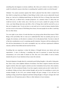something that only happens in extreme conditions, like when you're about to be eaten or killed, or could it be utilized by anyone when there is something that's painful in order to not feel the pain?

Abraham: You cannot accurately separate that which is physical from that which is mental from that which is coming from your Higher or Inner-Being. In other words, you are a physically focused being, yes. And you're a thinking mental being, yes. But the Life Force, or Energy, that comes forth from within you, is offered from a broader perspective. In a situation where it's likely that you would not recover, in other words, once a lion has you in its jaws, usually he's going to be the victor, your Inner-Being intervenes and offers a flow of Energy that would be received by you as that sort of euphoric state. You do not have to wait until you're in such an intense situation before you have access to the stream of Well-Being from Source, but most people do not allow it until they have no other choice.

You were right in your choice of words that there was giving up that allowed that stream of Well-Being to flow powerfully. But we want you to understand that what was actually given up was a struggle, the resistance, not the desire to continue to live in this physical body. You have to take all of that into consideration as you're examining specific situations. Someone with less enthusiasm for life with less determination to live and to accomplish, may very well have experienced a different outcome, and have been killed and devoured by the lion.

Everything that you experience is about the balance of thought between your desires and your expectations. A state of allowing is something that must be practiced in normal day-to-day circumstances, not in the midst of attacks by lions. But even in the middle of such an intense situation the power of your intentions always causes the outcome.

Practiced alignment, brought about by consistently good feeling thoughts, is the path to being painfree. Pain is only a more emphatic indicator of resistance. First there's negative emotion, then more negative emotion, then more negative emotion (you have tremendous leeway here), then sensation, then pain. We tell our physical friends, if you have negative emotion and you don't realize that it's an indicator, letting you know about resistant thought, and you don't do something to correct your resistant thought, by the LOA your resistant thought will grow stronger. If you still don't do anything to bring yourself into alignment and better feeling thought, it will grow stronger still. Until eventually you will experience pain or illness or other indicators of your resistance.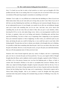Jerry: I've heard you say that in order to heal ourselves we want to get our thoughts off of the problem and onto what we are wanting. But if we're in pain, how do we not feel it? How can we get our attention off the pain long enough to concentrate on something we do want?

Abraham: You're right, it is very difficult not to think about the throbbing toe. Most of you do not think clearly about what you do want until you're living what you don't want. Most of you sort of drift into your day blundering here and there, not offering any real conscious thought. Because you do not understand the power of your thought, you usually do not offer any real deliberate thought until you're faced with something that you do not want. And then, once you're faced with something that you do not want, then you attack it fully, then you give it your attention, which, knowing the LOA as we do, only makes things worse. And so, our encouragement would be, look for times, or segments, when you're not feeling such intensity of throbbing pain, and then focus upon the Well-Being. You have to find a way of separating what is happening in your experience from your emotional response to what is happening. In other words, you could have pain in your body, and during the pain you could be feeling fear, or you could have pain in your body while feeling hopeful. The pain does not have to dictate your attitude or the thoughts that you're thinking. It is possible to think about something other than the pain. And if you can achieve that, then in time the pain will subside. However, if once the pain occurs, you give the pain your undivided attention, then you will only perpetuate more of what you do not want.

Someone who's been focused negatively upon any variety of subjects, and now is experiencing pain, now has to overcome the pain *and* focus positively. You see, your negative habit of thought brought about the illness, and to suddenly switch to positive thoughts, required to allow Wellness, is not likely to be a fast process, because now you have the hindering pain, or illness, or both, to content with. Preventative Wellness is far easier to accomplish than corrective Wellness. But in either case, improved feeling thoughts, thoughts of greater and greater relief are the key. Even in situations where a lot of pain is being experienced, there are times of greater and lesser discomfort. Choose the best feeling times from the range you're experiencing, to find positive aspects and to choose better feeling thoughts. And as you continue to reach for thoughts that bring greater emotional relief, that positive leaning will eventually bring you back to Wellbeing. Every time. No exceptions.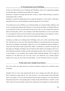At the core of that which you are is Wellness and Well-Being. And if you're experiencing anything less than that, there is resistance present within your vibration.

Resistance is caused by focusing upon the lack of what is wanted. While allowing is caused by focusing upon what *is* wanted.

Resistance is caused by thought that does not match the perspective of your Source. Allowing is experienced when your current thoughts do match the perspective of your Source.

Your natural state is one of Wellness, one of absolute health, one of perfect bodily conditions. And if you're experiencing anything other than that, it is only because the balance of thought within you is toward the lack of what you want instead of what you do want. It is your resistance that causes an illness in the first place. And it's your resistance to that illness that holds it to you once it gets there. It's your attention to what you do not want that creates unwanted things in your experience. And so, it's logical that your attention to what you do want would be more appropriate.

Sometimes you think you're thinking about Well-Being, when you're really worried about being sick. And the only way to be sure of the vibrational difference is by paying attention to the emotion that always accompanies your thought. Feeling your way to the thoughts that promote Wellness is much easier than trying to think yourself there. Make a commitment to yourself to feel good, and then guide your thoughts accordingly, and you'll discover that without even realizing it, that you've been harboring resentments, feeling unworthy and feeling powerless. But now that you've decided to pay attention to your emotions, these resistant illness producing thoughts will no longer go unnoticed. It's not natural for you to be sick. And it's not natural for you to harbor negative emotion. For at your core you're like your Inner-Being – you are well and you feel very very good.

#### **98. But could a baby's thoughts attract disease?**

Jerry: How could a new baby, that has no conscious awareness of disease, how could they attract the disease?

Abraham: First we want to state unequivocally that no one is creating your reality other than you. But it's important to realize that the "you" that you know as you, did not begin as that small infant born to your mother. You are an eternal being, having lived many experiences. You came forth into this physical body from a long background of creating. People often think that it would be a much better world if all new-born babies could be born meeting all of the standards of a perfect physical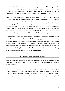body. But that's not necessarily the intention of every being who comes forth in to a physical body. There are many beings, who, because the contrast creates an interesting effect that proves valuable in many other ways, deliberately intend to very from what is normal. In other words, you just cannot assume that something has gone wrong when babies are born with differences.

Imagine an athlete who's become very good at playing tennis. People sitting course-side watching the match may assume that this player would be happiest always playing against an opponent with less skill, who she can easily beat. But the athlete may very well prefer exactly the opposite. She may prefer people who are at the top of their game, who draw forth from her focus and precision that's not been drawn before. And in like manner, many who are at the top of their game in physical creating, want opportunities to view life differently, so that new options can be evoked, and new experiences can be lived. And these beings also understand that there can be tremendous benefit to those who are close by, when something different from what is normal is being experienced.

People often incorrectly assume that since the baby cannot speak, it could not be creating its own reality. But that is not the case. Even those who do have language, are not creating through words, but through thoughts. Your babies are thinking when they're born, and before they're born, they are vibrationally aware. Their vibrational frequencies are immediately affected by the vibrations that surround them in their birth environment. But there is no need to worry about them, for they, like you, were born with the guidance system to help them to discern the difference between the offering of beneficial thoughts and the disallowing of Well-Being thoughts.

# **99. Why have some been born with illnesses?**

Jerry: So, when you're speaking of the balance of thought, are you saying the balance of thought even from before we're born? In other words, would that be why someone could be born with a physical problem?

Abraham: It is. But just as the balance of your thought now is equaling what you're living, the balance of thought that you held prior to your birth is also what equaled what you're living. But you must understand that there are those who've come forth deliberately wanting physical disability, because they wanted the benefit that they knew would come from it. They were wanting to add some balance to their perspective.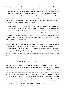Before you came into this physical body, you understood that from wherever you stand, you can make a new decision about what you want. And so, there was no concern about your starting place in your physical body, because you knew that if that condition inspired a desire for something different, the new desire was attainable. There are many people who have achieved tremendous success in many areas of life who are born into conditions that would be considered to be the extreme opposite of success. And those raw and ragged beginnings served them extremely well, because born out of that poverty, or dysfunction, was strong desire which was the beginning of the asking that was necessary before success could begin to flow to them.

All beings who come forth into a physical body have full understanding of the body they are coming in to. And you may trust that if they came forth, and remain, it was their intention from nonphysical to do so. And without exception, when where you're currently standing causes you to make another decision about what you now desire, you have the ability, if you focus your thought, to accomplish the essence of that creation. Most who are attracting less than Wellness, are doing so by default. They may very well desire Wellness, while the majority of their thoughts are upon subjects that do not support Wellness.

It's not a good idea to stand in your perspective and try to evaluate the appropriateness of what anyone else is living, because you will never be able to figure it out. But you always know where you stand relative to what you are wanting. And if you will pay attention to what you're thinking, and let your thoughts be guided by the feeling that comes forth from within you, you will find yourself guiding your thoughts more of the time in the direction of that which will ultimately please you.

#### **100. Let's discuss the concept of "incurable" diseases**

There is not a physical apparatus, no matter what the state of deterioration, that cannot achieve perfect health. But that which you believe has everything to do with what you allow in your experience. If you've been convinced that something is not curable, that it's fatal, and then you're told that you have it, usually your belief will be that you will not survive. And so, you will not. But your survival has nothing to do with the disease and everything to do with your thoughts. And so, if you say to yourself, "That may be true for others, but it's not true for me, because I am the creator of my experience, and I choose recovery, not death at this time", you can recover. We know, that these words are easily said by us and not so easily heard by those who do not believe in their power to create. But your experience always reflects the balance of your thoughts.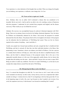Your experience is a clear indication of the thoughts that you think. When you change the thoughts you are thinking, your experience, or indicator, must change also. It is Law.

#### **101. Focus on fun to regain one's health**

Jerry: Abraham, there was an author who'd contracted a disease that was considered to be incurable. But he survived it. And he said he was able to do so by watching a serious of humorous television programs. I understand, he just watched those programs and laughed, and the disease went away. What would you say was behind his recovery?

Abraham: His recovery was accomplished because he achieved vibrational alignment with Well-Being. There are two primary factors involved in his finding vibrational alignment. First, his desire for Wellness was dramatically enhanced by his illness. And second, the programs he watched distracted him from the illness. The pleasure that he felt as he laughed at the humor of the program was his indication that his disallowance of Well-Being had ceased. Those are the two factors required in the creation of anything – want it and allow it.

Usually once people have focused upon problems and such, enough that they've disallowed their Well-Being, and they're seriously ill, then they turn their undivided attention to the illness, thus perpetuating it more. Sometimes a doctor can enhance your belief in Wellness, if he has a process or a remedy that he believes will help you. And in that case the desire is amplified because of the illness, and the belief is enhanced because of the proposed remedy. But in the case of the supposedly incurable disease or in the case of the supposedly curable disease, the two factors that brought about the healing were the same – desire and belief. Anyone who can come to expect Well-Being can achieve it under any conditions. The trick is to expect Well-Being, or, as the man in your example did, simply distract yourself from the lack of Well-Being.

# **102. Did ignoring the illness resolve the illness?**

Jerry: I've noticed that throughout my adult life, I've never been so sick I wasn't able to do the work I intended to do that day. In other words, I always felt my work was so important that I didn't consider not doing it. I noticed, however, that if I was beginning to feel less than good, like if I was in the beginning stages of cold or flu, once I got focused on what I needed to do in terms of my work, the symptoms went away. Is that because I was focused on something that I wanted?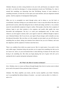Abraham: Because you had a strong intention to do your work, and because you enjoyed it when you did it, you had the advantage of a strong momentum toward your Well-Being. So, when it seemed that something was distracting from that Well-Being, because of some attention to something unwanted, you had only to focus upon your usual attention, and your alignment returned quickly. And the symptoms of misalignment faded quickly.

Often you try to accomplish too much through action, and in doing so, you feel tired, or overwhelmed. And those feelings are your indicator that it's time to stop and refresh. But often you push forward in action, rather than taking the time to refresh and realign, and that's a very common reason for uncomfortable symptoms to begin to surface. Most people, when they feel a symptom of sickness, begin to give their attention to the symptom, and usually slide rapidly into more discomfort and misalignment. The key is to catch your misalignment early. In other words, whenever you feel negative emotion, that's your signal to reach for a different thought to improve your vibrational balance. But if you do not, your signal will get stronger, until eventually you may feel physical discomfort. But even then, as in the example you just stated, you can still refocus on something that you desire, taking your attention from whatever has you out of balance, and come into alignment, and the symptoms of sickness must then leave.

There is no condition from which you cannot recover. But it is much easier, if you catch it in the early subtle stages. Sometimes being sick provides you in escape from something else that you do not want to do. And so, in your environment there is much allowing of sickness for the sake of not having to do something else. But when you begin playing that sort of game with self, you're opening the door to greater and greater and greater sickness.

### **103. What's the effect of vaccines on diseases?**

Jerry: Abraham, since we create our illnesses through thought, then why do vaccines seem to almost put an end to the spread of those particular kinds of diseases?

Abraham: The illness amplifies your desire, and the vaccine amplifies your belief. Therefore, you've accomplished the delicate balance of creation – you want it, and you allow it, or believe it – and so it is.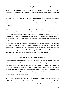Jerry: People like witch doctors and faith healers and medical doctors, all of them have a reputation for healing some people and for losing some of their patients too. So what do you see the place for such people in thought or in life?

Abraham: The important thing that all of those have in common is that they stimulate belief in their patience. The first part of the balance of creation has been accomplished, because the illness has enhanced the desire for Wellness. And anything that brings about belief or expectation will give positive results.

When medicine and science stop looking for cures and begin to look for vibrational causes, or imbalances, they will see a much higher rate of recovery. If a doctor does not believe that you can recover from your illness, your association with that doctor is extremely detrimental. And often well meaning doctors will defend their doubt for your recovery by pointing out the odds against it, telling you that it's not likely that you will be an exception. The trouble with that logic, even though it's based on the facts or evidence that medicine and science have come to expect, is that it has nothing to do with you. There are only two factors that have anything to do with your recovery: your desire and your belief. And this negative diagnosis is hindering your belief. And so, if you have a strong desire for recovery, and doctors are giving you no hope, it is logical that you would turn to alternative approaches, where hope is not only allowed, but encouraged. For there is much evidence to show that people *can* recover from supposedly "incurable" diseases.

#### **105. Your physician as a means to Well-Being**

Do not condemn your modern medicine, for it has been created because of the thoughts, desires and beliefs of the members of your society. But we want you to know that you have the power to accomplish anything that you desire. But you cannot look outside of yourself for the validation to do so. Your validation will come from within you in the form of emotion. Seek your vibrational alignment first, and then follow through with inspired action. Let your medical community assist you in your recovery, but do not ask them to do the impossible – don't ask them to give you a cure to compensate for your misaligned energy.

Without asking there can be no answering. And attention to a problem really isn't asking for a solution. So, it's not unusual that doctors would be examining the physical body, looking for problems, for which they might have a solution. But looking for problems is a powerful catalyst for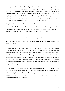attracting them. And so, often well-meaning doctors are instrumental in perpetuating more illness than they are able to find cures for. We're not suggesting that they are not wanting to help you, we're saying that their dominant intent, when they examine you, is to find some evidence of something wrong. And since that is their dominant intent, that is more of what they will attract than anything else. In time, after they've been involved in it for a period of time, they begin to believe in the fallibility of man. They begin to notice more of what is wrong than what is right, and that is the reason that so many of them begin to attract illness into their own experience.

Jerry: Is that the reason that so often physicians can't heal themselves?

Abraham: That is the reason. It is not easy to be focused upon others' negatives, without experiencing the negative emotion within your own being. And illness exists because of the allowance of negativity. One who never experiences negativity, will not be sick.

### **106. What can I do to help them?**

Jerry: So what's the best thing that I, as an individual, could do for other people that are having physical problems?

Abraham: You never help others when you allow yourself to be a sounding board for their complaints. Seeing them as you know they want to be is the most valuable thing you can do for them. Sometimes that means removing yourself from their vicinity, because when you're near them, it's difficult not to notice their complaints. You might say to them, "I've learned the power of my attention and thought. And so, as I hear you speaking of what I know you don't want, I must tell you that I must remove myself, for I don't want to contribute to your miscreating". Try do distract them from their complaints. Try to help them focus upon some positive aspects. Do your best to imagine their recovery.

You will know when you are of value to anyone when you are able to think about the person and feel good at the same time. When you love others without worry, you are an advantage to them. When you enjoy them, you help them. When you expect them to succeed, you help them. In other words, when you see them as your own Inner-Being sees them, then and only then is your association with them to their advantage.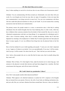Jerry: Is there anything we can do for a loved one who is in one of those sort of unconscious states?

Abraham: You are communicating with those around you vibrationally even more than with your words. So, even though your loved one may show no signs of recognition, it does not mean that your communication is not being received on some level. You can even communicate with those who have made their physical transitions in what you call 'death'. So, do not assume that a seeming unconscious state has barred your communication.

The primary reason why people remain in a coma, or unconscious state, is that they're seeking refreshment from the lackful thoughts that have been hindering them. In other words, while they have withdrawn their conscious attention from the details of their normal life, they are in a state of vibrational communication with their own Inner-Being. It's an opportunity for refreshment and it's often a time of decision making, where they're actually determining whether they'll find their alignment by returning to the nonphysical or whether they'll awaken again back into their physical body. In many regards, it's not very different from being born into the physical body in the first place.

Here is the best attitude for you to hold regarding such people: "I want you to do what's important to you. I approve of whatever you decide. I love you unconditionally. If you stay, I will be ecstatic. And if you go, I will be ecstatic. Do what is best for you". That's the best you can do for them.

Jerry: And so, those people who are in a state like that for many years, they're actually doing what they want to do?

Abraham: Most of them, if it's that length of time, made the decision not to return long ago. And someone in the physical overrode their decision and kept them plugged into a machine. But their consciousness has long gone, and will not return to this body.

### **108. Could I inherit my grandmother's illness?**

Jerry: Don't some people actually inherit physical problems?

Abraham: What appears to be inherited tendencies is usually the LOA's response to the thoughts that you learned from your parents. However, the cells of your body are thinking mechanisms also, and your cells, like you, can learn vibration from those around them. However, when you identify a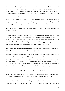desire, and you find thoughts that feel good, which indicate that you're in vibrational alignment with your Inner-Being or Source, the cells of your body will quickly align to the vibration of Well-Being that your positive thought has established. The cells of your body cannot develop negative tendencies that lead to disease when you are in alignment with your Source. Your cells can only get out of alignment when you are.

Your body is an extension of your thought. Your contagious, or so called inherited, negative symptoms are supported by your negative thought, and could not occur in the presence of chronically positive thoughts, no matter what diseases had been experienced by your parents.

Jerry: So, if I hear my mother speak of her headaches, and I accept that, then I can start having headaches myself?

Abraham: Whether you heard it from your mother, or from another, your attention to something you do not want will in time bring the essence of it to you. The headache is a symptom of resistance to Well-Being, which occurs when you hold yourself in vibrational contradiction to the Well-Being of your Inner-Being. For example, worrying about work or feeling angry at your government can cause physical symptoms. You do not have to focus upon a headache to have one.

Jerry: Well then, if I hear my mother complain of headaches, and I consciously reject that, and say, "Well, that may be true for you, but that's not for me", does that in some way protect me?

Abraham: It's always to your advantage to speak of what you want. But you cannot stay in alignment with who-you-really-are and focus upon your mother's headache at the same time. Speaking of what you do want while looking at what you do not want does not put you in alignment with what you do want. Take your attention from the things you do not want to attract, and put them upon the things you do want to attract. Focus upon some aspect of your mother that causes you to feel good, or focus upon something other than your mother that causes you to feel good.

#### **109. What is the media's role in epidemics?**

Jerry: Now, I've been hearing in the media recently that there are free flu shots in town for those who wanna go and get them. Will that news affect the spread of the flu virus in any way?

Abraham: Yes, it will be of great value to the spread of the flu virus. There is no greater source of negative influence in your environment today than your television. Of course, as in every part of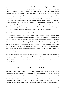your environment, there is wanted and unwanted. And you do have the ability to focus and therefore receive value from your television and media. But those sources do bring you a tremendously distorted imbalanced point of view. They look all around your world for pockets of trouble, shining spotlights upon them and magnifying them, and enhancing the trouble with dramatic music, and then funneling them into your living rooms, giving you a tremendously distorted picture of the trouble vs. the Well-Being of your Planet. The constant barrage of medical commercials is a powerful source of negative influence. As they explain to you that 1 out of 5 people has this disease lurking, and you're probably the one, they influence you to give thought. And then they say, "See your physician". And when you go to your physician, remember, the intent of the physician is to find something wrong. Now your negative expectation is born, or enhanced. And with enough of that influence your body begins to manifest the evidence of those pervasive thoughts.

Your medicine is more advanced today than ever before, and yet more of you are sick than ever before. Remember, to create anything, you have only to give thought to it and then expect it, and it is. They show you the statistics, they tell you the horror stories, they stimulate your thought, and as you're being stimulated by the thought in great detail, you have the emotion (the dread, or the fear) "I don't want that". And one half of the equation is complete. Then they encourage you to go in for a check-up, or to come and get the free flu shot ("Obviously we know it's an epidemic or we wouldn't be offering the free flu shots"), and that completes the expectation, or the allowing, part. And now you're in the perfect position for the receiving of the flu, or the essence of whatever it is that they're talking about.

You get what you think about, whether you want it or not. And so, it's of great value for you to begin practicing your own story about your Well-Being, so that when the television presents that frightening story, one that you do not want to live, you can hear their version and feel humor about it rather than fear.

#### **110. Catch uncomfortable sensations while they're small**

The first indication that you're disallowing your physical Well-Being comes to you in the form of negative emotion. You will not see a breakdown of your physical body at the first sign of negative emotion, but focusing upon subjects that cause a prolonged feeling of negative emotion will eventually cause disease. If you're unaware that the negative emotion indicates the vibrational disharmony that is hindering the level of Well-Being that you're asking for, you may be like most people accepting a certain level of negative emotion and feeling no need to do something about it.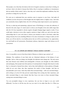Most people, even when they feel alarm at the level of negative emotion or stress they're feeling, do not know what to do about it, because they believe they're reacting to conditions or circumstances that are outside of their control. And so, since they can't control the unpleasant conditions, they feel powerless to change the way they feel.

We want you to understand that your emotions come in response to your focus. And under all conditions you have the power to find thoughts that feel slightly better or slightly worse. And when you consistently choose slightly better, the LOA will bring steady improvement to your experience.

The key to achieving and maintaining a physical state of Well-Being is to notice the indicators of discord in the early stages. It's much easier to refocus your thoughts in the early subtle stages than after the LOA has responded to chronic negative thoughts bringing bigger negative results. If you could make a decision to never allow negative emotion to linger within you, and at the same time acknowledge that it's your work alone to refocus your attention in order to feel better, rather than asking someone else to do something different or for some circumstance to change to make you feel better, you will not only be a very healthy person, but you will be a joyful person. Joy, appreciation, love and health are all synonymous. Resentment, jealousy, depression, anger and sickness are all synonymous.

#### **111. Are arthritis and Alzheimer's disease somehow resolvable?**

Jerry: Is it possible to recover from those kinds of illnesses at whatever age a person's at?

Abraham: The conditions of your body truly are vibrational indicators of the balance of your thoughts. And so, when you change your thoughts, the indicators must change also. The only reason that some diseases seem stubborn and unchangeable is because your thoughts are often stubborn and unchanging. Most people learn their patterns of counterproductive thought often based on truths they've witnessed or learned form others. And as they hold stubbornly to those patterns of thought, which do not serve them, they then experience the results of those thoughts. And then an uncomfortable cycle occurs, where they think about unwanted things - valid, true unwanted things, and in doing so, by the LOA they prevent wanted things from coming into their experience, and allow unwanted things to come instead, then they focus even more on those unwanted things, causing more unwanted things to come.

You can accomplish change in every experience, but you have to begin to see your world differently. You have to tell the story the way you want it to be rather than like it is. When you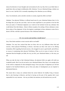choose the direction of your thoughts and conversations by the way they feel as you think them or speak them, then you begin to deliberately offer vibrations. You are vibrational beings, whether you know it or not. And the LOA is eternally responding to the vibrations you are offering.

Jerry: Can chemicals, such as alcohol, nicotine or cocaine, negatively affect our body?

Abraham: Your physical Wellness is affected much more by your vibrational balance than it is by the things that you put into your body. And even more significant to your question is the fact that from your place of vibrational alignment you would not feel inclined toward any substance that would detract from that balance. Almost without exception, the seeking of those substances comes from a place of less alignment. In fact, the impulse to participate in those substances comes from a desire to fill the void that is present because of the vibrational imbalance.

### **112. Are exercise and nutrition a health factor?**

Jerry: Does better nutrition or more exercise add to our health?

Abraham: You may have noticed that there are those who are very deliberate about food and exercise, whose physical Well-Being is obvious. And there are those who seem to be offering tremendous effort regarding food and exercise, who struggle for years to gain benefit, and still have no success in maintaining their physical Well-Being. What you do in terms of action is far less important than the thoughts you think, the way you feel, your vibrational balance, or the story you tell.

When you take the time to find vibrational balance, the physical effort you apply will yield you wonderful results. But if you do not tend to your vibrational balance first, there's not enough action in the world to compensate for that misaligned energy. From your place of alignment you will feel inspired to the beneficial behavior, just as from your place of misalignment you are inspired to detrimental behavior.

The reason that so many are confused about the correct behavior for healthy living is because they're only factoring in behavior, and they're leaving out the part of the equation that's most responsible for every outcome – the way you think, the emotions you feel and the story you tell.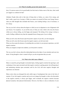Jerry: If a person seems to be in good health, but feels tired or listless most of the time, what would you suggest as a solution for that?

Abraham: People often refer to that state of being tired, or listless, as a state of low energy, and that's really a good way of saying it. While you cannot cut yourself off from your Energy Source, when you offer thoughts that contradict that Source, your resulting feeling is one of resistance, or low energy.

The way you feel is always about the degree to which you are in alignment or out of alignment with your Source. No exceptions. As you tell the story of what you want, which is the story the Source within you is always telling, you feel happy and energized. The feeling of low energy is always a result of telling a different story than the expanded Source Energy part of you is telling.

When you tell a story that focuses upon the positive aspects of your life, you feel energized.

When you tell a story that focuses upon the negative aspects, you feel enervated.

When you focus upon the absence of something that you desire in your present experience, you feel negative emotion.

When you imagine an improved condition, you feel positive emotion.

The way you feel is always about the relationship between the object of your attention and your true desire. Giving thought to what is wanted will give you the invigoration that you seek.

# **114. What is the chief cause of illness?**

Illness is caused by giving thought to unwanted topics, feeling negative emotion but ignoring it, and continuing to focus upon unwanted such that negative emotion is getting greater, but still ignoring it and maintaining attention upon unwanted, until by the LOA still more negative thoughts and experiences are attracted.

Illness exists when you disregard the early subtle signs of misalignment that come in the form of emotion. If you feel negative emotion and you do not change the thought to relieve the discomfort of the negative emotion, it always gets bigger, until eventually the negative emotion becomes physical sensation, then physical deterioration. However, the illness is only an indication of your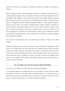vibration. And whenever you change your vibration, the indicator will change to match the new vibration.

Illness is nothing more than a physical indicator of energy out of balance. Many people who are experiencing illness disagree with our explanation of the cause of their illness being that the LOA is responding to their thoughts, as they protest that they have never thought about that particular illness. But illness does not occur because you're thinking about that illness, or about any illness. Illness is an exaggerated indicator of negative thoughts, that began as a subtle indicator of negative emotion and grew larger as the negative thoughts persisted. Negative thought is resistance, no matter the subject of the negative thought. That is the reason that new diseases continue to come about. And until the actual cause of the disease is addressed, there will never be a final cure. You have the potential for every illness in your body right now, and you have the potential for a perfect state of health in your body right now. And you will solicit one or the other, or a mixture, depending upon your balance of thought.

Jerry: So, from your perspective, there is no physical cause for illness or disease, it's all about thought?

Abraham: We understand your urge to give credence to action or behavior in attempting to explain causes. As you explain where your water comes from, you would be accurate to point to the faucet as the source of water coming into your kitchen sink, but there is much much more to the story of where the water comes from than only the faucet. And in like manner, there is much much more to the story about the source of Wellness or of illness. Your ease or dis-ease are symptoms of the balance of your thought. And that balance will manifest through the path of least resistance as surely as water flows downhill.

### **115. An example of my "old" story about my physical Well-Being**

Let us give you an example of an "old" story about your physical Well-Being:

"I am noticing symptoms in my body that worry me. As I get older, I feel less strong, less stable, less healthy, less secure. I worry about where I'm headed health-wise. I've tried to take care of myself, but I don't see that it has helped that much. I guess it's just normal to feel worse as time goes on. I saw that with my parents, so I'm really worried about my health".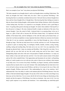Here's an example of your "new" story about your physical Well-Being:

"My body responds to my thoughts about it, and to my thoughts about everything I think about. The better my thoughts feel when I think them, the more I allow my personal Well-Being. I like knowing that there is an absolute correlation between how I feel and what my chronic thoughts have been, and how those thoughts felt as I thought them. I like knowing that those feelings are meant to help me choose better feeling thoughts, which produce better feeling vibrations, which will produce a better feeling body. My body is so responsive to my thoughts, and that is such a good thing to know. I'm getting rather good at choosing my thoughts. No matter what condition I find myself in, I have the power to change it. My state of physical health is simply an indication of the state of my chronic thoughts. I have the control of both. A physical body is an amazing thing, in the way it began as a glob of fetal cells to become this full blown human body. I'm impressed with the stability of the human body, and the intelligence of the cells that make up the human body, as I notice how my body accomplishes so many important functions without my conscious involvement. I like that it's not my conscious responsibility to move the blood through my veins, or the air through my lungs. I like that my body knows how to do that, and does it so well. The human body in general is quite an amazing thing. An intelligent, flexible, durable, resilient, seeing, hearing, smelling, tasting and touching thing. My body serves me very well. I love my exploration of life through my physical body. I enjoy my stamina and flexibility, I like living life in my body. I'm so pleased with my eyes that look out into this world, seeing near and far from where I stand, distinguishing shapes and colors with such vivid perception of depths and distances. I so enjoy my body's ability to hear and smell and taste and feel. I love the tactile sensual content of this planet and my life in this wonderful body. I feel appreciation and fascination for my body's self-patching ability as I watch wounds cover over with new skin, and as I discover new resiliency when traumas to my body occur. I'm so aware of my body's flexibility, my fingers' dexterity, and the immediate response that my muscles show to any task I attempt. I like understanding that my body knows how to be well and is always moving toward Wellness, and that as I do not get in the way of that, with negative thought, Wellness must prevail. I like understanding the value of my emotions. And I understand that I have the ability to achieve and maintain physical Well-Being because I have the ability to find and maintain happy thoughts. On any day in this world, even when some things in my body may not be at their best, I'm ever aware, that far far far far more things are functioning as they should, and that the aspects of Well-Being of my body are dominant. And, most of all, I love my body's quick response to my attention and intentions. I love understanding my mind-body-spirit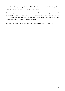connections and the powerful productive qualities of my deliberate alignment. I love living life in my body. I feel such appreciation for this experience. I feel good".

There is no right or wrong way to tell your improved story. It can be about your past, your present or future experiences. The only criterion that is important is that you be conscious of your intent to tell a better-feeling improved version of your story. Telling many good-feeling short stories throughout your day will change your point of attraction.

Just remember, the story you tell is the basis of your life. So tell it the way you want it to be.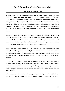# Part IV. Perspectives Of Health, Weight, And Mind

## **118. I want to enjoy a healthy body**

Bringing your physical body into alignment is a tremedously valuable thing to do for two reasons: (1) there is no subject that people think about more than their own body. And that's logical, since you take it with you everywhere you go; (2) since every perspective or thought that you have flows through your lense of your physical body, your attitude on virtually every subject is influenced by the way you feel about your physical body. Because science and medicine have been slow to acknowledge the connection between mind and body, between thoughts and outcomes, between attitudes and resuts, most people are reeling in a plethora of contradictory guidance relative to their **bodies** 

Whenever the basis of an understanding is flawed, no amount of patching it with methods or potions or remedies can bring consistently provable results. And because the alignment of Energies for each individual varies because of such a variety of factors in belief, desires, expectations, and early and current influencies, it's little wonder that remedies that work every time are non-existent. And it's no wonder that most are truly confused about their physical bodies.

When you attempt to gather and process information about what's happening with other people's bodies, instead of using your own emotional guidance system to understand your current alignment or misalignment of Energy, it's tantamount to using a road map from a different country to plan your route in your own country. That information simply has no bearing on you and where you are right now.

You've been given so much information that is contradictory to that which we know to be and to the Laws of the Universe, that we're extremely happy to talk to you about you and your body relative to the greater picture. We want to assit you in finding a clear understanding of how to be a healthy being, who is physically fit, who looks as you want to look, whole in terms of mind and spirit and body.

When you use your mind to deliberately focus your thoughts to align with the thoughts of your Inner-Being, or Spirit, your physical body will be the manisfestational evidence of that alignment.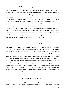It is not possible to bring your physical body to a state of perfect health by only thinking about the physical aspects of your being, and then offering action regarding your physical body. Without an understanding of the connection bewteen the physical you and the nonphysical vibrational Inner You, there can be no consistent understanding or control. In other words, while it may feel to you that the path to a good-feeling good-looking body will be a result of your behaviour, in terms of food intake and activity, it is really much more about your vibrational alignment between the physical and nonphysical aspects of your being. Once you accept the totality of your being and you make that vibrational alignment your top priority, you are well on your way to achieving and maintaining your desired physical body. But if you use conditions of others, experiences of others and opinions of others as your gage for wellness, you will not be able to control the condition of your own physical body. In other words, as you strive for a physical standard, based on comparison with the experiences of others, rather than striving for your own personal alignment between you and you, you will never discover the key to control over your own body.

## **120. I needn't compare my body to others**

We would like to assist you in understanding that there is not one state of being that is the correct one, or even the most wanted one. For there are a great many varieties of states of physical bodies that have been intended by you as you emerged into this physical body. If it had been your intent to all be the same, more of you would be the same. But you are not. You come forth with all sorts of varieties of size and shape and flexibility and dexterity. Some are stronger and others are more agile. You come with great variety and in all sorts of differences that are of tremendous advantage to the whole. You came forth in your great variety to add balance to this time and place. And so, we would like to encourage you, rather than looking at yourselves and acknowledging that you are lacking in this or that characteristic, as most of you do, we would like to assist you in looking toward the advantages of that which you are. In other words, as you are assessing or analyzing your physical body, spend a greater part of your time looking for the advantages that it offers not just to you but to the balance of All-That-Is.

#### **121. What if I saw myself as perfect?**

We are not necessarily encouraging you to look at whatever your current state is and proclaim it as perfect. Because you will always be striving for something that's just beyond what-is. But finding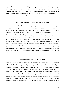aspects of your current experience that feel good when you focus upon them will cause you to align with the perspective of your Inner-Being, who is always focused upon your Well-Being. We encourage you to feel for the agreement between your thoughts about your body and you Inner-Being's thoughts about your body, rather than trying to get the conditions of your body to agree with the conditions of other bodies that you see around you.

#### **122. Pushing against unwanted attracts more of unwanted**

As you are understanding that you're creating through your thoughts rather than through your action, you will accomplish many more of your desires with far less effort. And in the absence of struggle you will have much more fun. You're offering thought in every waking moment, and so achieving a propensity to positive good-feeling thoughts will serve you extremely well.

You were born into a society that began warning you against unwated things as soon as you arrived. And over time most of you have taken on a guarded stance. Most of you really believe that the way you get to what yo do want is to defeat what you do not want. And so you give so much of your attention toward pushing away from you what you do not want. Where if you could see LOA as we see it, if you could accept yourselves as the attractors by virtue of the thoughts that you are holding, you would understand what a backwards approach most of you are taking. As you say, "I'm sick, and I want not to be sick, so I'll beat this illness. I'll take this action and I'll defeat this illness", you are from your position of guardedness and defensiveness and negative emotion holding on to that illness.

#### **123. My attention to lack attracts more lack**

Every subject is really two subjects: there is the subject of what you're wanting and there's the subject of its lack. Regarding your body, since every thought that you think is filtered through your perspective of this body, if this body does not feel the way you want it to feel, it is a very natural thing that a larger numer of your thoughts, a very imbalanced proportion of your thoughts, would be slanded toward the lack side of the equation rather than toward the truly desired side of the equation. From your place of lack you will attract only more of that. And that is the reason most diets do not work – you're aware of your fat, you're aware of the body looking the way you do not want it to look, and so, when it gets bad enough that you can't stand it anymore, either from your perspective or because others are scowling at you, then you say, "I can't bear this negative place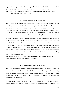anymore. I'm going on a diet and I'm gonna get rid of all of this stuff that I do not want." And yet your attention is given to the stuff that you do not want, and so you hold it to you.

The way to get where you want to be is to give your full attention toward what you do want, and to not give your attention to what you do not want.

### **124. Planting fear seeds does grow more fear**

Jerry: Abraham, a dear friend of mine voluntueered to be a part of the medical study. He said that even though he was in brilliant health, he was willing to participate in it if he could be of value to others, because so many men that were his age that time in that area were dying form this, whatever this disease was. Well, it seemed like only a matter of weeks before we received a message from him that he had been diagnosed with the illness. And now he is no longer in physical form. But he didn't seem to have a fear of the disease. Did he create it in his body by merely focusing on it?

Abraham: It was his attention to it. In other words, it was his intent to be of value for others, and so he allowed them to probe and poke and look, and in the probing and poking and looking he received enough stimulation of thought from the others to make him aware of the possibility. Not only the possibility, but the probability. They planted within him the seed of probability, and then with the probing and poking and looking his body responded to what then became the balance of his thought. It's a wonderful example that you've offered, because that disease was not within him until the attention to the disease was within him. But once the attention to the disease was within him, then his body responded in kind.

The potential for wellness or illness is always within you. The thoughts you choose determine which you experience and to what degree you experience it.

#### **125. Must attention to illness attract illness?**

Jerry: How much can we actually toy with these thoughts of illness? For instance, a person can watch on television and offer to come down for free examination of some part of his or her body, and if the person says, ...Oh, well, I think I'll just go do that. I feel fine, but why not, since it's free", what are the chances of that leading to what you're talking about a stimulation of thought and eventually an unwanted result?

Abraham: Nearly a 100 percent. Because of the attention to illness in your society your diseases are running rampant. With all of your medical technology, all of the tools, all of the discoveries, there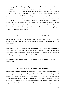are more people who are critically ill today than ever before. The prevalence of so much severe illness is predominantely because of your attetion to illness. You say, "How much can we toy with it?" And we say, you are very particular about what you eat and about what you wear, abuot what you drive, and yet you're not particular about what you think. We would encourage you to be particular about what you think. Keep your thoughts on the side of the subject that is in harmony with your wanting. Think about wellness, not about lack of it; think about being as you want to be rather than lack of it. Your illnesses are not born and perpetuated only because of your negative attention to illness. Remember, that illness stems from your feelings of vulnerability and guardedness. Train your thoughts on all subjects, not only the subject of physical health, in the direction of what you desire. And through the improved emotional state that you accomplish your physical Well-Being will then be assured.

#### **126. Is my attention predominantly focused on Well-Being?**

The potential for illness or wellness lies within you at all times. And whatever you give your attention to begins to foster within you the manifestation of the essence of that thought. Thought is very powerful.

When someone comes into your experience who stimulates your thought so that your thought is predominantely upon illness rather than wellness, upon lack of Well-Being rather than upon Well-Being, where you're in a place where you're feeling vulnerable or defensive, or even angry, then the cells of your body begin to respond to the balance of that thought.

Everything that you are living is as a result of the thoughts that you're thinking. And there is not an exception to that.

# **127. Others' physical evidence needn't be my experience**

As you see physical evidence around you, very often that physical evidence seems more real to you than a thought. You say things to us such as, "Abraham, this is real. This isn't just a thought." As if what is really real and a thought are two separate things. But we want you to remember that the Universe does not distinquish between your thoughts of current reality and thoughts of imagined reality. The Universe and the LOA are simply responding to your thought, whether it is real or imagined, or whether it is current or remembered. Whatever evidence you're seeing around you is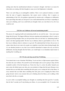nothing more than the manifestational indicator of someone's thought. And there's no reason for what others are creating with their thoughts to cause you to feel frightened or vulnerable.

There is no such thing as an unchangable condition. There is not a physical situation, no matter what the state of negative degenaration, that cannot receive wellness. But it requires an understanding of the LOA, the guidance represented by emotion and a willingness to deliberately focus upon things that make you feel good. If you could understand that your body is responding to what you're thinking, and if you could hold your thoughts where you want them to be, all of you would be well.

#### **128. How can I influence all toward maintaining health?**

The process for regaining health and maintaining health are one and the same – focus more upon things that feel good. The biggest difference between regaining and maintaining is that it's easier to think good-feeling thoughts when you feel good than when you feel bad. So, maintaining health is easier to do than regaining health. The best way to influence others to good health is to live it. The best way to influence others to sickness is to get sick. We understand that for those who are now in a place where they do not want to be sounds very simplistic to just find a better-feeling thought. But it is our absolute promise to you, that if you would be determined to imrpove the way you feel by deliberately choosing thoughts that feel better, you would begin to see immediate improvement in anything that's troubling you.

### **129. I'll relax and sleep myself into Well-Being**

Your natural state is one of absolute Well-Being. You do not have to fight anymore against illness. Just relax into your wellness. Put yourself in your bed tonight, and as you're going to sleep, feel the wonderful comfort of the bed beneath you. Notice how big it is, notice the pillow beneath your neck, notice the fabrick upon your skin, give your attention to things that feel good. Because every moment that you can think about something that feels good, you're cutting the fuel to that illness. In every moment that you think about something that feels good, you're stopping the illness from going forward. And in every moment that you're thinking about the illness, you're adding a little more fuel to the fire, so to speak.

As you're able to accomplish holding your thoughts on something that feels good for 5 seconds, then for that 5 seconds you'll stop fueling your illness. As you accomplish it for 10 seconds, then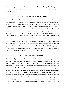for 10 seconds you've stopped fueling the illness. As you think about how good you feel right now and as you think about your natural state as being a state of wellness, you begin fueling your wellness.

### **130. Do negative emotions indicate unhealthy thoughts?**

As you think thoughts of illness, the reason that you feel such negative emotion about it is because that thought is so out of harmony with your greater knowing that you're not resonating with whoyou-really-are. The negative emotion that you feel, in the form of concern or anger or fear about your illness, is really your indicator that you've put a very strong restriction on the flow of Energy between you and who-you-really-are. Your wellness comes forth as you allow the full flow of nonphysical energy from your Inner-Being. And so, as you think, "I am well", or "I'm becoming well", or "I am whole", It's my natural state to be well", those thoughts vibrate in a place that is in harmony with that which your Inner-Being knows to be. And you receive the full benefit of the thought Energy that comes forth from your Inner-Being.

Every thought vibrates. And so, focus upon thoughts that make you feel good, which will attract others and others and others and others, until your vibrational frequency will raise to the place that your Inner-Being can fully envelop you. And then you will be in the place of Well-Being, and your physical aparatus will catch up very quickly. It is our absolute promise to you. You may begin to watch for dramatic physical evidence of your recovery, for it is Law.

# **131. To what degree can I control my body?**

Your body and your mind are forever connected. Your body is responding to your thoughts continually. In fact, to nothing else. Your body is absolutely a pure reflection of the way you think. There's nothing else that affects your body other than your own thoughts. When you consciously acknowledge the absolute correlation between what you're thinking and what you're getting, you can then eventually under all conditions control your own experience. All that is required for you to get only what you want vs. getting some of what you do not want is to recognize that the control you seek you alerady have. And then to deliberately think about things you want to experience. Thoughts of decline always feel bad because you do not want decline. So, utilize your guidance and choose good-feeling thoughts, and you'll have no reason to worry about moving through time. Really, it's simply a matter of making the decision,  $\Lambda$  want to acknowledge that I have the only and the absolute control of my physical aparatus. I acknowledge that I am as the result of the thoughts I think".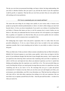The day you were born you possessed knowledge, not hope or desire, but deep understanding, that your basis is absolute freedom, that your quest is joy and that the result of your life experience would be growth, or expansion. That day that you were born you knew that you were perfect and still reaching out for more perfection.

### **132. Can we consciously grow new muscle and bone?**

The reason that more things do not change more quickly in your society today is because most people are giving their attention predominantely to what-is. In order to affect change you must look beyond what-is. It slows you down tremendously if you need to see evidence of something before you believe it. Because that means you have to wait for someone else to create it before you can believe it. But when you understand that the Universe and the LOA will respond to your imagined idea as quickly as it responds to an observed idea, then you can move quickly into new creations without having to wait for someone else to accomplish it first.

The leading-edge does require vision and positive expectation. But it is really where the most powerful exhilaration is. To be in a state of desire and to have no doubt is the most satisfying experience possible. But to want something and not believe in your ability to achieve it does not feel good.

When you think only of what you desire without constant contradictions that are filled with doubt or disbelief, the Universal response to your desire comes quickly. And in time you begin to feel the power of your deliberate thought. But that kind of pure thought takes practise. And it requires that you spend less time observing what-is and more time visualizing what you'd like to experience. In order to tell the new and improved story about your physical experience you have to spend time thinking and speaking about the experience you would like to live. The most powerful thing you can do, the thing that will give you much greater leverage than any action is to spend time every day visualizing your life as you want it to be. We encourage that you go to a quite and private environment for 15 minutes every day where you can close your eyes and imagine your body, your environment, your relationships, your life in ways that please you. What has been has nothing to do with what will be. And what others experience has nothing to do with your experience. But you must find a way to separate yourself from all of that – from the past and from others – in order to be what you want to be.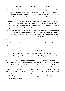When people do not allow the fact that no one else has ever done something to prevent them from doing it, they are of great advantage to others. Because once they break through and create it, then others can observe and then in time they can come to believe or expect it themselves. And for that reason everything that you accomplish is of value to your society. Your platform for progressive living continues to expand and life does get better and better for everyone. But we want to take you beyond the need to see it before you can believe it. We want you to understand that if you believe it, then you will see it. Anything that you practice in your mind until the idea begins to feel natural to you, must come to physical fruition. The LOA guarantees that. You will feel enormous liberation when you realize that you do not have to wait for someone else to do something in order to prove that it can be done or before you can allow yourself to do it. As you practice new thoughts reaching for improved emotions and then see the evidence that the Universe will provide, you'll come to know your own true power. If someone were to tell you that you are experiencing an incurable disease, you could then say with confidence, "*I* will decide what I will live, because *I* am the creator of my experience."

We'd like to say to you that if your desire is strong enough, a strong desire can outweigh your negative belief, and your recovery will begin.

### **134. But what if I believe in dangerous germs?**

If you were really listening to your guidance system, you would not enter an environment where you believe there are germs that could compromise your Well-Being. The dread you feel about going into the hospital is your indicator that you're about to take action before you have achieved vibrational alignment. You could just not go to the hospital, but then you would feel uncomfortable because you know your sick friend would enjoy a visit from you. So you find a way to visit your friend without feeling dread. And that's what we mean by finding vibrational alignment before you take the action of entering the hospital. In time you can come to believe so much in your Well-Being, or your desire for Well-Being can become so vivid, that you could be in any environment and not feel a threat to your Well-Being. When you're in alignment with who-you-really-are, and you're listening to your powerful guidance system, you would never enter an environment where your Well-Being could be threatened. Unfortunately, many people override their guidance system for the sake of pleasing others.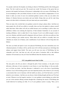Two people could enter the hospital, one feeling no threat to Well-Being and the other feeling great threat. The first would not get sick. The second one would. Not because of the germs that are present in the hospital, but because of the person's relationship to his own sense of Well-Being. We are not attempting to alter your beliefs, because we don't see your beliefs as inappropriate. It is our desire to make you aware of your own emotional guidance system so that you can achieve the balance of vibration between your desires and your beliefs. Doing what you call *the right thing* means to do that which is in harmony with your intent and your current beliefs.

There are many who override their own guidance system by trying to please others. And there are many people who will call you selfish or cowardly when you have the audacity to please yourself rather than them. Often others will call you selfish because you're unwilling to yield to their own selfishness without even realizing the hypocrisy of their demand. Sometimes we are accused of teaching selfishness. And we admit that it's true, because if you're not selfish enough to tend to your own vibration, and hold yourself in alignment with your Source, with who-you-really-are, then you have nothing to give another anyway. When others call you selfish or cowardly, their own vibrations are clearly out of balance, and a modification of your behavior will not bring them into balance.

The more you think and speak of your own physical Well-Being, the more entrenched your own vibrational patterns of wellness will be, and the more LOA will then surround you with things that enhance and support those beliefs. The more you tell your own story of Well-Being, the less vulnerable you'll feel. And then not only will your point of attraction shift so that different situations will surround you, but you'll also feel different about the situations as they come.

#### **135. I am guided** *toward* **what I** *do* **like**

The only path to the life you desire is through the path of least resistance, or the path of most allowance, allowance of your connection to your Source, to your Inner-Being, to who-you-reallyare, to all that you desire. And that allowance is indicated to you in the form of good-feeling emotions. If you will let feeling good be your most important priority, then whenever you're having a conversation that is not in harmony with the health you desire, you'll feel bad and so you'll be alerted to your resistance. And then you can choose a better-feeling thought and then you'll be back on track. Whenever you feel negative emotion, it is your guidance system helping you realize that you are in this moment offering resistant thought that is hindering the stream of Well-Being that would otherwise be reaching you fully. It's as if your guidance system is saying, "Here, you're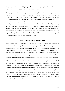doing it again. Here, you're doing it again. Here, you're doing it again." This negative emotion means you're in the process of attracting what you don't want.

Many people ignore their guidance system by tolerating negative emotion and in doing so they deny themselves the benefit of guidance from broader perspective. But once life has caused you to identify that you desire something, you will never again be able to look at its opposite or at the lack of it without feeling negative emotion. Once a desire has been born within you, you must look at the desire if you're to feel good. And the reason for that is, you cannot revert back to less than life has caused you to become. Once you identify a desire for wellness, or for a specific bodily condition, you will never again be able to focus upon the lack of it without feeling negative emotion. Whenever you feel negative emotion, just stop whatever it is you're doing or thinking and say, "What is it that I do want?" And then because you've turned your attention to what you do want, the negative feeling will be replaced by a positive feeling, and the negative attraction will be replaced by positive attraction. And you'll be right back on track.

### **136. First, I must be willing to please myself**

When you have been on a particular train of thought for a while, it is not easy to abruptly change the direction of your thought, because LOA is applying you with thoughts that match your current train of thought. Sometimes while you are in that negative feeling mode, another who is not in that negative place will not agree with your negative view of your current subject, which only serves to make you want to defend your position all the more. Trying to defend or justify your opinion only causes you to stay in your resistant state longer. And the reason so many people hold themselves in resistance unnecessarily is because it is more important to them to be right rather than to feel good.

When you meet those who are determined to convince you that they are right and they try to hold you in a negative conversation in an attempt to convince you, sometimes you are considered uncaring or cold-hearted if you do not hear them and eventually agree with their point of view. But when you forfeit your good feeling that comes when you choose thoughts that harmonize with your broader perspective to try to please a negative friend who wants to use you as a sounding board, you're paying a very big price for something that will not help your friend either. That uncomfortable knot in your stomach is your Inner-Being saying, "This behavior, this conversation isn't in harmony with what you want". You must be willing to please yourself first, or you'll often be swept up by the negativity that surrounds you.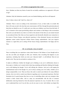Jerry: Abraham, are there any limits of control for our bodily conditions as we approach a 100 years of age?

Abraham: Only the limitations caused by your own limited thinking, and all are self-imposed.

Jerry: Is there a time to die? And if so, when is it?

Abraham: There is never an ending to the consciousness of you, so there really is no death. But there will come an end to the time that your consciousness will flow through this particular physical body that you identify as you. It's really up to you when you withdraw your focus from this body. If you've learned to focus upon good-feeling subjects and continue to find things in this environment that excite you and interest you, there is no limit to the amount of time that you can remain focused in your physical body. But when you focus negatively and chronically diminish your connection to the stream of Source Energy, your physical experience is then shortened, because your physical apparatus cannot sustain long-term without Source Energy replenishment. And your negative emotion is a signal that you're cutting off this Source Energy replenishment. Get happy and live long.

#### **138. Are all deaths a form of suicide?**

Since everything that you experience comes about because of the balance of your thought and no one else can think your thoughts or offer your vibration, then everything that happens in your experience, including that which you term your "physical death", is self-inflicted. Most do not decide to die. They just do not decide to continue to live.

It makes no difference whether the thought you're thinking is one you've deliberately chosen to focus upon or whether you're merely lazily observing something and therefore thinking the thought, you're still thinking the thought. You're still offering the vibration. And you're still reaping the manifestational result of the thought. So, you're always creating your own reality, whether you're doing it purposefully or not. There are those who seek to control your behavior for many different reasons, who even wish to control your behavior regarding your own personal experience. But their frustration level is great because they have no way of controlling others, and every attempt at that control is futile wasted effort. And so, many are uncomfortable with the idea of someone deliberately removing themselves from this physical experience by way of suicide. But we want you to understand that even if you do that, you do not cease to exist. And whether you depart this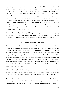physical experience by way of deliberate suicide or by way of not deliberate release, the eternal being that you are continues to be and looks back on the physical experience you've just left behind only with love and appreciation for the experience. There are those who are filled with so much hatred as they live in their physical experience, that the chronic pinching off from Source and Well-Being is the reason for the death. There are those who simply no longer find interesting reasons to focus and remain, who turn their attention to the nonphysical, and that is the reason for their death. And there are those who have not come to understand energy, or thought, or alignment, who desperately want to feel good, and can find no way of stopping the chronic pain they've lived for so long, that they deliberately choose to re-emerge back into nonphysical. But in any case, you are eternal beings, who, once refocused into the nonphysical, become whole and renewed and completely aligned with who-you-really-are.

You come forth intending to live and joyfully expand. When you disregard your guidance system, continuing to find thoughts that disallow your connection to your Source, you diminish your connection to your replenishing Source Energy Stream, and without that support you wither.

#### **139. A process to manage one's body weight?**

There are so many beliefs upon this subject, so many different methods have been tried, and most beings who are struggling with the control of body weight have tried many of those methods with little lasting success. And so, their belief is that they cannot control their body weight, and so they do not. We would encourage a visualization of self as you're wanting to be, seeing yourself in that way, and thereby attracting it. The ideas and the confirmation from others, and all of the circumstances and events that will bring it about easily and quickly for you will then come into your experience once you begin to see yourself that way. When you feel fat, you cannot attract slender. When you feel poor, you cannot attract prosperity. That which you are, the state of being that you feel, is the basis from which you attract. That's why the better it gets – the better it gets, and the worse it gets – the worse it gets.

When you feel negative about something, don't try to hammer it out and solve it immediately, because your negative attention to it just makes it worse. Just distract yourself from the thought until you feel better. And then take another run at it from your more positive fresh perspective.

Jerry: Is that why people will often go on a crash diet and lose massive pounds, and then they'll find themselves gaining it right back? Is it because the desire was strong, but they didn't have the belief and the picture of themselves as this thin person, so they just filled the fat picture back in again?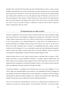Abraham: They want the food. They believe the food will make them fat. And so, as they're giving thought to that which they do not want, in belief they create that which they do not want. But again, that's going about it the hard way. For the most part the reason why they lose the weight and then gain it back quickly is that they've never really gained an image of themselves as they want to be. They keep feeling fat. They continue to think of themselves as that, and that's the image that they hold. Your body responds to the image of self. Always. That's why if you see yourself as healthy, you will be. If you see yourself as slender, or whatever it is that you want in terms of muscle or shape or weight, that is what you will be.

#### **140. Regarding food, can I follow my bliss?**

Some have argued that if they do take our advice and follow their bliss, always looking for things that feel good, that they would happily eat things that are detrimental to their health or their body weight. People do often choose food to try to fill the void when they're not feeling good. However, if you've been tending to your vibrational balance for a while, and you've learned the power of positively directing your thoughts toward an image of your body as you want it to be, then if you believe that eating a particular food is contrary to accomplishing that desire, negative emotion would come forth as guidance. It's never a good idea to pursue any action that brings forth negative emotion, because the negative emotion means there is an energy imbalance. And any action that you participate in during negative emotion will always produce negative results.

Negative emotion does not occur within a person because a particular food is contrary to Well-Being, but because of current contradictory thoughts. Two people could eat identical diets and follow similar exercise programs and get opposite results, which means there is much more to the equation than the consumption of food and the burning of calories. Your results are always and only about your alignment of Energy caused by the thoughts you think.

A good rule of thumb is – get happy, then eat. But do not try to eat your way to happiness. As you come to make your emotional balance your top priority, your relationship with food will change and your impulse toward food will change. But even more important, your response to food will change. Altering behavior about food without tending to your vibration nets minimal results. While altering thought will yield great returns without the necessity of altering the behavior.

And so, let's say that you've decided that you want to be very slender. But you currently do not see yourself as you want to be. And your belief is, "If I eat this food, I will be fat". As you have a desire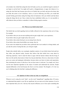to be slender, but a belief that eating this food will make you fat, you would feel negative emotion if you begin to eat the food. You might call it guilt, or disappointment, or anger, but whatever it is, eating the food feels bad, because given the set of beliefs that you hold, and given the desire that you hold, this action is not in harmony. And so, if you're following your bliss, you would find yourself feeling good about eating the things that do harmonize with your beliefs and bad about eating the things that do not. Once a desire has been established within you, it is not possible to offer behavior that you believe contradicts it without feeling negative emotion.

# **141. What are my beliefs about food?**

The beliefs that you hold regarding food are boldly reflected in the experiences that you're living. For example,

If you believe that you can eat most anything and not gain weight, that's your experience;

If you believe that you gain weight easily, then you do.

If you believe that certain foods give you an energy boost, they do.

If you believe that certain foods deflate your energy, they do.

If you want to be slender but you believe that a particular diet is not conducive to being slender, and you take the action of eating that diet, you will gain weight.

People often initially balk at our seemingly simplistic analysis of your beliefs about food and how they affect your physical reality, because they believe that their beliefs have come about by observing experience. And it's hard for them to argue with the factual evidence that the living of their own life and the observation of other lives has provided them. However, observation of results gives you scanty and inadequate information, because unless you factor in desire and expectation, then calculating the action of what has or has not been eaten is irrelevant. You simply can't leave out the most important ingredient in the recipe of creation and understand the outcome. People respond differently to the food because the food is not the constant. The thought is. It's the way you're thinking about the food that's making the difference.

### **142. Opinions of others about my body are insignificant**

Whenever you're using the word "other", use the word "insignificant" regarding them. Of course, we understand that people in your life are significant, but you must not let their opinions of you be more important than your own. And any time anyone influences you to focus upon something that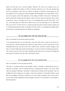makes you feel bad, you've received negative influence. We want you to practice your own thoughts so steadily that opinions of others do become irrelevant to you. The only freedom that you'll ever experience comes when you achieve an absence of resistance, which means you will have figured out how to align your chronic thoughts with the thoughts of your Inner-Being. We've never seen anyone achieve that alignment or the feeling of freedom when they're factoring the desires and beliefs of others into the equation. There are just too many moving parts and it cannot be sorted out. And so, if someone says to you, "I see something about you that I don't like", we'd say, "Look some place else. What do you think of my nose? Cute little thing, isn't it? What about this ear over here?" In other words, we would encourage the other to look for positive aspects and we would be playful and not allow our feelings to be hurt. In fact, we would practice thoughts about our life until we reach the point that our feelings are unhurtable.

#### **143. An example of my "old" story about my body**

Here's an example of your old story about your body:

"I'm not happy about the way my body looks. I have been trim and fit at times in my life but it's never been easy, and those periods never lasted very long. Seems to me that I always had to work irrationally hard to get even close to the way I wanted to look. And then I couldn't manage to stay there. I'm tired of depriving myself of good things to eat only to end up not looking good anyway. This is hard. I just don't have the kind of metabolism that allows me to eat much of anything that tastes good. It's really not fair. But I don't like being fat either."

### **144. An example of my "new" story about my body**

Here's an example of a new story abut your body:

"My body is a reflection mostly of the thoughts I think. I am happy to understand the power of directing my thoughts. And I'm looking forward to seeing physical changes in my body which reflect my changes in thinking. I feel good as I think about my improved size and shape. And I am confident that those changes are in progress. And in the meantime I'm generally feeling so good that I'm not unhappy with where I currently am. It's fun to think on purpose, and even more fun to see the results of those deliberately chosen thoughts. My body is very responsive to my thoughts. I like knowing that."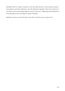Remember, there is no right or wrong way to tell your improved story. It can be about your past or your present or your future experiences. The only thing that's important is that you be conscious of your intent to tell a better-feeling improved version of your story. Telling many good-feeling short stories through your day will change your point of attraction.

Remember, the story you tell is the basis of your life. So tell it the way you want it to be.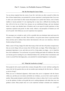# Part V. Careers, As Profitable Sources Of Pleasure

#### **146. My First Steps In Career Choice**

You are always inspired from the events of your life. And when you allow yourself to follow the flow of those inspired ideas, your potential for a joyous experience is much greater than if you were to select your career based on other reasons that people use to justify their choices, such as family tradition or income potential. It's not surprising that so many have a difficult time deciding what they will do for the rest of their lives, because you are multifaceted beings, and your dominant intent is to enjoy your absolute basis of freedom, and in your quest for joyful experience to then experience expansion and growth. In other words, without a real perception of freedom you will never be joyful. And without joy you can't experience true expansion.

We encourage you to decide as early in life as possible that your dominant intent and reason for existance is to live happily ever after. That would be a very good career choice to gravitate toward those activities and to embrace those desires that harmonize with your core intentions, which are freedom and growth and joy.

Make a career of living a happy life rather than trying to find work that will produce enough money that you can do things with your money that will then make you happy. When feeling happy is of paramount importance to you, and what you do for a living makes you happy, you've found the best of all combinations. You can become very good at feeling good under all conditions. But when you become good at reaching for your vibrational balance first, and then attract circumstances and events to yourself from that happy place, your potential for sustained happiness is much greater.

# **147. "What Do You Do for a Living?"**

Most people do feel a need to justify their existance through effort or work. And that is perhaps the reason why the first question that you ask one another upon meeting for the first time is, "What do yo do for a living?"

When you are in vibrational alignment, which means that you're in alignment with the Source within you, and that your own desires and beliefs are in balance, you never feel a need to justify to another. Many people attempt to justify their behaviour or ideas to others, but it's never a good idea to use the opinions of others as the guide that you're seeking alignment with rather than your own guidance system. Many people early on in your experience attempt to demand your compliance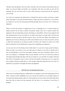with their rules and opinions. But if you allow what they want to be central to the decisions that you make, you only get further and further out of alignment with who you really are and with the intentions that you were born with as well as those that have evolved from the life experience you're living.

You will never experience the deliciousness of feeling free until you release your desire to please others and replace it with your powerful intenion to align with who-you-really-are, to your Source, by caring how you feel, and choosing good-feeling thoughts that let you know you've found your alignment.

When you sense that someone is disapproving of you, or attacking you, it's a natural response to defend yourself, but the need to defend will quickly subside when you've trained yourself into alignment with your Inner-Being, because all feelings of vulnerability will have been replaced with that surefooted sense of who-you-really-are. No matter what choices you make, there will always be someone who does not agree with those choices. But as you find your balance and maintain your alignment, most who are observing you will be more inclined to ask you what your secret to success is rather than criticizing you for being successful. And those who continue to criticize you would find no satisfaction in your justification no matter how compelling your argument is.

It is not your role to fix the feeling of lack within others. It is your role to keep yourself in balance. When you allow your society or even one other person to dictate to you what you should want or how you should behave, you'll lose your balance. Because your sense of freedom, which is core to your very beingness, is challenged. When you pay attention to the way you feel and you practice self-empowering thoughts that align with who-you-really-are, you will offer an example of thriving that will be of tremendous value to those who have the benefit of observing you. You cannot get poor enough to help poor people thrive or sick enough to help sick people get well. You only ever uplift from your position of strength and clarity and alignment.

#### **148. The Law of Attraction and Career**

Those who are seeking prestige have replaced their own guidance system with seeking aproval from others. And that is rather unfulfilling way to live, because the onlookers you're seeking to please do not sustain long lasting attention upon you. Most people do care more about what others think about them than they do about how they personaly feel, but there is no consistency in that form of guidance.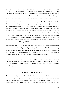Some people worry that if they selfishly consider what makes them happy above all other things, they will be uncaring and unfair to those around them. But we know the opposite is true. When you care about your alignment with Source, which is represented by the way you feel, and you work to maintain your connection., anyone who is then your object of attention receives benefit from your gaise. You cannot uplift another unless you're connected to the Stream of Well-Being yourself.

We understand that it can feel very good when others hold you as their object of attention as they're feeling appreciation for you, because they're then doing exactly what we were just explaining to you. In their appreciation of you they're connected to Source and showering it all over you. But to ask others to always be in alignment with Source and to always hold you as their object of attention so that you can be showered with the Well-Being they're providing, is not practicle. Because you cannot control their connection and you will not always be their only object of attention. You do, however, have absolute control over your own connection to Source. And when your dominant intent is to maintain your connection, while leaving others out of that equation, then you will be free of tryig to please others, which you cannot consistently do, and you will be able to maintain a consistent connection and feeling of Well-Being.

An interesting thing to note is, those who care about how they feel, who consistently hold themselves in an attitude of good-feeling emotions, who are connected to Source and flowing positive thoughts outward toward whatever they're focused upon, are usually seen by others to be attractive, and they're often the recipients of much appeciation and approval. You just cannot get the approval you seek from the place of needing it or from the place of lack of it.

An office with a wonderful window view, or a parking place with your name on it, or an impressive title attached to your name cannot fill the void caused by not being in alignment with who-youreally-are. When you achieve that alignment, those things feel less important, but then, interestingly enough, they come anyway.

#### **149. Filling My Void Through Service?**

Jerry: During my 20 years in a wide variety of positions in the entertainment industry I really had a lot of fun. It required only a few hours of my time and I had a lot of adventurous challenges because I had so many new experiences. And yet I often told people that I felt like I was walking across the sands of life, but when I looked back, I wasn't leaving any tracks. In other words, I felt like I was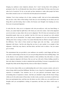bringing my audiences some temperory pleasure, but I wasn't leaving them with anything of permanent value. Do we all inherently have those drives to uplift others? Do they come from some other level of ourselves? Or do we just pick up those intentions to make other people feel better from others around us once we've been born into this physical environment?

Abraham: You're born wanting to be of value, wanting to uplift. And you're born understanding that you have value. Most of that feeling of lack that you were describing was not about your not being able to provide lasting value to others, but because your thoughts were keeping you away from your own personal alignment.

It works like this: when you're in alignment with who-you-really-are, with your Inner-Being, or Source, you cannot help but uplift those with whom you come into contact. And in that alignment you do not notice so many others who are not in alignment. The LOA does not surround you with dissatisfied people when you are satisfied. And the LOA does not surround you with satisfied people when you are dissatisfied. You simply cannot compensate for your own misalignment by offering more time or energy or action. You cannot find ideas that are effective enough to make up the difference. Your value to those around you hinges upon only one thing – your personal alignment with Source. And the only thing that you have to give another is an example of that alignment—which they may observe, and then desire, and then work to achieve—but you cannot give it to them.

The entertainment that you provided to your audiences was actually a much bigger gift than you were able to acknowledge at the time, for you were providing distraction from troubling things. And in the absence of your audience members attention to their problems, they did achieve, in many cases, temporary alignment with Source. But you can't go with each of them, holding yourself as their only object of attention, in order to maintain their good feeling. Everyone is responsible for the thoughts they think and the things that they choose as their objects of attention.

All of you have deep within you an understanding that you're here as joyous creators, and you're always being called toward that fulfillment. But there is not a long list of requirements that you're expected to accomplish. Your intention was to let your physical environment inspire your neverending ideas of expansion or desire. And then you intended to align with the Source Energy within you for the achievement of those ideas. In other words, you knew your desires would be born from your participation here, and then once the desire was alive within you, you could focus your thoughts until you accomplished a feeling of expectation, and then your desire would come to fruition.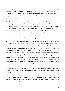The primary role that others arond you play in that equation for creation is, they provide variety from which your desires are born. It was not your intention to measure your value against the value of others, but to be inspired to new ideas by the combination of things going on around you. Any comparison to others is only meant to inspire expanded desire. It was never intended as a means to diminish you or to discount your value.

Your life is not about what you will do after work, or on the weekend, or after you retire. Your life is happening now. And it is really represented by how you're feeling now. If your work feels unpleasant, or unfulfilling, or hard, it is not because you're standing in the wrong place, but because your perspective is clouded by contradicted thought. You cannot have a happy ending to a journey that has not been pleasant along the way. The end absolutely does not justify the means. The means, or the path along the way, always brings about the essence of an identical ending.

#### **150. Will my success uplift others?**

Jerry: Abraham, my freedom has always been what was most important to me, so I've never been willing to give much of it up for money. I always said that I had very little interest in money because I wasn't willing to give up my freedom for it. But then, over time that 'leaving no footprints in the sand' feeling made me question if there wasn't really something more to life than just having fun. So, shortly after that awareness, I found the book "Think and grow rich". And even though the idea of thinking or of growing rich was something that I would have denied having interest in, the book got my attention and I felt a strong draw toward it. I picked it up and the hair actually stood up on my body as if I'd found something that would have some major meaning in my life. The book said: make a decision about what you want. It was a seemingly simple statement, but I felt the power of it in a strange and new way. So, for the first time in my life I consciously started making decisions about what I wanted and writing them down:

"I want to be self-employed, I want a business of my own, I want no place of business, I don't want my foot nailed to the floor, I want no employees, I don't want that kind of responsibility, what I want is freedom."

I wanted to be able to control my income. I wanted to be mobile so that I could travel or be anywhere that I wanted to be. I wanted my work to be something where every life I touched I elevated in some way or just let people be where they were, but that no one would ever be diminished as a result of knowing me.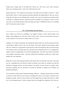People used to laugh when I'd tell them that. They'd say, "Oh, Jerry, you're such a dreamer. There's no such thing as that". And I said, "Well, there has to be".

Emerson had said, "You wouldn't have the desire if you didn't have the ability to achieve it". And I believed that. And so, I really expected somewhere along the line opportunities to show up. And so, within about 30 days of my clarifying what I wanted, I met a man who showed me a business that I could take to California and start, and that answered everything I was asking for. And so, for the next years of my life that business really took hold, and, again, it fulfilled the essence of everything that I'd written down that I wanted.

### **151. I want freedom, growth and joy**

Jerry: I didn't say it had to be something I was capable of doing, or that I had the talent or the ability or the intelligence for. I just said, "This is what I want". Can any of us have that? Can any of us have whatever we want once we clarify what it is we want?

Abraham: Yes. If this life experience has inspired the desire within you, this life experience has the wherewithal to fulfill it down to the very last detail. You'd been coming to those decisions about what you wanted over a long period of time because of the life experiences that you'd been living. Your decision point of focusing upon those decisions and writing them down in a comprehensive manner caused an emphasizing of your belief regarding them. And when your desires and beliefs come together, expectation occurs. And once expectation for anything is within you, it then comes quickly into your experience.

Being free was the most important element in the desires that you'd held for some time. And when you saw something that you believed would not threaten your desire for freedom, but had the potential of bringing income, you then allowed your desire for more income to expand, where previously anything that you perceived as having the potential to dampen your freedom, you repelled immediately.

You are all born with the triad of intentions pulsing within you – freedom, growth and joy. Freedom is the basis of that which you are, because everything that comes to you comes in response to the thoughts you think. And no one has control over the thoughts that you think other than you. When joy is your dominant quest, so that you gently train your thoughts into alignment with who-you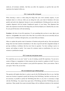really-are, all resistance subsides. And then you allow the expansion, or growth, that your life experience has inspired within you.

### **152. I want my life to feel good**

When choosing a career or when doing the things that your work currently requires, if your dominant intent is to feel joy while you are doing the work, your triad of intentions will come quickly and easily into alignment, because in your accomplishment of feeling good you come into complete alignment with the broader Nonphysical aspects of your being. That alignment then allows the expansion toward all of the things that your life has helped you to identify that you want. So your growth becomes swift and satisfying.

**Freedom** is the basis of your life experience. It's not something that you have to earn. **Joy** is your objective. And **growth** is the result of all of that. But if you believe that you are unworthy and you set out to prove worthiness through action, you cannot find your balance.

Often we explain this perfect triad of intentions of freedom and growth and joy. But most physical beings then turn their attention immediately to the idea of growth and their misguided attempt of proving worthiness, worthiness that has never been in question. You have nothing to prove to anyone, and nothing to justify. Your reason for existence needs no justification, for your very existence is justification enough.

# **153. I create my own joyous career**

We would like you to see your "career" as one of creating a joyful life experience. You are not a creator of things or a regurgitator of what someone else has created or a gatherer of stuff. You are a creator, and the subject of your creation is your joyful life experience. That is your mission. That is your quest. That is why you are here.

# **154. Is it immoral to get without giving?**

The question still implies that there is a price to pay for the Well-Being that flows to you. And that some sort of action is required to justify the flowing of the Well-Being. And that's not the case. It's not necessary or possible to justify the Well-Being that flows to you, but it is necessary to align with the Well-Being. You cannot focus upon lack of Well-Being and allow Well-Being into your experience. Many people focus upon unwanted things with no deliberate attention to the emotional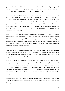guidance within them, and then they try to compensate for their lackful thinking with physical action. And because of the misalignment of Energy they don't get the results from their actions, so then they try harder offering more action, but still things don't improve.

Like the air you breathe, abundance in all things is available to you. Your life will simply be as good as you allow it to be. If you believe that you must work hard for the abundance that comes to you, then it cannot come without hard work. But in so many cases, the harder you work, the worse you feel, and the worse you feel the more you disallow the results that you wanted to receive from your hard work. It's no wonder so many people are discouraged and do not know which way to turn. Because it seems that no matter what they do, they don't thrive. Appreciation and love and alignment to that which is Source is the ultimate giving back, so to speak. In your pain or struggle you have nothing to give back.

Many complain of unfairness or injustice when they see some people receiving greatly, but offering seemingly little effort, while others who work very hard, often show very little success. But the LOA is always consistently just. What you're living is always an exact replication of your vibrational patterns of thought. Nothing could be more fair than life as you're living it. Because as you're thinking - you're vibrating, and as you're vibrating – you're attracting. And so you always get back the essence of what you're giving.

What most people are doing with most of their lives is offering action to try to compensate for vibrational imbalance. In other words, they think so much of things they do not want, and in doing so, they prevent what they do want from easily flowing into their experience. And then they try to compensate for the misalignment through action.

If you would tend to your vibrational alignment first, by recognizing the value of your emotions, and trying to focus upon things that feel good, you would benefit tremendously by that alignment and wonderful things would flow to you with far less action. The majority of action that is offered today is offered amidst tremendous vibrational resistance. And that is the reason why so many people have come to believe that life is a struggle. It's also the reason why many, like you, believe that success and freedom are at odds with one another, when in reality they are actually synonymous.

It's not necessary to take money out of the equation, but it is necessary that you make your quest for joy be the most dominant part of your equation. When you do that, abundance in all manner will flow to you.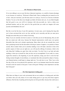#### **155. Welcome to Planet Earth**

If we were talking to you on your first day of physical experience, we could be of great advantage to you, because we would say, "Welcome to Planet Earth. There is nothing that you cannot be or do or have. And your work here, your life time career is to seek joy. You live in a Universe of absolute freedom. You are so free that every thought you think will attract unto you. As you think thoughts that feel good to you, you will be in harmony with who-you-really are. And so, utilize your profound freedom, seek joy first, and all of the growth that you could ever imagine will come joyously and abundantly unto you."

But this is not the first day of your life experience. In most cases, you're hearing this long after you've been convinced that you're not free, and that you're unworthy and that you must prove through your action that you are worthy of receiving.

Many of you are currently involved in careers or work that you do not find pleasing. But you feel that you cannot just walk away, because the financial repercussions would cause even greater discomfort than what you're already experiencing. Many others who do not currently have work that is producing income feel the discomfort of having no means of support, or no promise of future security. But no matter where you're currently standing, if you will make a decision to look at the positive aspects of where you are right now, you will stop the offering of resistance, which is the only thing that's holding you apart from what you desire. You don't have to go back and undo anything, or beat up on yourself for what you have not yet accomplished. If you could, in a sense, regard this moment as the beginning of your life experience, doing your best to resist the badfeeling resistant thoughts of unworthiness, or resentment that often surround the subject of money, your financial picture would begin to change right now. You only have to say, "Here I am, on the first day of the rest of my physical life experience, and it is my dominant intent from this moment forward to look for reasons to feel good. I want to feel good. Nothing is more important to me than that I feel good."

## **156. Most important is feeling good**

Often there are things in your work environment that are not conducive to feeling good, and often you believe that your only chance of ever really feeling good is to get away from those negative influences. But the idea of quitting and leaving does not feel good either, because that could cause a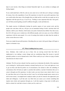lapse in your income, when things are already financially tight. So, you continue on unhappy and feeling trapped.

If you could stand back a little bit, and see your career not as work that you're doing in exchange for money, but as the expenditure of your life experience in return for your joyful experience, then you would realize that many of the thoughts that you think and the words that you speak are not in alignment with that quest for joy. If you'll say, "Nothing is more important than that I feel good", you will find yourself guiding yourself to different thoughts, words and behaviors.

The simple exercise of deliberately looking for positive aspects of your current work, and the people who work there with you, will give you an immediate feeling of relief. And that relief will indicate a shift in your vibration, which means your point of attraction has shifted. Once that occurs, the LOA will cause you to rendezvous with different people, and even cause you to have different experiences with the same people. It is a sort of creating from inside out rather than the outside in action version that never works.

From your simple but powerful premise of deciding that you want to feel good, things will begin to improve in dramatic ways.

## **157. What is holding back my career**

Jerry: Abraham, what would you say to those who are moving toward their first field of employment or are making a career change and are considering things like income or growth potential, product or service demand and so forth. What would you say to them in trying to decide what direction for them to take?

Abraham: The life you have already lived has caused you to determine the details of the experience you're looking for. And the perfect situation is already lined up for you. Your work right now is not to get out there and find the perfect set of circumstances, but instead to allow the unfolding of circumstances that will lead you right to a position that satisfies a myriad of intentions that you've come to through your life experience. In other words, you never know more clearly what it is you do want than when you're living what you don't want. So, not having enough money causes you to ask for more money. An unappreciative employer makes you ask for someone who appreciates your talent and willingness. A job that asks very little from you causes you to desire something that inspires more clarity and expansion through you. A job that requires a long mute in traffic gives birth to a desire for work that is closer to where you live, and so on.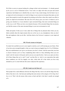We'd like to convey to anyone looking for a change in their work environment – it's already queued up for you in a sort of vibrational escrow. Your work is to align with what your past and current experiences had helped you to identify that you want. It may sound strange, but the fastest way to an improved work environment is to look for things in your current environment that make you feel good. Most people do exactly the opposite by pointing out the flaws where they stand in an effort to justify an improved environment. But since the LOA always gives you more of whatever you're giving your attention to, if your attention is upon unwanted things, then more unwanted things are on the way as well. When you leave one situation because of the unwanted things that are present, you find the essence of the same unwanted things in your next environment as well.

Think and speak of what you *do* want, make lists of things that are pleasant about where you are, think excitedly about the improvements that are on the way to you, deemphasize what you don't like and emphasize what you do like. And then observe the Universe's response to your improved vibration.

#### **158. I'll seek reasons to feel good.**

No matter how justified you are in your negative emotion, you're still messing up your future. Most of you have given enough thought to what you want to keep you happily busy for 10 or 20 lifetimes. But your manifestations can't get to you because your door's closed. And the reason that your door is closed is because you're so busy complaining about what-is or busy defending where you now stand. Look for reasons to feel good, and in your joy you open the door. And as you open your door, all of these things that you've said "I want" can then flow in. And it is our expectation that under those conditions you will live happily ever after, which after all is that which you have truly intended as you've come forth into this career of physical life experience.

#### **159. Do I want to or do I have to?**

Most people feel a stark difference between the things that they want to do and the things that they believe they have to do. And most put anything that earns money in the category of *the things that I have to do*. That's why the money often comes so hard, and that's why there's usually not enough of it.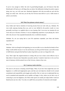If you're wise enough to follow the trail of good-feeling-thoughts, you will discover that that blissful path will lead you to all things that you desire. By deliberately looking for positive aspects along your way, you will come into vibrational alignment with who-you-really-are and with the things you really want. And once you do that, the Universe must deliver to you a viable means to achieve your desires.

## **160. What if my pleasure attracts money?**

Jerry: Esther and I had no intention of receiving income from our work with you, Abraham. We were really enjoying learning from you, and we were thrilled by the positive results we were personally receiving as we applied what we were learning. But it was never our intention for our work with you to become a business. It was an enlightening experience or just playing fun. And it still is fun, but now it has expanded dramatically into a worldwide enterprise.

Abraham: So, are you saying that as your life experience expanded, your ideas and desires expanded also?

## Jerry: Yes.

Abraham: And even though in the beginning you were not able to see or describe the details of how things would unfold, because it was fun and because you felt good this became a powerful avenue to fulfill desires and goals that had been in place long before you met us or began this work.

Jerry: That's right. My original intention in visiting with you was to learn a more effective way to help others to become more financially successful, and also I wanted to learn how to live our lives more in harmony with the natural Laws of the Universe, whatever they were.

#### **161. I want my work to feel free**

The secret to all success is keeping yourself happy. Many of you have been taught that your own happiness is a selfish and inappropriate quest, and that your real objectives should revolve around commitment and responsibility and struggle and sacrifice. But we want you to understand that you can be committed and responsible *and* an uplifter *and* happy. In fact, unless you do find a way of connecting to your true happiness, all of those other quests are usually just empty hollow words not backed up by any true value. You only ever uplift from your position of connection and strength.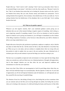People often say, "I don't want to work", meaning "I don't want to go some place where I have to do unwanted things to earn money". And when we ask why, they usually say, "Because I want to be free." But it's not freedom from action that you're looking for, because action can be fun. And it's not freedom from money that you want, because money and freedom are synonymous. You're seeking freedom from negativity, from resistance, from disallowance of who-you-really-are. You're seeking freedom from the disallowance of the abundance that is your birth right. You're seeking freedom form lack.

#### **162. What are its positive aspects?**

Whenever you feel negative emotion, that's your emotional guidance system giving you an indication that you are in that moment looking at negative aspects of something. And in doing so, you're depriving yourself of something wanted. If you will set an intention to look for positive aspects in whatever you're giving your attention to, you will begin to immediately see the evidence of the lifting of patterns of resistance, as the Universe is then allowed by your shift in vibration to deliver your long wanted desires to you.

People often move from job to job, profession to profession, employer to employer, only to find the next place no better than the last. And the reason for that is, they take themselves everywhere they go. When you go to a new place, and you continue to complain about what was wrong with your last position in order to explain why you came to the new position, the same vibrational mix of resistance goes with you and continues to prevent the things you want from coming to you.

The best way to accomplish an improved work environment is to focus upon the best things about where you currently are, until you flood your own vibrational patterns of thought with appreciation. And in that changed vibration you can then allow the new and improved conditions and circumstances to come into your experience.

Some worry that if they follow our encouragement to look for good things about where they are, that it will only hold them longer in an unwanted place. But the opposite is really true. In your state of appreciation you lift all self-imposed limitations (and all limitations *are* self-imposed) and you free yourself for the receiving of wonderful things.

The vibration of true love, that feeling of being in love, that feeling that you have sometimes when you see someone and you feel like you're moving through one another, the feeling that you have when you're looking at the innocence of a child and feeling the beauty and the power of that child,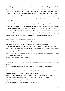love and appreciation are identical vibrations. Appreciation is the vibration of alignment with who you are. It's the absence of resistance. It's the absence of doubt and fear. It's the absence of selfdenial or hatred toward others. Appreciation is the absence of everything that feels bad and the presence of everything that feels good. When you focus upon what you want, when you tell the story of how you want your life to be, you'll come closer and closer to the vicinity of appreciation, and when you reach it, it will pull you toward all things that you consider to be good in a very powerful way.

Conversely, let's talk about the difference between gratitude and appreciation. Many people use those words interchangeably, but we do not feel the same vibrational essence in them at all. Because when you feel gratitude, often you're looking at the struggle that you've overcome. In other words, you're happy that you're still not in the struggle, but there's still some of that struggle vibration present. In other words, the difference between inspiration, which is being called to who you are, and motivation, which is trying to make yourself go somewhere, is a similar difference.

Appreciation is that tuned in tapped in turned on feeling.

Appreciation is vibrational alignment with who I have become.

The state of appreciation is me being in sync with the whole of that which I am.

Being in the state of appreciation is seeing whatever you're looking at through the eyes of Source.

And when you are in that state of appreciation, you could walk down a crowded street, with all kinds of things that a lot of other people would find reason to criticize or worry about, and you would not have access to them, because your vibration of appreciation is picking out for you things of a different vibrational nature.

A state of appreciation is a state of godliness.

A state of appreciation is being who-you-really-are.

A state of appreciation is who you were the day you were born and who you will be in the moment you die.

And it would be, if we were standing in your physical shoes, our quest in every moment.

Your friend Joseph Campbell used the word bliss. And we think it's equal. Follow your bliss. But sometimes you cannot get a whiff of bliss from where you are.

So we say, if you're in despair, follow your revenge. It's downstream, it's the right direction.

If you're in revenge, follow your hatred. It's downstream, it's in the right direction.

If you're in hatred, follow your anger. It's downstream.

If you're in anger, follow your frustration. It's downstream.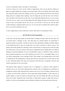If you're in frustration, follow your hope. It's downstream.

If you're in hope, now you're in the vicinity of appreciation. Once you get into the vibration of hope, now begin making lists of things you feel good about. Fill your notebooks full of them. Make lists of positive aspects, make lists of things you love, go to the restaurant and look for your favorite things and never complain about anything. Look for things that you like the best. Even if there's only one thing in all of that that you like, give it your undivided attention and use it as your excuse to be who you are. And as you use those things that shine bright and make you feel good as your excuse to give your attention and be who you are, you will tune to who you are, and the whole world will begin to transform before your eyes. It's not your job to transform the world for others, but it is your job to transform it for you.

A state of appreciation is pure connection to Source where there is no perception of lack.

## **163. My time at work is perceptual**

In the same way that many people are focused upon a shortage of money, there are also many who are focused upon a shortage of time. And often these two lackful subjects are intertwined to negatively impact one another. Usually the reason for this detrimental coupling of lackful subjects is the feeling that there is just not enough time to do what's necessary to achieve success. The primary reason that people feel a shortage of time is because they're trying to get too much leverage out of their action. If you are unaware of the power of alignment and are making little or no effort at finding your personal alignment, if you're overwhelmed or angry or resentful or ornery, and from those emotional perspectives you're then offering your action to try to accomplish things, you're very likely experiencing a severe shortage of time. There simply is not enough action in the world to compensate for the misalignment of energy. But when you care about how you feel, and you tend to your vibrational balance first, then you experience what feels like a cooperative Universe that seems to open doors for you everywhere.

The physical effort required of someone who is in alignment is a fraction of that required to someone who is not. The results experienced by someone who is in alignment are tremendous in comparison with the results experienced by someone who is not. If you're feeling a shortage of time or money, your best effort would be to focus upon better-feeling thoughts, to make long lists of positive aspects, to look for reasons to feel good, and to do more things that make you feel good when you do them. Taking the time to feel better, to find positive aspects, to align with who-youreally-are, will net you tremendous results and help you balance your time much more effectively.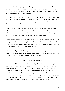Shortage of time is not your problem. Shortage of money is not your problem. Shortage of connection to the Energy that creates worlds is what is at the heart of all sensations of shortage that you're experiencing. Those voids, or shortages, can be filled with only one thing – connection to Source and alignment with who-you-really-are.

Your time is a perceptual thing. And even though the clock is ticking the same for everyone, your alignment affects your perception as well as the results that you allow. When you set time aside to envision your life as you want it to be, you access a power that is unavailable to you when you focus upon the problems of your life.

As you observe the enormous differences in the effort that people apply and the results they achieve, you have to conclude that there is more to the equation of achieving than action alone. The difference is, that some receive the benefit of the leverage of alignment because of the thoughts they think, while others disallow the leverage because of the thoughts they think.

Imagine yourself running 1 mile. And in this mile there are 2000 doors to move through. Imagine coming to each door and then having to personally open it before you can run through it. Now imagine running the mile, and as you approach each door, the door is opened for you, so you're able to continue the pace slowing not at all upon approaching each door.

When you're in alignment with the Energy that creates worlds, you no longer have to stop and open the doors, your Energy alignment allows things to line up for you. And the action that you offer is the way you enjoy the benefit of the alignment that you've accomplished.

## **164. Should I try to work harder?**

You are a powerful creator who came into this leading-edge environment understanding that you create through the power of your thought by deliberately directing your focus toward things you want. You did not intend to rely on your action for that creation. It may take some time to adjust to the understanding that you're creating through your thoughts, not through your action. But we cannot overstate the value of thinking and speaking of things as you would like them to be rather than as they are. Once you not only understand the power of your thought, but you deliberately direct this powerful tool in the direction of things that you desire, then you will discover that the action part of your life is the way that you enjoy what you've created through your thought.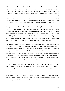When you achieve vibrational alignment, which means your thoughts are pleasing you as you think them, and you feel an inspiration to act, you've accomplished the best of both worlds. Your action feels effortless when you're tuned in to the vibrational frequency of Source, and then you feel an inspiration to offer action. Those outcomes are always pleasing. But action taken without tending to vibrational alignment first is hardworking inefficient action that over time wears you down. Most are so busy dealing with that which is immediate that they don't have time to tend to that which is important. Many tell us that they are so busy making their money that they don't have time to enjoy it. For when you rely on your action to create, often you're too tired to enjoy your creation.

Most people have a rather negative attitude about money. Simply because most people speak more often of what they cannot afford or the lack of the money they desire than they speak of the benefit of money. Also most people spend more time thinking about what is currently happening in their experience rather than what they would prefer to happen. And so, without meaning to, most people *are* thinking rather lackfully about money. So then when you couple an idea of something that you enjoy – your adventure, your music, your art – with something that you've felt strong lack about for a long time, like money, the balance of your thought tips toward the dominant feeling.

As you begin spending more time visualizing what you desire and less time observing what-is, and as you begin to practice your more positive better-feeling story, in time your adventure will become the dominant vibration within you. And then as you couple your adventure with your means of earning, the two will blend perfectly and enhance each other. There is no better way to earn money than to do things you love to do. Money can flow into your experience through endless avenues. It's not the choice of the craft or avenue that limits the money that flows, but the attitude toward the money. That's why so many niche markets are continually opening with people becoming very wealthy from ideas that only recently were not viable markets at all.

You are the creator of your own reality. And you are the creator of your own markets of enterprise and your own flow of money. You cannot accurately define some activities as hard and others as easy, because all things that are in harmony with what you're wanting are easy and flowing, while all things that are not in harmony with what you're wanting are harder and more resistant.

Anytime what you're doing feels like a struggle, you must understand that your contradictory thought is introducing resistance into the equation. Resistance is caused by thinking about what you do not want, and that's what makes you tired.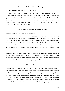Here's an example of your "old" story about your career:

"I've always worked hard in every job I've had, but I've never really been appreciated. Seems to me that employers always take advantage of me, getting everything from me that they can and giving as little in return as they can get away with. I'm tired of working so hard for so little. I'm going to start holding back too. No point in my knocking myself out when no one else notices. Many of the people around me at work know less than I know, work less than I work and make more money than I make. That's just not right."

## **166. An example of my "new" story about my career**

Here's an example of a "new" story about your career:

"I know that I will not always be right here in this place doing this same work. I like understanding that things are always evolving, and it's fun to anticipate where I'm headed. While there are many things that could be better where I am, it's not really a problem, because where I am is constantly changing to something better. I like knowing that as I look for the best things around me where I am, those things become more prevalent in my experience. It's fun to know that things are always working out for me. I like looking for the evidence of that. And I see more evidence of it every day."

Remember, there is no right or wrong way to tell your improved story. It can be about your past or your present or your future experiences. The only criterion that is important is that you be conscious of your intent to tell a better-feeling improved version of your story. By telling many good-feeling short stories throughout your day you will change your point of attraction.

## **167. Time to tell a new story**

For many of you your old story has been about things that have gone wrong, things that aren't the way you want them to be or think they should be, others who have let you down, others who have not been truthful with you. Your old story's been about not enough money or not enough time or how things usually are. Your old story's been about how things have been all of your life, or how things have been lately. It's been about the injustices that you see in the world or others who don't understand. Your story's been about others who don't make an effort, or others who are capable but don't apply themselves. Your story's been about dissatisfaction with your appearance, or worry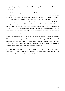about your body's health, or about people who take advantage of others, or about people who want to control you.

But start telling a new story. Let your new story be about the positive aspects of wherever you are. Let it be about the way you want things to be. Tell the story of how well things are going. How LOA is the true manager of all things. Tell the story about the abundance that flows abundantly, how time and perception is endless. Tell your story about the best things that you see. Let your new story be about your favorite memories. Talk about obvious expansion in your life. Talk about the amazing or interesting or wonderful aspects of your world. Talk about the incredible variety that surrounds you. Talk about the willingness and the effectiveness of others. Talk about the power of your own thoughts. Tell the story of the positive aspects of your body. Talk about the stable basis of your body. Tell the story about how we all create our own reality. Let your new story be about your absolute freedom and your joyous awareness of it.

Each and every component that makes up your life experience is drawn to you by the powerful LOA's response to the thoughts you think and the story you tell about your life. Your money and financial assets, your body's state of wellness, clarity, flexibility, size and shape, your work environment, how you're treated, your work satisfaction and rewards, indeed the very happiness of your life experience in general is all because of the story that you tell.

If you will let your dominant intention be to revise and improve the content of the story you tell every day of your life, it is our absolute promise to you that your life will become that ever improving story, for by the powerful LOA, it must be!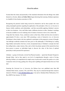## About the authors

Excited about the clarity and practicality of the translated information from the Beings who called themselves *Abraham,* **Jerry** and **Esther Hicks** began disclosing their amazing Abraham experience to a handful of close business associates in 1986.

Recognizing the practical results being received by themselves and by those people who were asking meaningful questions regarding the application of the principles of the *Law of Atraction* to fnances, bodily conditions, and relationships—and then successfully applying Abraham's answers to their own situations—Jerry and Esther made a deliberate decision to allow Abraham's teachings to become available to an ever-widening circle of seekers of answers to how to live a better life. Using their San Antonio, Texas, conference center as their base, Esther and Jerry have traveled to approximately 50 cities a year since 1989, presenting a series of interactive *Law of Attraction* Workshops to those leaders who have gathered to participate in this progressive stream of thought. And although worldwide attention has been given to this philosophy of Well-Being by Leading Edge thinkers and teachers who have, in turn, incorporated many of Abraham's concepts into their best-selling books, scripts, lectures, flms, and so forth, the primary spread of this material has been from person to person, as individuals begin to discover the value of this form of spiritual practicality in their personal life experiences.

Abraham—a group of obviously evolved Non-Physical teachers —speak their Broader Perspective through Esther. And as they speak to our level of comprehension through a series of loving, allowing, brilliant, yet comprehensively simple essays in print and in sound, they guide us to a clear Connection with our loving, guiding *Inner Being* and to uplifting self-empowerment from our Total Self.

Featuring the Universal *Law of Attraction,* the Hickses have now published more than 800 Abraham-Hicks books, cassettes, CDs, and DVDs. They may be contacted through their extensive interactive Website at: **[www.abraham-hicks.com](http://www.abraham-hicks.com/)**; or by mail at Abraham-Hicks Publications, P.O. Box 690070, San Antonio, TX 78269.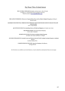# Hay House Titles of related interest

*YOU CAN HEAL YOUR LIFE, the movie,* starring Louise L. Hay & Friends (available as a 1-DVD program and an expanded 2-DVD set) Watch the trailer at: **[www.LouiseHayMovie.com](http://www.louisehaymovie.com/)**

*THE LAWS OF THINKING: 20 Secrets to Using the Divine Power of Your Mind to Manifest Prosperity,* by Bishop E. Bernard Jordan

*MAXIMIZE YOUR POTENTIAL THROUGH THE POWER OF YOUR SUBCONSCIOUS MIND TO CREATE WEALTH AND SUCCESS,* by Dr. Joseph Murphy

*QUANTUM SUCCESS: The Astonishing Science of Wealth and Happiness,* by Sandra Anne Taylor

*THE RICHES WITHIN: Your Seven Secret Treasures,* by Dr. John F. Demartini

*SECRETS OF SUCCESS: The Science and Spirit of Real Prosperity,* by Sandra Anne Taylor and Sharon A. Klingler

*SUCCESS INTELLIGENCE: Essential Lessons and Practices from the World's Leading Coaching Program on Authentic Success,*

by Robert Holden, Ph.D.

*21 DISTINCTIONS OF WEALTH: Attract the Abundance You Deserve,* by Peggy McColl

All of the above are available at your local bookstore, or may be ordered by contacting Hay House (see next page).